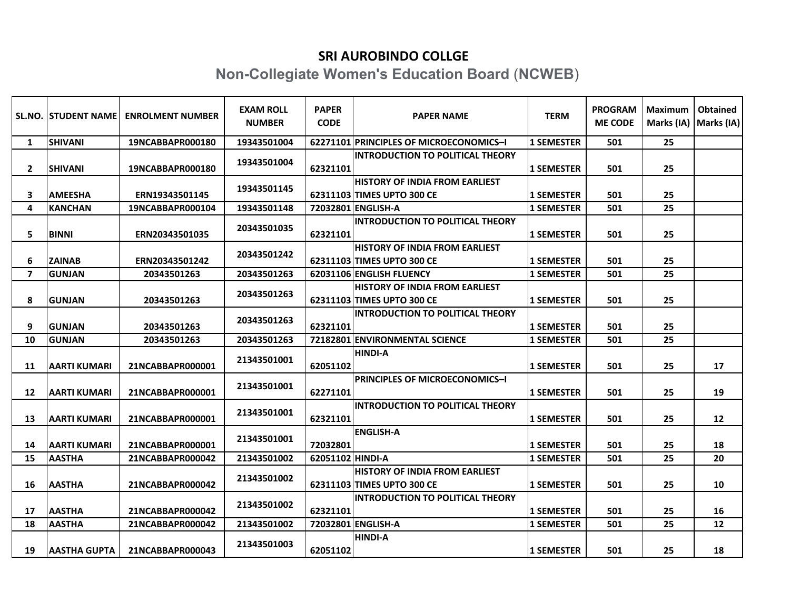## **SRI AUROBINDO COLLGE**

## **Non-Collegiate Women's Education Board** (**NCWEB**)

|                | <b>SL.NO. ISTUDENT NAMEL</b> | <b>ENROLMENT NUMBER</b> | <b>EXAM ROLL</b><br><b>NUMBER</b> | <b>PAPER</b><br><b>CODE</b> | <b>PAPER NAME</b>                                                   | <b>TERM</b>       | <b>PROGRAM</b><br><b>ME CODE</b> | Maximum<br>Marks (IA) | <b>Obtained</b><br>Marks (IA) |
|----------------|------------------------------|-------------------------|-----------------------------------|-----------------------------|---------------------------------------------------------------------|-------------------|----------------------------------|-----------------------|-------------------------------|
| 1              | <b>SHIVANI</b>               | 19NCABBAPR000180        | 19343501004                       |                             | 62271101 PRINCIPLES OF MICROECONOMICS-I                             | <b>1 SEMESTER</b> | 501                              | 25                    |                               |
| $\mathbf{2}$   | <b>SHIVANI</b>               | 19NCABBAPR000180        | 19343501004                       | 62321101                    | <b>INTRODUCTION TO POLITICAL THEORY</b>                             | <b>1 SEMESTER</b> | 501                              | 25                    |                               |
| 3              | <b>AMEESHA</b>               | ERN19343501145          | 19343501145                       |                             | <b>HISTORY OF INDIA FROM EARLIEST</b><br>62311103 TIMES UPTO 300 CE | <b>1 SEMESTER</b> | 501                              | 25                    |                               |
| 4              | <b>KANCHAN</b>               | 19NCABBAPR000104        | 19343501148                       |                             | 72032801 ENGLISH-A                                                  | <b>1 SEMESTER</b> | 501                              | 25                    |                               |
| 5              | <b>BINNI</b>                 | ERN20343501035          | 20343501035                       | 62321101                    | <b>INTRODUCTION TO POLITICAL THEORY</b>                             | <b>1 SEMESTER</b> | 501                              | 25                    |                               |
| 6              | <b>ZAINAB</b>                | ERN20343501242          | 20343501242                       |                             | <b>HISTORY OF INDIA FROM EARLIEST</b><br>62311103 TIMES UPTO 300 CE | <b>1 SEMESTER</b> | 501                              | 25                    |                               |
| $\overline{ }$ | <b>GUNJAN</b>                | 20343501263             | 20343501263                       |                             | 62031106 ENGLISH FLUENCY                                            | <b>1 SEMESTER</b> | 501                              | 25                    |                               |
| 8              | <b>GUNJAN</b>                | 20343501263             | 20343501263                       |                             | <b>HISTORY OF INDIA FROM EARLIEST</b><br>62311103 TIMES UPTO 300 CE | <b>1 SEMESTER</b> | 501                              | 25                    |                               |
| 9              | <b>GUNJAN</b>                | 20343501263             | 20343501263                       | 62321101                    | <b>INTRODUCTION TO POLITICAL THEORY</b>                             | <b>1 SEMESTER</b> | 501                              | 25                    |                               |
| 10             | <b>GUNJAN</b>                | 20343501263             | 20343501263                       |                             | 72182801 ENVIRONMENTAL SCIENCE                                      | <b>1 SEMESTER</b> | 501                              | 25                    |                               |
| 11             | IAARTI KUMARI                | 21NCABBAPR000001        | 21343501001                       | 62051102                    | <b>HINDI-A</b>                                                      | <b>1 SEMESTER</b> | 501                              | 25                    | 17                            |
| 12             | <b>AARTI KUMARI</b>          | 21NCABBAPR000001        | 21343501001                       | 62271101                    | PRINCIPLES OF MICROECONOMICS-I                                      | <b>1 SEMESTER</b> | 501                              | 25                    | 19                            |
| 13             | <b>AARTI KUMARI</b>          | 21NCABBAPR000001        | 21343501001                       | 62321101                    | <b>INTRODUCTION TO POLITICAL THEORY</b>                             | <b>1 SEMESTER</b> | 501                              | 25                    | 12                            |
| 14             | IAARTI KUMARI                | 21NCABBAPR000001        | 21343501001                       | 72032801                    | <b>ENGLISH-A</b>                                                    | <b>1 SEMESTER</b> | 501                              | 25                    | 18                            |
| 15             | <b>AASTHA</b>                | 21NCABBAPR000042        | 21343501002                       | 62051102 HINDI-A            |                                                                     | <b>1 SEMESTER</b> | 501                              | 25                    | 20                            |
| 16             | <b>AASTHA</b>                | 21NCABBAPR000042        | 21343501002                       |                             | <b>HISTORY OF INDIA FROM EARLIEST</b><br>62311103 TIMES UPTO 300 CE | <b>1 SEMESTER</b> | 501                              | 25                    | 10                            |
| 17             | <b>AASTHA</b>                | 21NCABBAPR000042        | 21343501002                       | 62321101                    | <b>INTRODUCTION TO POLITICAL THEORY</b>                             | <b>1 SEMESTER</b> | 501                              | 25                    | 16                            |
| 18             | <b>AASTHA</b>                | 21NCABBAPR000042        | 21343501002                       |                             | 72032801 ENGLISH-A                                                  | <b>1 SEMESTER</b> | 501                              | 25                    | 12                            |
| 19             | <b>AASTHA GUPTA</b>          | 21NCABBAPR000043        | 21343501003                       | 62051102                    | <b>HINDI-A</b>                                                      | <b>1 SEMESTER</b> | 501                              | 25                    | 18                            |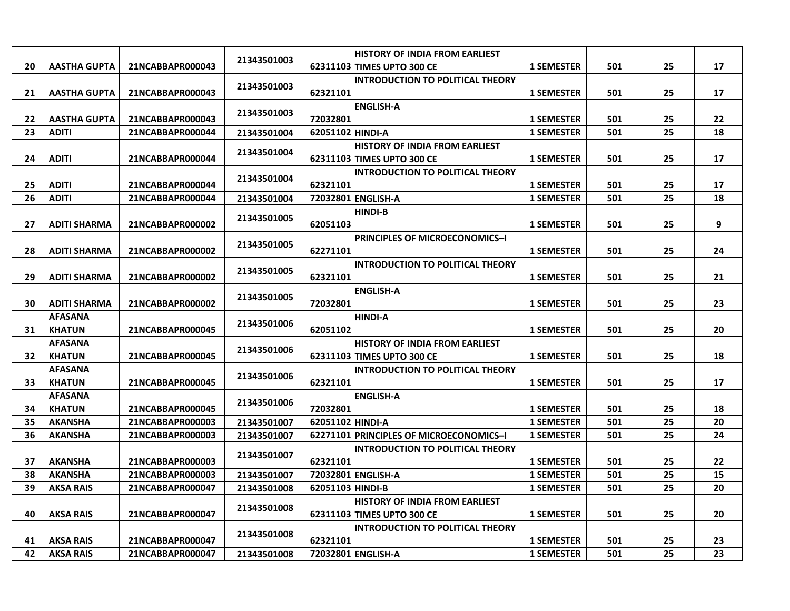|    |                                 |                  |             |                  | <b>HISTORY OF INDIA FROM EARLIEST</b>   |                   |     |    |    |
|----|---------------------------------|------------------|-------------|------------------|-----------------------------------------|-------------------|-----|----|----|
| 20 | <b>AASTHA GUPTA</b>             | 21NCABBAPR000043 | 21343501003 |                  | 62311103 TIMES UPTO 300 CE              | <b>1 SEMESTER</b> | 501 | 25 | 17 |
|    |                                 |                  | 21343501003 |                  | <b>INTRODUCTION TO POLITICAL THEORY</b> |                   |     |    |    |
| 21 | <b>AASTHA GUPTA</b>             | 21NCABBAPR000043 |             | 62321101         |                                         | <b>1 SEMESTER</b> | 501 | 25 | 17 |
|    |                                 |                  | 21343501003 |                  | <b>ENGLISH-A</b>                        |                   |     |    |    |
| 22 | <b>AASTHA GUPTA</b>             | 21NCABBAPR000043 |             | 72032801         |                                         | <b>1 SEMESTER</b> | 501 | 25 | 22 |
| 23 | <b>ADITI</b>                    | 21NCABBAPR000044 | 21343501004 | 62051102 HINDI-A |                                         | <b>1 SEMESTER</b> | 501 | 25 | 18 |
|    |                                 |                  | 21343501004 |                  | <b>HISTORY OF INDIA FROM EARLIEST</b>   |                   |     |    |    |
| 24 | <b>ADITI</b>                    | 21NCABBAPR000044 |             |                  | 62311103 TIMES UPTO 300 CE              | <b>1 SEMESTER</b> | 501 | 25 | 17 |
|    |                                 |                  | 21343501004 |                  | <b>INTRODUCTION TO POLITICAL THEORY</b> |                   |     |    |    |
| 25 | <b>ADITI</b>                    | 21NCABBAPR000044 |             | 62321101         |                                         | <b>1 SEMESTER</b> | 501 | 25 | 17 |
| 26 | <b>ADITI</b>                    | 21NCABBAPR000044 | 21343501004 |                  | 72032801 ENGLISH-A                      | <b>1 SEMESTER</b> | 501 | 25 | 18 |
|    |                                 |                  | 21343501005 |                  | HINDI-B                                 |                   |     |    |    |
| 27 | <b>ADITI SHARMA</b>             | 21NCABBAPR000002 |             | 62051103         |                                         | <b>1 SEMESTER</b> | 501 | 25 | 9  |
|    |                                 |                  | 21343501005 |                  | <b>PRINCIPLES OF MICROECONOMICS-I</b>   |                   |     |    |    |
| 28 | <b>ADITI SHARMA</b>             | 21NCABBAPR000002 |             | 62271101         |                                         | <b>1 SEMESTER</b> | 501 | 25 | 24 |
|    |                                 |                  | 21343501005 |                  | <b>INTRODUCTION TO POLITICAL THEORY</b> |                   |     |    |    |
| 29 | <b>ADITI SHARMA</b>             | 21NCABBAPR000002 |             | 62321101         |                                         | <b>1 SEMESTER</b> | 501 | 25 | 21 |
|    |                                 |                  | 21343501005 |                  | <b>ENGLISH-A</b>                        |                   |     |    |    |
| 30 | <b>ADITI SHARMA</b>             | 21NCABBAPR000002 |             | 72032801         | <b>HINDI-A</b>                          | <b>1 SEMESTER</b> | 501 | 25 | 23 |
| 31 | <b>AFASANA</b><br><b>KHATUN</b> | 21NCABBAPR000045 | 21343501006 | 62051102         |                                         | <b>1 SEMESTER</b> | 501 | 25 | 20 |
|    | <b>AFASANA</b>                  |                  |             |                  | HISTORY OF INDIA FROM EARLIEST          |                   |     |    |    |
| 32 | <b>KHATUN</b>                   | 21NCABBAPR000045 | 21343501006 |                  | 62311103 TIMES UPTO 300 CE              | <b>1 SEMESTER</b> | 501 | 25 | 18 |
|    | <b>AFASANA</b>                  |                  |             |                  | <b>INTRODUCTION TO POLITICAL THEORY</b> |                   |     |    |    |
| 33 | <b>KHATUN</b>                   | 21NCABBAPR000045 | 21343501006 | 62321101         |                                         | <b>1 SEMESTER</b> | 501 | 25 | 17 |
|    | <b>AFASANA</b>                  |                  |             |                  | <b>ENGLISH-A</b>                        |                   |     |    |    |
| 34 | <b>KHATUN</b>                   | 21NCABBAPR000045 | 21343501006 | 72032801         |                                         | <b>1 SEMESTER</b> | 501 | 25 | 18 |
| 35 | <b>AKANSHA</b>                  | 21NCABBAPR000003 | 21343501007 | 62051102 HINDI-A |                                         | <b>1 SEMESTER</b> | 501 | 25 | 20 |
| 36 | <b>AKANSHA</b>                  | 21NCABBAPR000003 | 21343501007 |                  | 62271101 PRINCIPLES OF MICROECONOMICS-I | <b>1 SEMESTER</b> | 501 | 25 | 24 |
|    |                                 |                  |             |                  | <b>INTRODUCTION TO POLITICAL THEORY</b> |                   |     |    |    |
| 37 | <b>AKANSHA</b>                  | 21NCABBAPR000003 | 21343501007 | 62321101         |                                         | <b>1 SEMESTER</b> | 501 | 25 | 22 |
| 38 | <b>AKANSHA</b>                  | 21NCABBAPR000003 | 21343501007 |                  | 72032801 ENGLISH-A                      | <b>1 SEMESTER</b> | 501 | 25 | 15 |
| 39 | <b>AKSA RAIS</b>                | 21NCABBAPR000047 | 21343501008 | 62051103 HINDI-B |                                         | <b>1 SEMESTER</b> | 501 | 25 | 20 |
|    |                                 |                  |             |                  | <b>HISTORY OF INDIA FROM EARLIEST</b>   |                   |     |    |    |
| 40 | <b>AKSA RAIS</b>                | 21NCABBAPR000047 | 21343501008 |                  | 62311103 TIMES UPTO 300 CE              | <b>1 SEMESTER</b> | 501 | 25 | 20 |
|    |                                 |                  | 21343501008 |                  | <b>INTRODUCTION TO POLITICAL THEORY</b> |                   |     |    |    |
| 41 | <b>AKSA RAIS</b>                | 21NCABBAPR000047 |             | 62321101         |                                         | <b>1 SEMESTER</b> | 501 | 25 | 23 |
| 42 | <b>AKSA RAIS</b>                | 21NCABBAPR000047 | 21343501008 |                  | 72032801 ENGLISH-A                      | <b>1 SEMESTER</b> | 501 | 25 | 23 |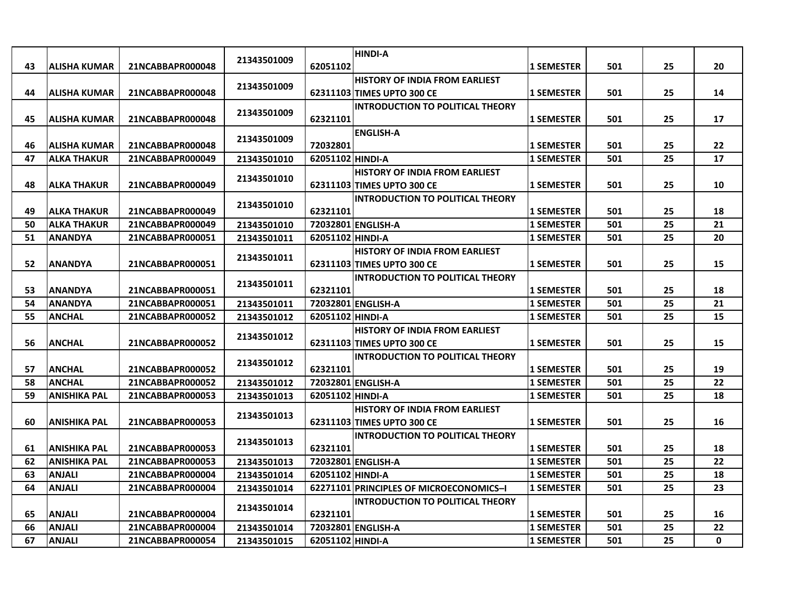|    |                     |                  | 21343501009 |                  | <b>HINDI-A</b>                          |                   |     |    |    |
|----|---------------------|------------------|-------------|------------------|-----------------------------------------|-------------------|-----|----|----|
| 43 | ALISHA KUMAR        | 21NCABBAPR000048 |             | 62051102         |                                         | <b>1 SEMESTER</b> | 501 | 25 | 20 |
|    |                     |                  | 21343501009 |                  | <b>HISTORY OF INDIA FROM EARLIEST</b>   |                   |     |    |    |
| 44 | ALISHA KUMAR        | 21NCABBAPR000048 |             |                  | 62311103 TIMES UPTO 300 CE              | <b>1 SEMESTER</b> | 501 | 25 | 14 |
|    |                     |                  | 21343501009 |                  | <b>INTRODUCTION TO POLITICAL THEORY</b> |                   |     |    |    |
| 45 | <b>ALISHA KUMAR</b> | 21NCABBAPR000048 |             | 62321101         |                                         | <b>1 SEMESTER</b> | 501 | 25 | 17 |
|    |                     |                  | 21343501009 |                  | <b>ENGLISH-A</b>                        |                   |     |    |    |
| 46 | <b>ALISHA KUMAR</b> | 21NCABBAPR000048 |             | 72032801         |                                         | <b>1 SEMESTER</b> | 501 | 25 | 22 |
| 47 | <b>ALKA THAKUR</b>  | 21NCABBAPR000049 | 21343501010 | 62051102 HINDI-A |                                         | <b>1 SEMESTER</b> | 501 | 25 | 17 |
|    |                     |                  | 21343501010 |                  | <b>HISTORY OF INDIA FROM EARLIEST</b>   |                   |     |    |    |
| 48 | <b>ALKA THAKUR</b>  | 21NCABBAPR000049 |             |                  | 62311103 TIMES UPTO 300 CE              | <b>1 SEMESTER</b> | 501 | 25 | 10 |
|    |                     |                  | 21343501010 |                  | <b>INTRODUCTION TO POLITICAL THEORY</b> |                   |     |    |    |
| 49 | <b>ALKA THAKUR</b>  | 21NCABBAPR000049 |             | 62321101         |                                         | <b>1 SEMESTER</b> | 501 | 25 | 18 |
| 50 | <b>ALKA THAKUR</b>  | 21NCABBAPR000049 | 21343501010 |                  | 72032801 ENGLISH-A                      | <b>1 SEMESTER</b> | 501 | 25 | 21 |
| 51 | <b>ANANDYA</b>      | 21NCABBAPR000051 | 21343501011 | 62051102 HINDI-A |                                         | <b>1 SEMESTER</b> | 501 | 25 | 20 |
|    |                     |                  | 21343501011 |                  | <b>HISTORY OF INDIA FROM EARLIEST</b>   |                   |     |    |    |
| 52 | <b>ANANDYA</b>      | 21NCABBAPR000051 |             |                  | 62311103 TIMES UPTO 300 CE              | <b>1 SEMESTER</b> | 501 | 25 | 15 |
|    |                     |                  | 21343501011 |                  | <b>INTRODUCTION TO POLITICAL THEORY</b> |                   |     |    |    |
| 53 | <b>ANANDYA</b>      | 21NCABBAPR000051 |             | 62321101         |                                         | <b>1 SEMESTER</b> | 501 | 25 | 18 |
| 54 | <b>ANANDYA</b>      | 21NCABBAPR000051 | 21343501011 |                  | 72032801 ENGLISH-A                      | <b>1 SEMESTER</b> | 501 | 25 | 21 |
| 55 | <b>ANCHAL</b>       | 21NCABBAPR000052 | 21343501012 | 62051102 HINDI-A |                                         | <b>1 SEMESTER</b> | 501 | 25 | 15 |
|    |                     |                  | 21343501012 |                  | <b>HISTORY OF INDIA FROM EARLIEST</b>   |                   |     |    |    |
| 56 | <b>ANCHAL</b>       | 21NCABBAPR000052 |             |                  | 62311103 TIMES UPTO 300 CE              | <b>1 SEMESTER</b> | 501 | 25 | 15 |
|    |                     |                  | 21343501012 |                  | <b>INTRODUCTION TO POLITICAL THEORY</b> |                   |     |    |    |
| 57 | <b>ANCHAL</b>       | 21NCABBAPR000052 |             | 62321101         |                                         | <b>1 SEMESTER</b> | 501 | 25 | 19 |
| 58 | <b>ANCHAL</b>       | 21NCABBAPR000052 | 21343501012 |                  | 72032801 ENGLISH-A                      | <b>1 SEMESTER</b> | 501 | 25 | 22 |
| 59 | <b>ANISHIKA PAL</b> | 21NCABBAPR000053 | 21343501013 | 62051102 HINDI-A |                                         | <b>1 SEMESTER</b> | 501 | 25 | 18 |
|    |                     |                  | 21343501013 |                  | <b>HISTORY OF INDIA FROM EARLIEST</b>   |                   |     |    |    |
| 60 | <b>ANISHIKA PAL</b> | 21NCABBAPR000053 |             |                  | 62311103 TIMES UPTO 300 CE              | <b>1 SEMESTER</b> | 501 | 25 | 16 |
|    |                     |                  | 21343501013 |                  | <b>INTRODUCTION TO POLITICAL THEORY</b> |                   |     |    |    |
| 61 | <b>ANISHIKA PAL</b> | 21NCABBAPR000053 |             | 62321101         |                                         | <b>1 SEMESTER</b> | 501 | 25 | 18 |
| 62 | <b>ANISHIKA PAL</b> | 21NCABBAPR000053 | 21343501013 |                  | 72032801 ENGLISH-A                      | <b>1 SEMESTER</b> | 501 | 25 | 22 |
| 63 | <b>ANJALI</b>       | 21NCABBAPR000004 | 21343501014 | 62051102 HINDI-A |                                         | <b>1 SEMESTER</b> | 501 | 25 | 18 |
| 64 | <b>ANJALI</b>       | 21NCABBAPR000004 | 21343501014 |                  | 62271101 PRINCIPLES OF MICROECONOMICS-I | <b>1 SEMESTER</b> | 501 | 25 | 23 |
|    |                     |                  | 21343501014 |                  | <b>INTRODUCTION TO POLITICAL THEORY</b> |                   |     |    |    |
| 65 | <b>ANJALI</b>       | 21NCABBAPR000004 |             | 62321101         |                                         | <b>1 SEMESTER</b> | 501 | 25 | 16 |
| 66 | <b>ANJALI</b>       | 21NCABBAPR000004 | 21343501014 |                  | 72032801 ENGLISH-A                      | <b>1 SEMESTER</b> | 501 | 25 | 22 |
| 67 | <b>ANJALI</b>       | 21NCABBAPR000054 | 21343501015 | 62051102 HINDI-A |                                         | <b>1 SEMESTER</b> | 501 | 25 | 0  |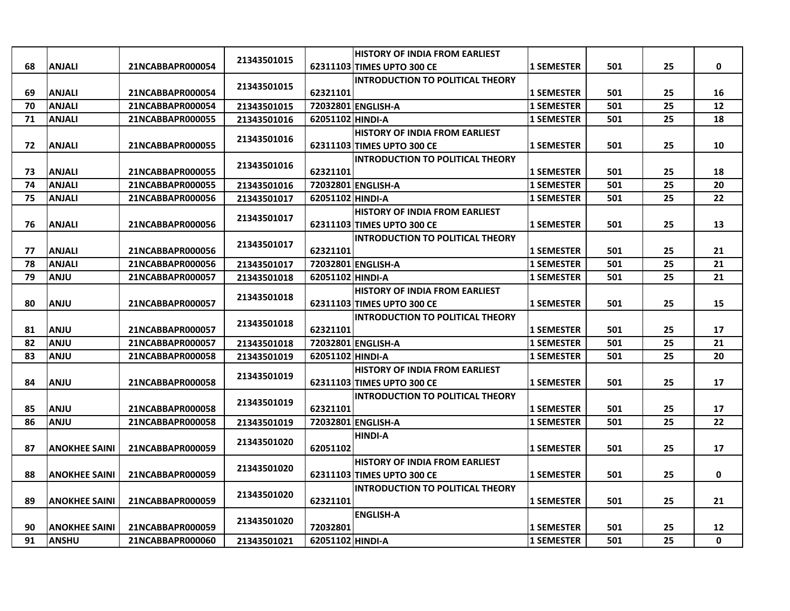|    |                      |                  |             |                  | <b>HISTORY OF INDIA FROM EARLIEST</b>   |                   |     |    |              |
|----|----------------------|------------------|-------------|------------------|-----------------------------------------|-------------------|-----|----|--------------|
| 68 | <b>ANJALI</b>        | 21NCABBAPR000054 | 21343501015 |                  | 62311103 TIMES UPTO 300 CE              | <b>1 SEMESTER</b> | 501 | 25 | 0            |
|    |                      |                  |             |                  | <b>INTRODUCTION TO POLITICAL THEORY</b> |                   |     |    |              |
| 69 | <b>ANJALI</b>        | 21NCABBAPR000054 | 21343501015 | 62321101         |                                         | <b>1 SEMESTER</b> | 501 | 25 | 16           |
| 70 | <b>ANJALI</b>        | 21NCABBAPR000054 | 21343501015 |                  | 72032801 ENGLISH-A                      | <b>1 SEMESTER</b> | 501 | 25 | 12           |
| 71 | <b>ANJALI</b>        | 21NCABBAPR000055 | 21343501016 | 62051102 HINDI-A |                                         | <b>1 SEMESTER</b> | 501 | 25 | 18           |
|    |                      |                  |             |                  | <b>HISTORY OF INDIA FROM EARLIEST</b>   |                   |     |    |              |
| 72 | <b>ANJALI</b>        | 21NCABBAPR000055 | 21343501016 |                  | 62311103 TIMES UPTO 300 CE              | <b>1 SEMESTER</b> | 501 | 25 | 10           |
|    |                      |                  |             |                  | <b>INTRODUCTION TO POLITICAL THEORY</b> |                   |     |    |              |
| 73 | <b>ANJALI</b>        | 21NCABBAPR000055 | 21343501016 | 62321101         |                                         | <b>1 SEMESTER</b> | 501 | 25 | 18           |
| 74 | <b>ANJALI</b>        | 21NCABBAPR000055 | 21343501016 |                  | 72032801 ENGLISH-A                      | <b>1 SEMESTER</b> | 501 | 25 | 20           |
| 75 | <b>ANJALI</b>        | 21NCABBAPR000056 | 21343501017 | 62051102 HINDI-A |                                         | <b>1 SEMESTER</b> | 501 | 25 | 22           |
|    |                      |                  | 21343501017 |                  | <b>HISTORY OF INDIA FROM EARLIEST</b>   |                   |     |    |              |
| 76 | <b>ANJALI</b>        | 21NCABBAPR000056 |             |                  | 62311103 TIMES UPTO 300 CE              | <b>1 SEMESTER</b> | 501 | 25 | 13           |
|    |                      |                  |             |                  | <b>INTRODUCTION TO POLITICAL THEORY</b> |                   |     |    |              |
| 77 | <b>ANJALI</b>        | 21NCABBAPR000056 | 21343501017 | 62321101         |                                         | <b>1 SEMESTER</b> | 501 | 25 | 21           |
| 78 | <b>ANJALI</b>        | 21NCABBAPR000056 | 21343501017 |                  | 72032801 ENGLISH-A                      | <b>1 SEMESTER</b> | 501 | 25 | 21           |
| 79 | <b>ANJU</b>          | 21NCABBAPR000057 | 21343501018 | 62051102 HINDI-A |                                         | <b>1 SEMESTER</b> | 501 | 25 | 21           |
|    |                      |                  |             |                  | <b>HISTORY OF INDIA FROM EARLIEST</b>   |                   |     |    |              |
| 80 | <b>ANJU</b>          | 21NCABBAPR000057 | 21343501018 |                  | 62311103 TIMES UPTO 300 CE              | <b>1 SEMESTER</b> | 501 | 25 | 15           |
|    |                      |                  |             |                  | <b>INTRODUCTION TO POLITICAL THEORY</b> |                   |     |    |              |
| 81 | <b>ANJU</b>          | 21NCABBAPR000057 | 21343501018 | 62321101         |                                         | <b>1 SEMESTER</b> | 501 | 25 | 17           |
| 82 | <b>ULIAN</b>         | 21NCABBAPR000057 | 21343501018 |                  | 72032801 ENGLISH-A                      | <b>1 SEMESTER</b> | 501 | 25 | 21           |
| 83 | <b>ULIA</b>          | 21NCABBAPR000058 | 21343501019 | 62051102 HINDI-A |                                         | <b>1 SEMESTER</b> | 501 | 25 | 20           |
|    |                      |                  | 21343501019 |                  | <b>HISTORY OF INDIA FROM EARLIEST</b>   |                   |     |    |              |
| 84 | <b>ANJU</b>          | 21NCABBAPR000058 |             |                  | 62311103 TIMES UPTO 300 CE              | <b>1 SEMESTER</b> | 501 | 25 | 17           |
|    |                      |                  | 21343501019 |                  | <b>INTRODUCTION TO POLITICAL THEORY</b> |                   |     |    |              |
| 85 | <b>ANJU</b>          | 21NCABBAPR000058 |             | 62321101         |                                         | <b>1 SEMESTER</b> | 501 | 25 | 17           |
| 86 | <b>ANJU</b>          | 21NCABBAPR000058 | 21343501019 |                  | 72032801 ENGLISH-A                      | <b>1 SEMESTER</b> | 501 | 25 | 22           |
|    |                      |                  | 21343501020 |                  | <b>HINDI-A</b>                          |                   |     |    |              |
| 87 | <b>ANOKHEE SAINI</b> | 21NCABBAPR000059 |             | 62051102         |                                         | <b>1 SEMESTER</b> | 501 | 25 | 17           |
|    |                      |                  | 21343501020 |                  | <b>HISTORY OF INDIA FROM EARLIEST</b>   |                   |     |    |              |
| 88 | <b>ANOKHEE SAINI</b> | 21NCABBAPR000059 |             |                  | 62311103 TIMES UPTO 300 CE              | <b>1 SEMESTER</b> | 501 | 25 | 0            |
|    |                      |                  | 21343501020 |                  | <b>INTRODUCTION TO POLITICAL THEORY</b> |                   |     |    |              |
| 89 | <b>ANOKHEE SAINI</b> | 21NCABBAPR000059 |             | 62321101         |                                         | <b>1 SEMESTER</b> | 501 | 25 | 21           |
|    |                      |                  | 21343501020 |                  | <b>ENGLISH-A</b>                        |                   |     |    |              |
| 90 | <b>ANOKHEE SAINI</b> | 21NCABBAPR000059 |             | 72032801         |                                         | <b>1 SEMESTER</b> | 501 | 25 | 12           |
| 91 | <b>ANSHU</b>         | 21NCABBAPR000060 | 21343501021 | 62051102 HINDI-A |                                         | <b>1 SEMESTER</b> | 501 | 25 | $\mathbf{0}$ |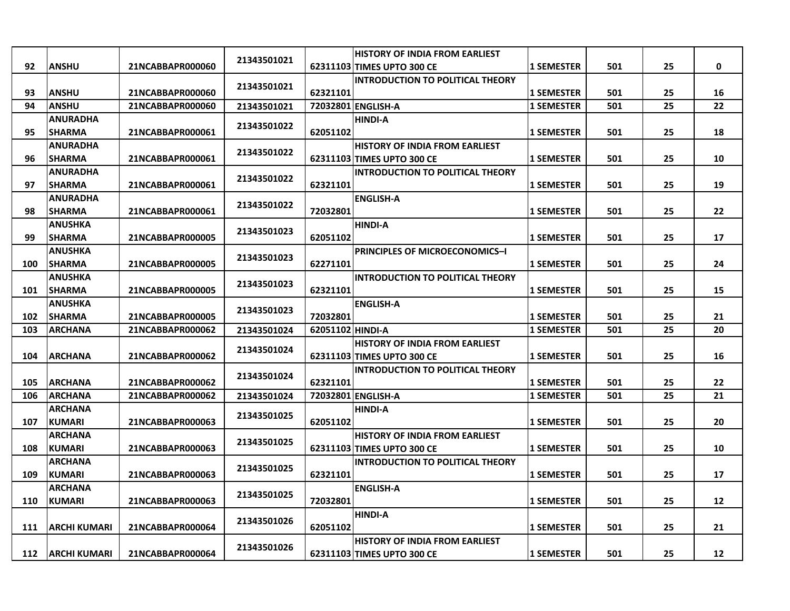|     |                     |                  |             |                  | <b>HISTORY OF INDIA FROM EARLIEST</b>   |                   |     |    |             |
|-----|---------------------|------------------|-------------|------------------|-----------------------------------------|-------------------|-----|----|-------------|
| 92  | <b>ANSHU</b>        | 21NCABBAPR000060 | 21343501021 |                  | 62311103 TIMES UPTO 300 CE              | 1 SEMESTER        | 501 | 25 | $\mathbf 0$ |
|     |                     |                  | 21343501021 |                  | <b>INTRODUCTION TO POLITICAL THEORY</b> |                   |     |    |             |
| 93  | <b>ANSHU</b>        | 21NCABBAPR000060 |             | 62321101         |                                         | <b>1 SEMESTER</b> | 501 | 25 | 16          |
| 94  | <b>ANSHU</b>        | 21NCABBAPR000060 | 21343501021 |                  | 72032801 ENGLISH-A                      | <b>1 SEMESTER</b> | 501 | 25 | 22          |
|     | <b>ANURADHA</b>     |                  | 21343501022 |                  | <b>HINDI-A</b>                          |                   |     |    |             |
| 95  | <b>SHARMA</b>       | 21NCABBAPR000061 |             | 62051102         |                                         | <b>1 SEMESTER</b> | 501 | 25 | 18          |
|     | <b>ANURADHA</b>     |                  |             |                  | <b>HISTORY OF INDIA FROM EARLIEST</b>   |                   |     |    |             |
| 96  | <b>SHARMA</b>       | 21NCABBAPR000061 | 21343501022 |                  | 62311103 TIMES UPTO 300 CE              | <b>1 SEMESTER</b> | 501 | 25 | 10          |
|     | <b>ANURADHA</b>     |                  |             |                  | <b>INTRODUCTION TO POLITICAL THEORY</b> |                   |     |    |             |
| 97  | <b>SHARMA</b>       | 21NCABBAPR000061 | 21343501022 | 62321101         |                                         | <b>1 SEMESTER</b> | 501 | 25 | 19          |
|     | ANURADHA            |                  |             |                  | <b>ENGLISH-A</b>                        |                   |     |    |             |
| 98  | <b>SHARMA</b>       | 21NCABBAPR000061 | 21343501022 | 72032801         |                                         | <b>1 SEMESTER</b> | 501 | 25 | 22          |
|     | <b>ANUSHKA</b>      |                  |             |                  | <b>HINDI-A</b>                          |                   |     |    |             |
| 99  | <b>SHARMA</b>       | 21NCABBAPR000005 | 21343501023 | 62051102         |                                         | <b>1 SEMESTER</b> | 501 | 25 | 17          |
|     | <b>ANUSHKA</b>      |                  |             |                  | PRINCIPLES OF MICROECONOMICS-I          |                   |     |    |             |
| 100 | <b>SHARMA</b>       | 21NCABBAPR000005 | 21343501023 | 62271101         |                                         | <b>1 SEMESTER</b> | 501 | 25 | 24          |
|     | <b>ANUSHKA</b>      |                  |             |                  | <b>INTRODUCTION TO POLITICAL THEORY</b> |                   |     |    |             |
| 101 | <b>SHARMA</b>       | 21NCABBAPR000005 | 21343501023 | 62321101         |                                         | 1 SEMESTER        | 501 | 25 | 15          |
|     | ANUSHKA             |                  |             |                  | <b>ENGLISH-A</b>                        |                   |     |    |             |
| 102 | <b>SHARMA</b>       | 21NCABBAPR000005 | 21343501023 | 72032801         |                                         | <b>1 SEMESTER</b> | 501 | 25 | 21          |
| 103 | <b>ARCHANA</b>      | 21NCABBAPR000062 | 21343501024 | 62051102 HINDI-A |                                         | <b>1 SEMESTER</b> | 501 | 25 | 20          |
|     |                     |                  |             |                  | <b>HISTORY OF INDIA FROM EARLIEST</b>   |                   |     |    |             |
| 104 | <b>ARCHANA</b>      | 21NCABBAPR000062 | 21343501024 |                  | 62311103 TIMES UPTO 300 CE              | 1 SEMESTER        | 501 | 25 | 16          |
|     |                     |                  | 21343501024 |                  | <b>INTRODUCTION TO POLITICAL THEORY</b> |                   |     |    |             |
| 105 | <b>ARCHANA</b>      | 21NCABBAPR000062 |             | 62321101         |                                         | <b>1 SEMESTER</b> | 501 | 25 | 22          |
| 106 | <b>ARCHANA</b>      | 21NCABBAPR000062 | 21343501024 |                  | 72032801 ENGLISH-A                      | <b>1 SEMESTER</b> | 501 | 25 | 21          |
|     | <b>ARCHANA</b>      |                  | 21343501025 |                  | <b>HINDI-A</b>                          |                   |     |    |             |
| 107 | <b>KUMARI</b>       | 21NCABBAPR000063 |             | 62051102         |                                         | <b>1 SEMESTER</b> | 501 | 25 | 20          |
|     | <b>ARCHANA</b>      |                  | 21343501025 |                  | <b>HISTORY OF INDIA FROM EARLIEST</b>   |                   |     |    |             |
| 108 | <b>KUMARI</b>       | 21NCABBAPR000063 |             |                  | 62311103 TIMES UPTO 300 CE              | <b>1 SEMESTER</b> | 501 | 25 | 10          |
|     | ARCHANA             |                  | 21343501025 |                  | <b>INTRODUCTION TO POLITICAL THEORY</b> |                   |     |    |             |
| 109 | <b>KUMARI</b>       | 21NCABBAPR000063 |             | 62321101         |                                         | <b>1 SEMESTER</b> | 501 | 25 | 17          |
|     | <b>ARCHANA</b>      |                  |             |                  | <b>ENGLISH-A</b>                        |                   |     |    |             |
| 110 | <b>KUMARI</b>       | 21NCABBAPR000063 | 21343501025 | 72032801         |                                         | <b>1 SEMESTER</b> | 501 | 25 | 12          |
|     |                     |                  |             |                  | <b>HINDI-A</b>                          |                   |     |    |             |
| 111 | <b>ARCHI KUMARI</b> | 21NCABBAPR000064 | 21343501026 | 62051102         |                                         | <b>1 SEMESTER</b> | 501 | 25 | 21          |
|     |                     |                  |             |                  | <b>HISTORY OF INDIA FROM EARLIEST</b>   |                   |     |    |             |
| 112 | <b>ARCHI KUMARI</b> | 21NCABBAPR000064 | 21343501026 |                  | 62311103 TIMES UPTO 300 CE              | <b>1 SEMESTER</b> | 501 | 25 | 12          |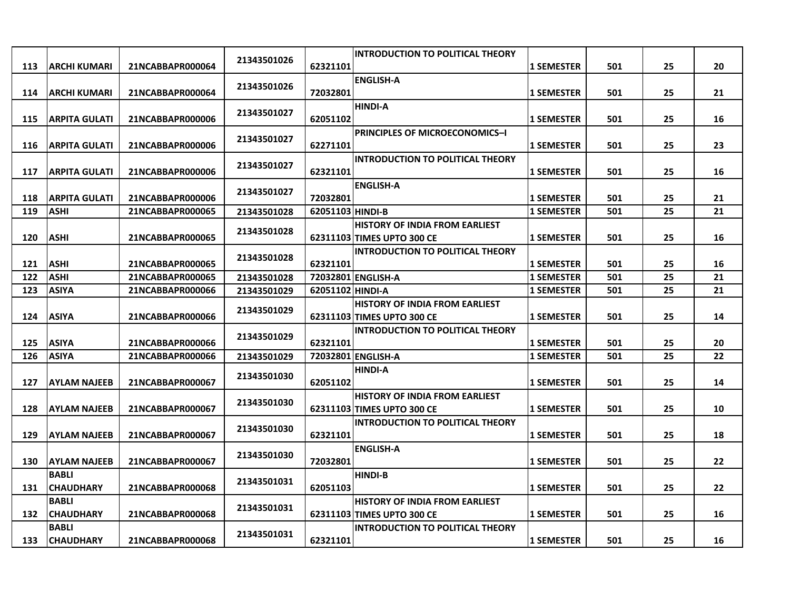| 21343501026<br>62321101<br>501<br>25<br>20<br>113<br><b>ARCHI KUMARI</b><br>21NCABBAPR000064<br><b>1 SEMESTER</b><br><b>ENGLISH-A</b><br>21343501026<br><b>ARCHI KUMARI</b><br>501<br>25<br>114<br>21NCABBAPR000064<br>72032801<br><b>1 SEMESTER</b><br>21<br><b>HINDI-A</b><br>21343501027<br>501<br>16<br>115<br><b>ARPITA GULATI</b><br>21NCABBAPR000006<br>62051102<br>25<br><b>1 SEMESTER</b><br><b>PRINCIPLES OF MICROECONOMICS-I</b><br>21343501027<br><b>ARPITA GULATI</b><br>21NCABBAPR000006<br>62271101<br>501<br>25<br>23<br>116<br><b>1 SEMESTER</b><br><b>INTRODUCTION TO POLITICAL THEORY</b><br>21343501027<br><b>ARPITA GULATI</b><br>25<br>117<br>21NCABBAPR000006<br>62321101<br><b>1 SEMESTER</b><br>501<br>16<br><b>ENGLISH-A</b><br>21343501027<br>72032801<br><b>ARPITA GULATI</b><br>21NCABBAPR000006<br>501<br>25<br>21<br>118<br><b>1 SEMESTER</b><br>119<br>62051103 HINDI-B<br>25<br>21<br><b>ASHI</b><br>21NCABBAPR000065<br><b>1 SEMESTER</b><br>501<br>21343501028<br><b>HISTORY OF INDIA FROM EARLIEST</b><br>21343501028<br><b>ASHI</b><br>501<br>25<br>16<br>120<br>21NCABBAPR000065<br>62311103 TIMES UPTO 300 CE<br><b>1 SEMESTER</b><br><b>INTRODUCTION TO POLITICAL THEORY</b><br>21343501028<br><b>ASHI</b><br>21NCABBAPR000065<br>62321101<br><b>1 SEMESTER</b><br>501<br>25<br>121<br>16 |
|-----------------------------------------------------------------------------------------------------------------------------------------------------------------------------------------------------------------------------------------------------------------------------------------------------------------------------------------------------------------------------------------------------------------------------------------------------------------------------------------------------------------------------------------------------------------------------------------------------------------------------------------------------------------------------------------------------------------------------------------------------------------------------------------------------------------------------------------------------------------------------------------------------------------------------------------------------------------------------------------------------------------------------------------------------------------------------------------------------------------------------------------------------------------------------------------------------------------------------------------------------------------------------------------------------------------------------------|
|                                                                                                                                                                                                                                                                                                                                                                                                                                                                                                                                                                                                                                                                                                                                                                                                                                                                                                                                                                                                                                                                                                                                                                                                                                                                                                                                   |
|                                                                                                                                                                                                                                                                                                                                                                                                                                                                                                                                                                                                                                                                                                                                                                                                                                                                                                                                                                                                                                                                                                                                                                                                                                                                                                                                   |
|                                                                                                                                                                                                                                                                                                                                                                                                                                                                                                                                                                                                                                                                                                                                                                                                                                                                                                                                                                                                                                                                                                                                                                                                                                                                                                                                   |
|                                                                                                                                                                                                                                                                                                                                                                                                                                                                                                                                                                                                                                                                                                                                                                                                                                                                                                                                                                                                                                                                                                                                                                                                                                                                                                                                   |
|                                                                                                                                                                                                                                                                                                                                                                                                                                                                                                                                                                                                                                                                                                                                                                                                                                                                                                                                                                                                                                                                                                                                                                                                                                                                                                                                   |
|                                                                                                                                                                                                                                                                                                                                                                                                                                                                                                                                                                                                                                                                                                                                                                                                                                                                                                                                                                                                                                                                                                                                                                                                                                                                                                                                   |
|                                                                                                                                                                                                                                                                                                                                                                                                                                                                                                                                                                                                                                                                                                                                                                                                                                                                                                                                                                                                                                                                                                                                                                                                                                                                                                                                   |
|                                                                                                                                                                                                                                                                                                                                                                                                                                                                                                                                                                                                                                                                                                                                                                                                                                                                                                                                                                                                                                                                                                                                                                                                                                                                                                                                   |
|                                                                                                                                                                                                                                                                                                                                                                                                                                                                                                                                                                                                                                                                                                                                                                                                                                                                                                                                                                                                                                                                                                                                                                                                                                                                                                                                   |
|                                                                                                                                                                                                                                                                                                                                                                                                                                                                                                                                                                                                                                                                                                                                                                                                                                                                                                                                                                                                                                                                                                                                                                                                                                                                                                                                   |
|                                                                                                                                                                                                                                                                                                                                                                                                                                                                                                                                                                                                                                                                                                                                                                                                                                                                                                                                                                                                                                                                                                                                                                                                                                                                                                                                   |
|                                                                                                                                                                                                                                                                                                                                                                                                                                                                                                                                                                                                                                                                                                                                                                                                                                                                                                                                                                                                                                                                                                                                                                                                                                                                                                                                   |
|                                                                                                                                                                                                                                                                                                                                                                                                                                                                                                                                                                                                                                                                                                                                                                                                                                                                                                                                                                                                                                                                                                                                                                                                                                                                                                                                   |
|                                                                                                                                                                                                                                                                                                                                                                                                                                                                                                                                                                                                                                                                                                                                                                                                                                                                                                                                                                                                                                                                                                                                                                                                                                                                                                                                   |
|                                                                                                                                                                                                                                                                                                                                                                                                                                                                                                                                                                                                                                                                                                                                                                                                                                                                                                                                                                                                                                                                                                                                                                                                                                                                                                                                   |
|                                                                                                                                                                                                                                                                                                                                                                                                                                                                                                                                                                                                                                                                                                                                                                                                                                                                                                                                                                                                                                                                                                                                                                                                                                                                                                                                   |
| <b>ASHI</b><br>501<br>25<br>122<br>21NCABBAPR000065<br>72032801 ENGLISH-A<br><b>1 SEMESTER</b><br>21<br>21343501028                                                                                                                                                                                                                                                                                                                                                                                                                                                                                                                                                                                                                                                                                                                                                                                                                                                                                                                                                                                                                                                                                                                                                                                                               |
| <b>ASIYA</b><br>25<br>123<br>21NCABBAPR000066<br>21343501029<br>62051102 HINDI-A<br><b>1 SEMESTER</b><br>501<br>21                                                                                                                                                                                                                                                                                                                                                                                                                                                                                                                                                                                                                                                                                                                                                                                                                                                                                                                                                                                                                                                                                                                                                                                                                |
| <b>HISTORY OF INDIA FROM EARLIEST</b><br>21343501029                                                                                                                                                                                                                                                                                                                                                                                                                                                                                                                                                                                                                                                                                                                                                                                                                                                                                                                                                                                                                                                                                                                                                                                                                                                                              |
| 501<br>124<br><b>ASIYA</b><br>21NCABBAPR000066<br>62311103 TIMES UPTO 300 CE<br>25<br>14<br><b>1 SEMESTER</b>                                                                                                                                                                                                                                                                                                                                                                                                                                                                                                                                                                                                                                                                                                                                                                                                                                                                                                                                                                                                                                                                                                                                                                                                                     |
| <b>INTRODUCTION TO POLITICAL THEORY</b><br>21343501029                                                                                                                                                                                                                                                                                                                                                                                                                                                                                                                                                                                                                                                                                                                                                                                                                                                                                                                                                                                                                                                                                                                                                                                                                                                                            |
| 125<br><b>ASIYA</b><br>62321101<br><b>1 SEMESTER</b><br>501<br>25<br>20<br>21NCABBAPR000066                                                                                                                                                                                                                                                                                                                                                                                                                                                                                                                                                                                                                                                                                                                                                                                                                                                                                                                                                                                                                                                                                                                                                                                                                                       |
| <b>ASIYA</b><br>72032801 ENGLISH-A<br>501<br>25<br>22<br>126<br>21NCABBAPR000066<br>21343501029<br><b>1 SEMESTER</b>                                                                                                                                                                                                                                                                                                                                                                                                                                                                                                                                                                                                                                                                                                                                                                                                                                                                                                                                                                                                                                                                                                                                                                                                              |
| <b>HINDI-A</b><br>21343501030                                                                                                                                                                                                                                                                                                                                                                                                                                                                                                                                                                                                                                                                                                                                                                                                                                                                                                                                                                                                                                                                                                                                                                                                                                                                                                     |
| 501<br>25<br>127<br><b>AYLAM NAJEEB</b><br>21NCABBAPR000067<br>62051102<br><b>1 SEMESTER</b><br>14                                                                                                                                                                                                                                                                                                                                                                                                                                                                                                                                                                                                                                                                                                                                                                                                                                                                                                                                                                                                                                                                                                                                                                                                                                |
| <b>HISTORY OF INDIA FROM EARLIEST</b><br>21343501030<br>501<br>10                                                                                                                                                                                                                                                                                                                                                                                                                                                                                                                                                                                                                                                                                                                                                                                                                                                                                                                                                                                                                                                                                                                                                                                                                                                                 |
| 128<br><b>1 SEMESTER</b><br>25<br>AYLAM NAJEEB<br>21NCABBAPR000067<br>62311103 TIMES UPTO 300 CE                                                                                                                                                                                                                                                                                                                                                                                                                                                                                                                                                                                                                                                                                                                                                                                                                                                                                                                                                                                                                                                                                                                                                                                                                                  |
| <b>INTRODUCTION TO POLITICAL THEORY</b><br>21343501030<br>129<br><b>AYLAM NAJEEB</b><br>62321101<br>501<br>25<br>18<br>21NCABBAPR000067<br><b>1 SEMESTER</b>                                                                                                                                                                                                                                                                                                                                                                                                                                                                                                                                                                                                                                                                                                                                                                                                                                                                                                                                                                                                                                                                                                                                                                      |
| <b>ENGLISH-A</b>                                                                                                                                                                                                                                                                                                                                                                                                                                                                                                                                                                                                                                                                                                                                                                                                                                                                                                                                                                                                                                                                                                                                                                                                                                                                                                                  |
| 21343501030<br>72032801<br>501<br>25<br>22<br>130<br><b>AYLAM NAJEEB</b><br>21NCABBAPR000067<br><b>1 SEMESTER</b>                                                                                                                                                                                                                                                                                                                                                                                                                                                                                                                                                                                                                                                                                                                                                                                                                                                                                                                                                                                                                                                                                                                                                                                                                 |
| <b>BABLI</b><br><b>HINDI-B</b>                                                                                                                                                                                                                                                                                                                                                                                                                                                                                                                                                                                                                                                                                                                                                                                                                                                                                                                                                                                                                                                                                                                                                                                                                                                                                                    |
| 21343501031<br><b>CHAUDHARY</b><br>22<br>131<br>21NCABBAPR000068<br>62051103<br><b>1 SEMESTER</b><br>501<br>25                                                                                                                                                                                                                                                                                                                                                                                                                                                                                                                                                                                                                                                                                                                                                                                                                                                                                                                                                                                                                                                                                                                                                                                                                    |
| <b>BABLI</b><br>HISTORY OF INDIA FROM EARLIEST                                                                                                                                                                                                                                                                                                                                                                                                                                                                                                                                                                                                                                                                                                                                                                                                                                                                                                                                                                                                                                                                                                                                                                                                                                                                                    |
| 21343501031<br>21NCABBAPR000068<br>62311103 TIMES UPTO 300 CE<br>25<br>132<br><b>CHAUDHARY</b><br><b>1 SEMESTER</b><br>501<br>16                                                                                                                                                                                                                                                                                                                                                                                                                                                                                                                                                                                                                                                                                                                                                                                                                                                                                                                                                                                                                                                                                                                                                                                                  |
| <b>BABLI</b><br><b>INTRODUCTION TO POLITICAL THEORY</b>                                                                                                                                                                                                                                                                                                                                                                                                                                                                                                                                                                                                                                                                                                                                                                                                                                                                                                                                                                                                                                                                                                                                                                                                                                                                           |
| 21343501031<br><b>CHAUDHARY</b><br>21NCABBAPR000068<br>62321101<br><b>1 SEMESTER</b><br>501<br>25<br>16<br>133                                                                                                                                                                                                                                                                                                                                                                                                                                                                                                                                                                                                                                                                                                                                                                                                                                                                                                                                                                                                                                                                                                                                                                                                                    |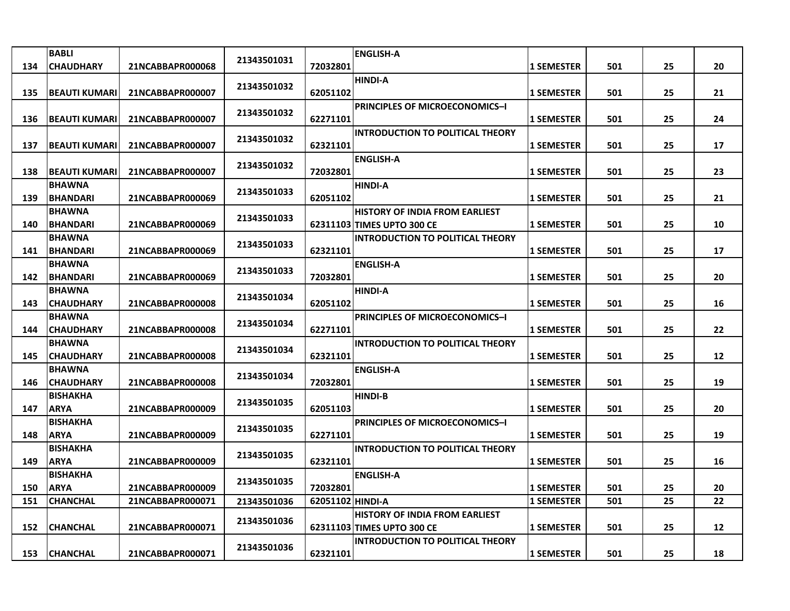|            | <b>BABLI</b>                                                     |                                                          | 21343501031                               |                                          | <b>ENGLISH-A</b>                        |                                                             |                   |          |    |
|------------|------------------------------------------------------------------|----------------------------------------------------------|-------------------------------------------|------------------------------------------|-----------------------------------------|-------------------------------------------------------------|-------------------|----------|----|
| 134        | <b>CHAUDHARY</b>                                                 | 21NCABBAPR000068                                         |                                           | 72032801                                 |                                         | 1 SEMESTER                                                  | 501               | 25       | 20 |
| 135        | <b>BEAUTI KUMARI</b>                                             | 21NCABBAPR000007                                         | 21343501032                               | 62051102                                 | <b>HINDI-A</b>                          | <b>1 SEMESTER</b>                                           | 501               | 25       | 21 |
|            |                                                                  |                                                          | 21343501032                               |                                          | <b>PRINCIPLES OF MICROECONOMICS-I</b>   |                                                             |                   |          |    |
| 136        | <b>BEAUTI KUMARI</b>                                             | 21NCABBAPR000007                                         |                                           | 62271101                                 |                                         | <b>1 SEMESTER</b>                                           | 501               | 25       | 24 |
| 137        | <b>BEAUTI KUMARI</b>                                             | 21NCABBAPR000007                                         | 21343501032                               | 62321101                                 | <b>INTRODUCTION TO POLITICAL THEORY</b> | <b>1 SEMESTER</b>                                           | 501               | 25       | 17 |
| 138        | <b>BEAUTI KUMARI</b>                                             | 21NCABBAPR000007                                         | 21343501032                               | 72032801                                 | <b>ENGLISH-A</b>                        | 1 SEMESTER                                                  | 501               | 25       | 23 |
| 139        | <b>BHAWNA</b><br><b>BHANDARI</b>                                 | 21NCABBAPR000069                                         | 21343501033                               | 62051102                                 | <b>HINDI-A</b>                          | 1 SEMESTER                                                  | 501               | 25       | 21 |
|            | <b>BHAWNA</b>                                                    |                                                          |                                           |                                          | <b>HISTORY OF INDIA FROM EARLIEST</b>   |                                                             |                   |          |    |
| 140        | <b>BHANDARI</b>                                                  | 21NCABBAPR000069                                         | 21343501033                               |                                          | 62311103 TIMES UPTO 300 CE              | <b>1 SEMESTER</b>                                           | 501               | 25       | 10 |
|            | <b>BHAWNA</b>                                                    |                                                          | 21343501033                               |                                          | <b>INTRODUCTION TO POLITICAL THEORY</b> |                                                             |                   |          |    |
| 141        | <b>BHANDARI</b>                                                  | 21NCABBAPR000069                                         |                                           | 62321101                                 |                                         | <b>1 SEMESTER</b>                                           | 501               | 25       | 17 |
|            | <b>BHAWNA</b>                                                    |                                                          | 21343501033                               |                                          | <b>ENGLISH-A</b>                        |                                                             |                   |          |    |
| 142        | <b>BHANDARI</b>                                                  | 21NCABBAPR000069                                         |                                           | 72032801                                 |                                         | <b>1 SEMESTER</b>                                           | 501               | 25       | 20 |
| 143        | <b>BHAWNA</b><br><b>CHAUDHARY</b>                                | 21NCABBAPR000008                                         | 21343501034                               | 62051102                                 | <b>HINDI-A</b>                          | <b>1 SEMESTER</b>                                           | 501               | 25       | 16 |
|            | <b>BHAWNA</b>                                                    |                                                          | 21343501034                               |                                          | <b>PRINCIPLES OF MICROECONOMICS-I</b>   |                                                             |                   |          |    |
| 144        | <b>CHAUDHARY</b>                                                 | 21NCABBAPR000008                                         |                                           | 62271101                                 |                                         | <b>1 SEMESTER</b>                                           | 501               | 25       | 22 |
| 145        | <b>BHAWNA</b><br><b>CHAUDHARY</b>                                | 21NCABBAPR000008                                         | 21343501034                               | 62321101                                 | <b>INTRODUCTION TO POLITICAL THEORY</b> | <b>1 SEMESTER</b>                                           | 501               | 25       | 12 |
| 146        | <b>BHAWNA</b><br><b>CHAUDHARY</b>                                | 21NCABBAPR000008                                         | 21343501034                               | 72032801                                 | <b>ENGLISH-A</b>                        | <b>1 SEMESTER</b>                                           | 501               | 25       | 19 |
|            | <b>BISHAKHA</b>                                                  |                                                          |                                           |                                          | <b>HINDI-B</b>                          |                                                             |                   |          |    |
| 147        | <b>ARYA</b>                                                      | 21NCABBAPR000009                                         | 21343501035                               | 62051103                                 |                                         | <b>1 SEMESTER</b>                                           | 501               | 25       | 20 |
|            | <b>BISHAKHA</b>                                                  |                                                          |                                           |                                          | PRINCIPLES OF MICROECONOMICS-I          |                                                             |                   |          |    |
| 148        | <b>ARYA</b>                                                      | 21NCABBAPR000009                                         |                                           | 62271101                                 |                                         | <b>1 SEMESTER</b>                                           | 501               | 25       | 19 |
|            | BISHAKHA                                                         |                                                          | 21343501035                               |                                          | <b>INTRODUCTION TO POLITICAL THEORY</b> |                                                             |                   |          |    |
|            |                                                                  |                                                          |                                           |                                          |                                         |                                                             |                   |          | 16 |
|            |                                                                  |                                                          | 21343501035                               |                                          |                                         |                                                             |                   |          | 20 |
| 151        |                                                                  |                                                          |                                           |                                          |                                         |                                                             |                   | 25       | 22 |
|            |                                                                  |                                                          |                                           |                                          | <b>HISTORY OF INDIA FROM EARLIEST</b>   |                                                             |                   |          |    |
| 152        | <b>CHANCHAL</b>                                                  | 21NCABBAPR000071                                         |                                           |                                          | 62311103 TIMES UPTO 300 CE              | <b>1 SEMESTER</b>                                           | 501               | 25       | 12 |
| 153        | <b>CHANCHAL</b>                                                  | 21NCABBAPR000071                                         | 21343501036                               | 62321101                                 | <b>INTRODUCTION TO POLITICAL THEORY</b> | <b>1 SEMESTER</b>                                           | 501               | 25       | 18 |
| 149<br>150 | <b>ARYA</b><br><b>BISHAKHA</b><br><b>ARYA</b><br><b>CHANCHAL</b> | 21NCABBAPR000009<br>21NCABBAPR000009<br>21NCABBAPR000071 | 21343501035<br>21343501036<br>21343501036 | 62321101<br>72032801<br>62051102 HINDI-A | <b>ENGLISH-A</b>                        | <b>1 SEMESTER</b><br><b>1 SEMESTER</b><br><b>1 SEMESTER</b> | 501<br>501<br>501 | 25<br>25 |    |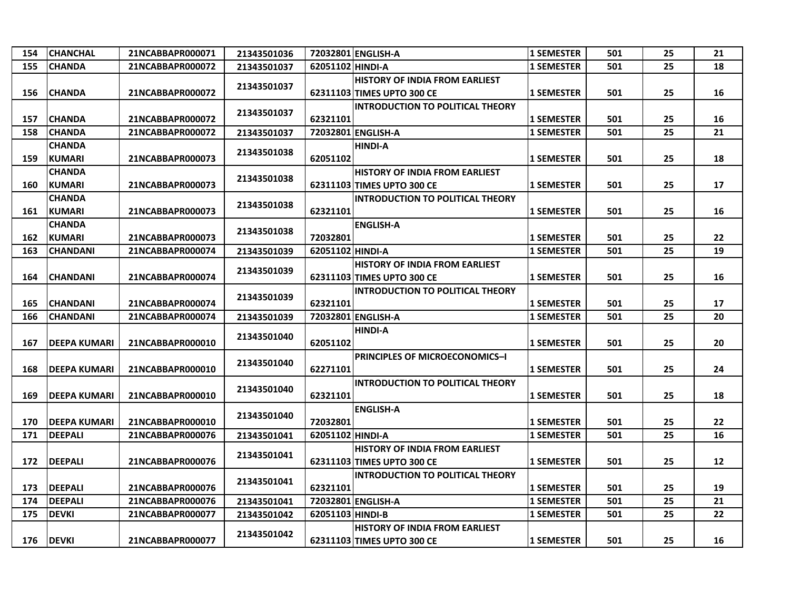| 154 | <b>CHANCHAL</b>     | 21NCABBAPR000071 | 21343501036 |                  | 72032801 ENGLISH-A                      | 1 SEMESTER        | 501 | 25 | 21 |
|-----|---------------------|------------------|-------------|------------------|-----------------------------------------|-------------------|-----|----|----|
| 155 | <b>CHANDA</b>       | 21NCABBAPR000072 | 21343501037 | 62051102 HINDI-A |                                         | <b>1 SEMESTER</b> | 501 | 25 | 18 |
|     |                     |                  | 21343501037 |                  | <b>HISTORY OF INDIA FROM EARLIEST</b>   |                   |     |    |    |
| 156 | <b>CHANDA</b>       | 21NCABBAPR000072 |             |                  | 62311103 TIMES UPTO 300 CE              | <b>1 SEMESTER</b> | 501 | 25 | 16 |
|     |                     |                  | 21343501037 |                  | <b>INTRODUCTION TO POLITICAL THEORY</b> |                   |     |    |    |
| 157 | <b>CHANDA</b>       | 21NCABBAPR000072 |             | 62321101         |                                         | <b>1 SEMESTER</b> | 501 | 25 | 16 |
| 158 | <b>CHANDA</b>       | 21NCABBAPR000072 | 21343501037 |                  | 72032801 ENGLISH-A                      | <b>1 SEMESTER</b> | 501 | 25 | 21 |
|     | <b>CHANDA</b>       |                  | 21343501038 |                  | <b>HINDI-A</b>                          |                   |     |    |    |
| 159 | KUMARI              | 21NCABBAPR000073 |             | 62051102         |                                         | <b>1 SEMESTER</b> | 501 | 25 | 18 |
|     | <b>CHANDA</b>       |                  | 21343501038 |                  | <b>HISTORY OF INDIA FROM EARLIEST</b>   |                   |     |    |    |
| 160 | KUMARI              | 21NCABBAPR000073 |             |                  | 62311103 TIMES UPTO 300 CE              | <b>1 SEMESTER</b> | 501 | 25 | 17 |
|     | <b>CHANDA</b>       |                  | 21343501038 |                  | <b>INTRODUCTION TO POLITICAL THEORY</b> |                   |     |    |    |
| 161 | <b>KUMARI</b>       | 21NCABBAPR000073 |             | 62321101         |                                         | <b>1 SEMESTER</b> | 501 | 25 | 16 |
|     | <b>CHANDA</b>       |                  | 21343501038 |                  | <b>ENGLISH-A</b>                        |                   |     |    |    |
| 162 | <b>KUMARI</b>       | 21NCABBAPR000073 |             | 72032801         |                                         | <b>1 SEMESTER</b> | 501 | 25 | 22 |
| 163 | <b>CHANDANI</b>     | 21NCABBAPR000074 | 21343501039 | 62051102 HINDI-A |                                         | <b>1 SEMESTER</b> | 501 | 25 | 19 |
|     |                     |                  | 21343501039 |                  | <b>HISTORY OF INDIA FROM EARLIEST</b>   |                   |     |    |    |
| 164 | <b>CHANDANI</b>     | 21NCABBAPR000074 |             |                  | 62311103 TIMES UPTO 300 CE              | <b>1 SEMESTER</b> | 501 | 25 | 16 |
|     |                     |                  | 21343501039 |                  | <b>INTRODUCTION TO POLITICAL THEORY</b> |                   |     |    |    |
| 165 | <b>CHANDANI</b>     | 21NCABBAPR000074 |             | 62321101         |                                         | <b>1 SEMESTER</b> | 501 | 25 | 17 |
| 166 | <b>CHANDANI</b>     | 21NCABBAPR000074 | 21343501039 |                  | 72032801 ENGLISH-A                      | <b>1 SEMESTER</b> | 501 | 25 | 20 |
|     |                     |                  | 21343501040 |                  | <b>HINDI-A</b>                          |                   |     |    |    |
| 167 | <b>DEEPA KUMARI</b> | 21NCABBAPR000010 |             | 62051102         |                                         | <b>1 SEMESTER</b> | 501 | 25 | 20 |
|     |                     |                  | 21343501040 |                  | <b>PRINCIPLES OF MICROECONOMICS-I</b>   |                   |     |    |    |
| 168 | <b>DEEPA KUMARI</b> | 21NCABBAPR000010 |             | 62271101         |                                         | <b>1 SEMESTER</b> | 501 | 25 | 24 |
|     |                     |                  | 21343501040 |                  | <b>INTRODUCTION TO POLITICAL THEORY</b> |                   |     |    |    |
| 169 | <b>DEEPA KUMARI</b> | 21NCABBAPR000010 |             | 62321101         |                                         | <b>1 SEMESTER</b> | 501 | 25 | 18 |
|     |                     |                  | 21343501040 |                  | <b>ENGLISH-A</b>                        |                   |     |    |    |
| 170 | <b>DEEPA KUMARI</b> | 21NCABBAPR000010 |             | 72032801         |                                         | <b>1 SEMESTER</b> | 501 | 25 | 22 |
| 171 | <b>DEEPALI</b>      | 21NCABBAPR000076 | 21343501041 | 62051102 HINDI-A |                                         | <b>1 SEMESTER</b> | 501 | 25 | 16 |
|     |                     |                  | 21343501041 |                  | <b>HISTORY OF INDIA FROM EARLIEST</b>   |                   |     |    |    |
| 172 | <b>DEEPALI</b>      | 21NCABBAPR000076 |             |                  | 62311103 TIMES UPTO 300 CE              | <b>1 SEMESTER</b> | 501 | 25 | 12 |
|     |                     |                  | 21343501041 |                  | <b>INTRODUCTION TO POLITICAL THEORY</b> |                   |     |    |    |
| 173 | <b>DEEPALI</b>      | 21NCABBAPR000076 |             | 62321101         |                                         | <b>1 SEMESTER</b> | 501 | 25 | 19 |
| 174 | <b>DEEPALI</b>      | 21NCABBAPR000076 | 21343501041 |                  | 72032801 ENGLISH-A                      | <b>1 SEMESTER</b> | 501 | 25 | 21 |
| 175 | <b>DEVKI</b>        | 21NCABBAPR000077 | 21343501042 | 62051103 HINDI-B |                                         | <b>1 SEMESTER</b> | 501 | 25 | 22 |
|     |                     |                  | 21343501042 |                  | <b>HISTORY OF INDIA FROM EARLIEST</b>   |                   |     |    |    |
| 176 | <b>DEVKI</b>        | 21NCABBAPR000077 |             |                  | 62311103 TIMES UPTO 300 CE              | <b>1 SEMESTER</b> | 501 | 25 | 16 |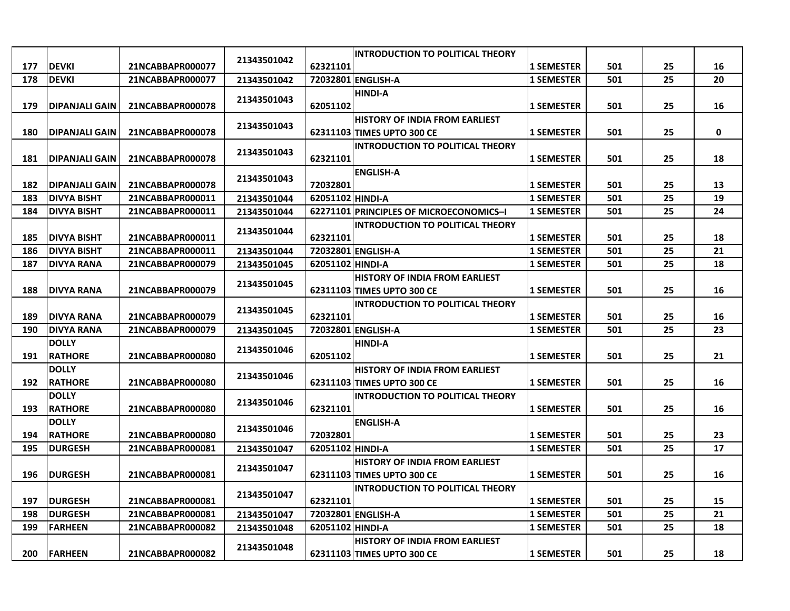|     |                        |                  |             |                  | <b>INTRODUCTION TO POLITICAL THEORY</b> |                   |     |    |    |
|-----|------------------------|------------------|-------------|------------------|-----------------------------------------|-------------------|-----|----|----|
| 177 | <b>DEVKI</b>           | 21NCABBAPR000077 | 21343501042 | 62321101         |                                         | <b>1 SEMESTER</b> | 501 | 25 | 16 |
| 178 | <b>DEVKI</b>           | 21NCABBAPR000077 | 21343501042 |                  | 72032801 ENGLISH-A                      | <b>1 SEMESTER</b> | 501 | 25 | 20 |
|     |                        |                  |             |                  | <b>HINDI-A</b>                          |                   |     |    |    |
| 179 | <b>IDIPANJALI GAIN</b> | 21NCABBAPR000078 | 21343501043 | 62051102         |                                         | <b>1 SEMESTER</b> | 501 | 25 | 16 |
|     |                        |                  |             |                  | <b>HISTORY OF INDIA FROM EARLIEST</b>   |                   |     |    |    |
| 180 | DIPANJALI GAIN         | 21NCABBAPR000078 | 21343501043 |                  | 62311103 TIMES UPTO 300 CE              | <b>1 SEMESTER</b> | 501 | 25 | 0  |
|     |                        |                  | 21343501043 |                  | <b>INTRODUCTION TO POLITICAL THEORY</b> |                   |     |    |    |
| 181 | <b>DIPANJALI GAIN</b>  | 21NCABBAPR000078 |             | 62321101         |                                         | <b>1 SEMESTER</b> | 501 | 25 | 18 |
|     |                        |                  | 21343501043 |                  | <b>ENGLISH-A</b>                        |                   |     |    |    |
| 182 | <b>IDIPANJALI GAIN</b> | 21NCABBAPR000078 |             | 72032801         |                                         | <b>1 SEMESTER</b> | 501 | 25 | 13 |
| 183 | <b>DIVYA BISHT</b>     | 21NCABBAPR000011 | 21343501044 | 62051102 HINDI-A |                                         | <b>1 SEMESTER</b> | 501 | 25 | 19 |
| 184 | <b>DIVYA BISHT</b>     | 21NCABBAPR000011 | 21343501044 |                  | 62271101 PRINCIPLES OF MICROECONOMICS-I | <b>1 SEMESTER</b> | 501 | 25 | 24 |
|     |                        |                  | 21343501044 |                  | <b>INTRODUCTION TO POLITICAL THEORY</b> |                   |     |    |    |
| 185 | <b>DIVYA BISHT</b>     | 21NCABBAPR000011 |             | 62321101         |                                         | <b>1 SEMESTER</b> | 501 | 25 | 18 |
| 186 | <b>DIVYA BISHT</b>     | 21NCABBAPR000011 | 21343501044 |                  | 72032801 ENGLISH-A                      | <b>1 SEMESTER</b> | 501 | 25 | 21 |
| 187 | <b>DIVYA RANA</b>      | 21NCABBAPR000079 | 21343501045 | 62051102 HINDI-A |                                         | <b>1 SEMESTER</b> | 501 | 25 | 18 |
|     |                        |                  | 21343501045 |                  | <b>HISTORY OF INDIA FROM EARLIEST</b>   |                   |     |    |    |
| 188 | <b>DIVYA RANA</b>      | 21NCABBAPR000079 |             |                  | 62311103 TIMES UPTO 300 CE              | <b>1 SEMESTER</b> | 501 | 25 | 16 |
|     |                        |                  | 21343501045 |                  | <b>INTRODUCTION TO POLITICAL THEORY</b> |                   |     |    |    |
| 189 | <b>DIVYA RANA</b>      | 21NCABBAPR000079 |             | 62321101         |                                         | <b>1 SEMESTER</b> | 501 | 25 | 16 |
| 190 | <b>DIVYA RANA</b>      | 21NCABBAPR000079 | 21343501045 |                  | 72032801 ENGLISH-A                      | <b>1 SEMESTER</b> | 501 | 25 | 23 |
|     | <b>DOLLY</b>           |                  | 21343501046 |                  | <b>HINDI-A</b>                          |                   |     |    |    |
| 191 | <b>RATHORE</b>         | 21NCABBAPR000080 |             | 62051102         |                                         | <b>1 SEMESTER</b> | 501 | 25 | 21 |
|     | <b>DOLLY</b>           |                  | 21343501046 |                  | <b>HISTORY OF INDIA FROM EARLIEST</b>   |                   |     |    |    |
| 192 | <b>RATHORE</b>         | 21NCABBAPR000080 |             |                  | 62311103 TIMES UPTO 300 CE              | <b>1 SEMESTER</b> | 501 | 25 | 16 |
|     | <b>DOLLY</b>           |                  | 21343501046 |                  | <b>INTRODUCTION TO POLITICAL THEORY</b> |                   |     |    |    |
| 193 | <b>RATHORE</b>         | 21NCABBAPR000080 |             | 62321101         |                                         | <b>1 SEMESTER</b> | 501 | 25 | 16 |
|     | <b>DOLLY</b>           |                  | 21343501046 |                  | <b>ENGLISH-A</b>                        |                   |     |    |    |
| 194 | <b>RATHORE</b>         | 21NCABBAPR000080 |             | 72032801         |                                         | <b>1 SEMESTER</b> | 501 | 25 | 23 |
| 195 | <b>DURGESH</b>         | 21NCABBAPR000081 | 21343501047 | 62051102 HINDI-A |                                         | <b>1 SEMESTER</b> | 501 | 25 | 17 |
|     |                        |                  | 21343501047 |                  | <b>HISTORY OF INDIA FROM EARLIEST</b>   |                   |     |    |    |
| 196 | <b>DURGESH</b>         | 21NCABBAPR000081 |             |                  | 62311103 TIMES UPTO 300 CE              | <b>1 SEMESTER</b> | 501 | 25 | 16 |
|     |                        |                  | 21343501047 |                  | <b>INTRODUCTION TO POLITICAL THEORY</b> |                   |     |    |    |
| 197 | <b>DURGESH</b>         | 21NCABBAPR000081 |             | 62321101         |                                         | <b>1 SEMESTER</b> | 501 | 25 | 15 |
| 198 | <b>DURGESH</b>         | 21NCABBAPR000081 | 21343501047 |                  | 72032801 ENGLISH-A                      | <b>1 SEMESTER</b> | 501 | 25 | 21 |
| 199 | <b>FARHEEN</b>         | 21NCABBAPR000082 | 21343501048 | 62051102 HINDI-A |                                         | <b>1 SEMESTER</b> | 501 | 25 | 18 |
|     |                        |                  | 21343501048 |                  | <b>HISTORY OF INDIA FROM EARLIEST</b>   |                   |     |    |    |
| 200 | <b>FARHEEN</b>         | 21NCABBAPR000082 |             |                  | 62311103 TIMES UPTO 300 CE              | <b>1 SEMESTER</b> | 501 | 25 | 18 |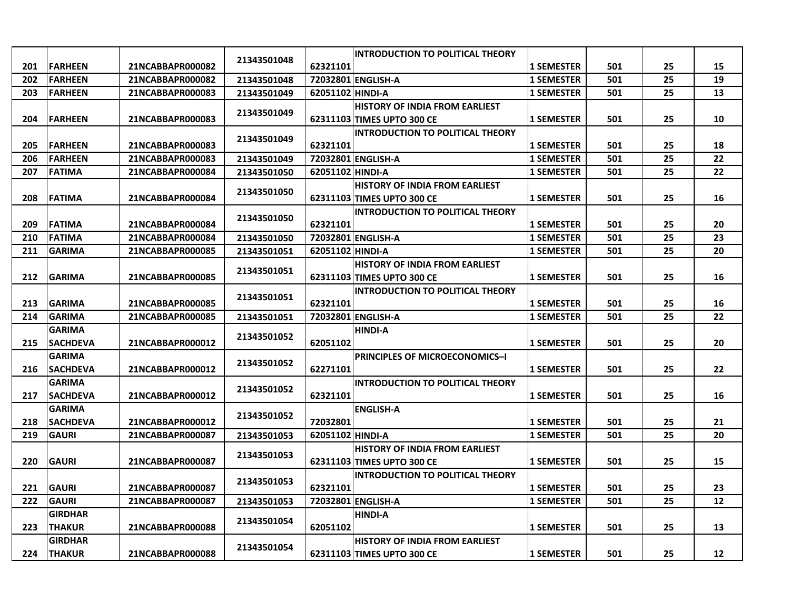|     |                 |                  |             |                  | <b>INTRODUCTION TO POLITICAL THEORY</b> |                   |     |    |    |
|-----|-----------------|------------------|-------------|------------------|-----------------------------------------|-------------------|-----|----|----|
| 201 | <b>FARHEEN</b>  | 21NCABBAPR000082 | 21343501048 | 62321101         |                                         | <b>1 SEMESTER</b> | 501 | 25 | 15 |
| 202 | <b>FARHEEN</b>  | 21NCABBAPR000082 | 21343501048 |                  | 72032801 ENGLISH-A                      | <b>1 SEMESTER</b> | 501 | 25 | 19 |
| 203 | <b>FARHEEN</b>  | 21NCABBAPR000083 | 21343501049 | 62051102 HINDI-A |                                         | <b>1 SEMESTER</b> | 501 | 25 | 13 |
|     |                 |                  |             |                  | <b>HISTORY OF INDIA FROM EARLIEST</b>   |                   |     |    |    |
| 204 | <b>FARHEEN</b>  | 21NCABBAPR000083 | 21343501049 |                  | 62311103 TIMES UPTO 300 CE              | <b>1 SEMESTER</b> | 501 | 25 | 10 |
|     |                 |                  |             |                  | <b>INTRODUCTION TO POLITICAL THEORY</b> |                   |     |    |    |
| 205 | <b>FARHEEN</b>  | 21NCABBAPR000083 | 21343501049 | 62321101         |                                         | <b>1 SEMESTER</b> | 501 | 25 | 18 |
| 206 | <b>FARHEEN</b>  | 21NCABBAPR000083 | 21343501049 |                  | 72032801 ENGLISH-A                      | <b>1 SEMESTER</b> | 501 | 25 | 22 |
| 207 | <b>FATIMA</b>   | 21NCABBAPR000084 | 21343501050 | 62051102 HINDI-A |                                         | <b>1 SEMESTER</b> | 501 | 25 | 22 |
|     |                 |                  |             |                  | <b>HISTORY OF INDIA FROM EARLIEST</b>   |                   |     |    |    |
| 208 | <b>FATIMA</b>   | 21NCABBAPR000084 | 21343501050 |                  | 62311103 TIMES UPTO 300 CE              | <b>1 SEMESTER</b> | 501 | 25 | 16 |
|     |                 |                  | 21343501050 |                  | <b>INTRODUCTION TO POLITICAL THEORY</b> |                   |     |    |    |
| 209 | <b>FATIMA</b>   | 21NCABBAPR000084 |             | 62321101         |                                         | <b>1 SEMESTER</b> | 501 | 25 | 20 |
| 210 | <b>FATIMA</b>   | 21NCABBAPR000084 | 21343501050 |                  | 72032801 ENGLISH-A                      | <b>1 SEMESTER</b> | 501 | 25 | 23 |
| 211 | <b>GARIMA</b>   | 21NCABBAPR000085 | 21343501051 | 62051102 HINDI-A |                                         | <b>1 SEMESTER</b> | 501 | 25 | 20 |
|     |                 |                  |             |                  | <b>HISTORY OF INDIA FROM EARLIEST</b>   |                   |     |    |    |
| 212 | <b>GARIMA</b>   | 21NCABBAPR000085 | 21343501051 |                  | 62311103 TIMES UPTO 300 CE              | <b>1 SEMESTER</b> | 501 | 25 | 16 |
|     |                 |                  |             |                  | <b>INTRODUCTION TO POLITICAL THEORY</b> |                   |     |    |    |
| 213 | <b>GARIMA</b>   | 21NCABBAPR000085 | 21343501051 | 62321101         |                                         | <b>1 SEMESTER</b> | 501 | 25 | 16 |
| 214 | <b>GARIMA</b>   | 21NCABBAPR000085 | 21343501051 |                  | 72032801 ENGLISH-A                      | <b>1 SEMESTER</b> | 501 | 25 | 22 |
|     | <b>GARIMA</b>   |                  |             |                  | <b>HINDI-A</b>                          |                   |     |    |    |
| 215 | <b>SACHDEVA</b> | 21NCABBAPR000012 | 21343501052 | 62051102         |                                         | <b>1 SEMESTER</b> | 501 | 25 | 20 |
|     | <b>GARIMA</b>   |                  |             |                  | <b>PRINCIPLES OF MICROECONOMICS-I</b>   |                   |     |    |    |
| 216 | <b>SACHDEVA</b> | 21NCABBAPR000012 | 21343501052 | 62271101         |                                         | <b>1 SEMESTER</b> | 501 | 25 | 22 |
|     | <b>GARIMA</b>   |                  |             |                  | <b>INTRODUCTION TO POLITICAL THEORY</b> |                   |     |    |    |
| 217 | <b>SACHDEVA</b> | 21NCABBAPR000012 | 21343501052 | 62321101         |                                         | <b>1 SEMESTER</b> | 501 | 25 | 16 |
|     | <b>GARIMA</b>   |                  |             |                  | <b>ENGLISH-A</b>                        |                   |     |    |    |
| 218 | <b>SACHDEVA</b> | 21NCABBAPR000012 | 21343501052 | 72032801         |                                         | <b>1 SEMESTER</b> | 501 | 25 | 21 |
| 219 | <b>GAURI</b>    | 21NCABBAPR000087 | 21343501053 | 62051102 HINDI-A |                                         | <b>1 SEMESTER</b> | 501 | 25 | 20 |
|     |                 |                  |             |                  | <b>HISTORY OF INDIA FROM EARLIEST</b>   |                   |     |    |    |
| 220 | <b>GAURI</b>    | 21NCABBAPR000087 | 21343501053 |                  | 62311103 TIMES UPTO 300 CE              | <b>1 SEMESTER</b> | 501 | 25 | 15 |
|     |                 |                  |             |                  | <b>INTRODUCTION TO POLITICAL THEORY</b> |                   |     |    |    |
| 221 | <b>GAURI</b>    | 21NCABBAPR000087 | 21343501053 | 62321101         |                                         | <b>1 SEMESTER</b> | 501 | 25 | 23 |
| 222 | <b>GAURI</b>    | 21NCABBAPR000087 | 21343501053 |                  | 72032801 ENGLISH-A                      | <b>1 SEMESTER</b> | 501 | 25 | 12 |
|     | <b>GIRDHAR</b>  |                  |             |                  | <b>HINDI-A</b>                          |                   |     |    |    |
| 223 | <b>THAKUR</b>   | 21NCABBAPR000088 | 21343501054 | 62051102         |                                         | <b>1 SEMESTER</b> | 501 | 25 | 13 |
|     | <b>GIRDHAR</b>  |                  |             |                  | <b>HISTORY OF INDIA FROM EARLIEST</b>   |                   |     |    |    |
| 224 | <b>THAKUR</b>   | 21NCABBAPR000088 | 21343501054 |                  | 62311103 TIMES UPTO 300 CE              | <b>1 SEMESTER</b> | 501 | 25 | 12 |
|     |                 |                  |             |                  |                                         |                   |     |    |    |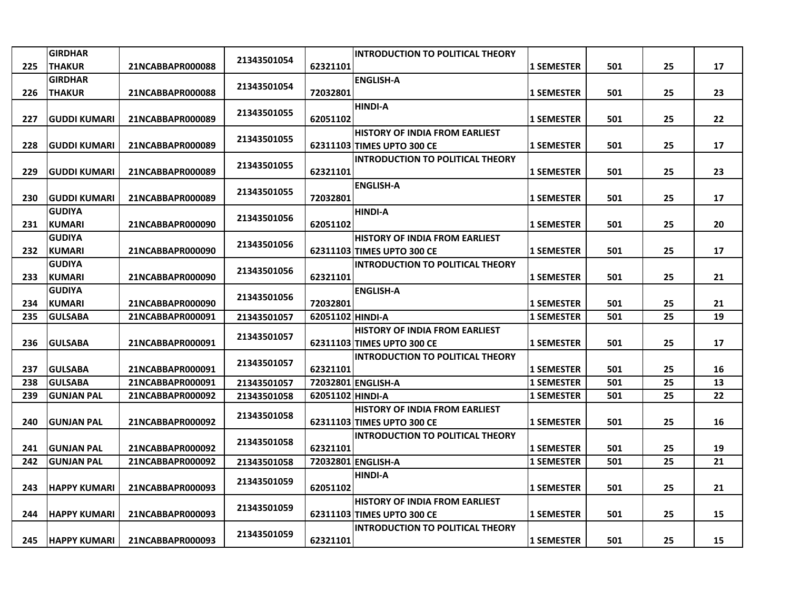|     | <b>GIRDHAR</b>      |                  |             |                  | <b>INTRODUCTION TO POLITICAL THEORY</b> |                   |     |    |          |
|-----|---------------------|------------------|-------------|------------------|-----------------------------------------|-------------------|-----|----|----------|
| 225 | <b>THAKUR</b>       | 21NCABBAPR000088 | 21343501054 | 62321101         |                                         | <b>1 SEMESTER</b> | 501 | 25 | 17       |
|     | <b>GIRDHAR</b>      |                  |             |                  | <b>ENGLISH-A</b>                        |                   |     |    |          |
| 226 | <b>THAKUR</b>       | 21NCABBAPR000088 | 21343501054 | 72032801         |                                         | <b>1 SEMESTER</b> | 501 | 25 | 23       |
|     |                     |                  |             |                  | <b>HINDI-A</b>                          |                   |     |    |          |
| 227 | GUDDI KUMARI        | 21NCABBAPR000089 | 21343501055 | 62051102         |                                         | <b>1 SEMESTER</b> | 501 | 25 | 22       |
|     |                     |                  | 21343501055 |                  | <b>HISTORY OF INDIA FROM EARLIEST</b>   |                   |     |    |          |
| 228 | <b>GUDDI KUMARI</b> | 21NCABBAPR000089 |             |                  | 62311103 TIMES UPTO 300 CE              | <b>1 SEMESTER</b> | 501 | 25 | 17       |
|     |                     |                  | 21343501055 |                  | <b>INTRODUCTION TO POLITICAL THEORY</b> |                   |     |    |          |
| 229 | <b>GUDDI KUMARI</b> | 21NCABBAPR000089 |             | 62321101         |                                         | <b>1 SEMESTER</b> | 501 | 25 | 23       |
|     |                     |                  | 21343501055 |                  | <b>ENGLISH-A</b>                        |                   |     |    |          |
| 230 | <b>GUDDI KUMARI</b> | 21NCABBAPR000089 |             | 72032801         |                                         | <b>1 SEMESTER</b> | 501 | 25 | 17       |
|     | <b>GUDIYA</b>       |                  | 21343501056 |                  | <b>HINDI-A</b>                          |                   |     |    |          |
| 231 | <b>KUMARI</b>       | 21NCABBAPR000090 |             | 62051102         |                                         | <b>1 SEMESTER</b> | 501 | 25 | 20       |
|     | <b>GUDIYA</b>       |                  | 21343501056 |                  | HISTORY OF INDIA FROM EARLIEST          |                   |     |    |          |
| 232 | <b>KUMARI</b>       | 21NCABBAPR000090 |             |                  | 62311103 TIMES UPTO 300 CE              | <b>1 SEMESTER</b> | 501 | 25 | 17       |
|     | <b>GUDIYA</b>       |                  | 21343501056 |                  | <b>INTRODUCTION TO POLITICAL THEORY</b> |                   |     |    |          |
| 233 | <b>KUMARI</b>       | 21NCABBAPR000090 |             | 62321101         |                                         | <b>1 SEMESTER</b> | 501 | 25 | 21       |
|     | <b>GUDIYA</b>       |                  | 21343501056 |                  | <b>ENGLISH-A</b>                        |                   |     |    |          |
| 234 | <b>KUMARI</b>       | 21NCABBAPR000090 |             | 72032801         |                                         | <b>1 SEMESTER</b> | 501 | 25 | 21       |
| 235 | <b>GULSABA</b>      | 21NCABBAPR000091 | 21343501057 | 62051102 HINDI-A |                                         | <b>1 SEMESTER</b> | 501 | 25 | 19       |
|     |                     |                  | 21343501057 |                  | <b>HISTORY OF INDIA FROM EARLIEST</b>   |                   |     |    |          |
| 236 | <b>GULSABA</b>      | 21NCABBAPR000091 |             |                  | 62311103 TIMES UPTO 300 CE              | <b>1 SEMESTER</b> | 501 | 25 | 17       |
| 237 | <b>GULSABA</b>      | 21NCABBAPR000091 | 21343501057 | 62321101         | <b>INTRODUCTION TO POLITICAL THEORY</b> | <b>1 SEMESTER</b> | 501 | 25 |          |
| 238 | <b>GULSABA</b>      | 21NCABBAPR000091 | 21343501057 | 72032801         | <b>ENGLISH-A</b>                        | <b>1 SEMESTER</b> | 501 | 25 | 16<br>13 |
| 239 | <b>GUNJAN PAL</b>   | 21NCABBAPR000092 | 21343501058 | 62051102 HINDI-A |                                         | <b>1 SEMESTER</b> | 501 | 25 | 22       |
|     |                     |                  |             |                  | <b>HISTORY OF INDIA FROM EARLIEST</b>   |                   |     |    |          |
| 240 | <b>GUNJAN PAL</b>   | 21NCABBAPR000092 | 21343501058 |                  | 62311103 TIMES UPTO 300 CE              | <b>1 SEMESTER</b> | 501 | 25 | 16       |
|     |                     |                  |             |                  | <b>INTRODUCTION TO POLITICAL THEORY</b> |                   |     |    |          |
| 241 | <b>GUNJAN PAL</b>   | 21NCABBAPR000092 | 21343501058 | 62321101         |                                         | <b>1 SEMESTER</b> | 501 | 25 | 19       |
| 242 | <b>GUNJAN PAL</b>   | 21NCABBAPR000092 | 21343501058 |                  | 72032801 ENGLISH-A                      | <b>1 SEMESTER</b> | 501 | 25 | 21       |
|     |                     |                  |             |                  | <b>HINDI-A</b>                          |                   |     |    |          |
| 243 | <b>HAPPY KUMARI</b> | 21NCABBAPR000093 | 21343501059 | 62051102         |                                         | <b>1 SEMESTER</b> | 501 | 25 | 21       |
|     |                     |                  |             |                  | <b>HISTORY OF INDIA FROM EARLIEST</b>   |                   |     |    |          |
| 244 | <b>HAPPY KUMARI</b> | 21NCABBAPR000093 | 21343501059 |                  | 62311103 TIMES UPTO 300 CE              | <b>1 SEMESTER</b> | 501 | 25 | 15       |
|     |                     |                  |             |                  | <b>INTRODUCTION TO POLITICAL THEORY</b> |                   |     |    |          |
| 245 | <b>HAPPY KUMARI</b> | 21NCABBAPR000093 | 21343501059 | 62321101         |                                         | <b>1 SEMESTER</b> | 501 | 25 | 15       |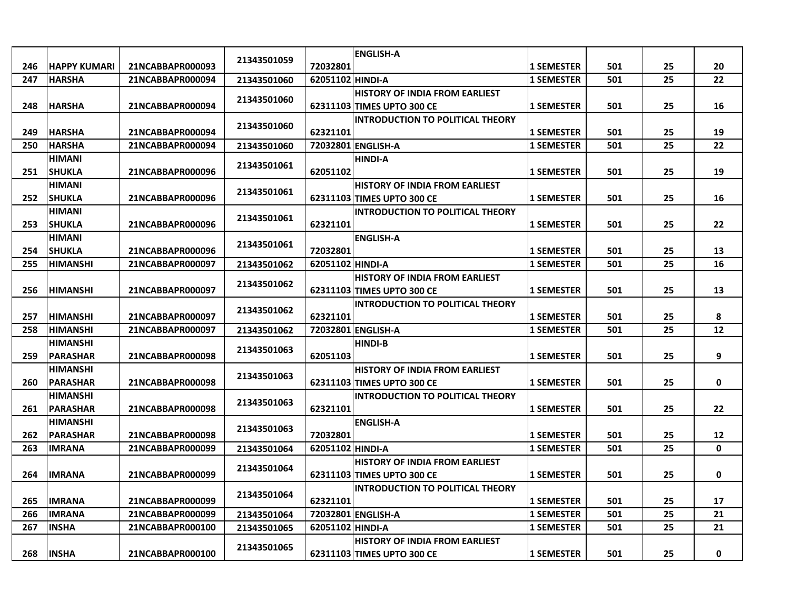|     |                     |                  |             |                  | <b>ENGLISH-A</b>                        |                   |     |    |             |
|-----|---------------------|------------------|-------------|------------------|-----------------------------------------|-------------------|-----|----|-------------|
| 246 | <b>HAPPY KUMARI</b> | 21NCABBAPR000093 | 21343501059 | 72032801         |                                         | <b>1 SEMESTER</b> | 501 | 25 | 20          |
| 247 | <b>HARSHA</b>       | 21NCABBAPR000094 | 21343501060 | 62051102 HINDI-A |                                         | <b>1 SEMESTER</b> | 501 | 25 | 22          |
|     |                     |                  |             |                  | <b>HISTORY OF INDIA FROM EARLIEST</b>   |                   |     |    |             |
| 248 | <b>HARSHA</b>       | 21NCABBAPR000094 | 21343501060 |                  | 62311103 TIMES UPTO 300 CE              | <b>1 SEMESTER</b> | 501 | 25 | 16          |
|     |                     |                  |             |                  | <b>INTRODUCTION TO POLITICAL THEORY</b> |                   |     |    |             |
| 249 | <b>HARSHA</b>       | 21NCABBAPR000094 | 21343501060 | 62321101         |                                         | <b>1 SEMESTER</b> | 501 | 25 | 19          |
| 250 | <b>HARSHA</b>       | 21NCABBAPR000094 | 21343501060 |                  | 72032801 ENGLISH-A                      | <b>1 SEMESTER</b> | 501 | 25 | 22          |
|     | HIMANI              |                  |             |                  | <b>HINDI-A</b>                          |                   |     |    |             |
| 251 | <b>SHUKLA</b>       | 21NCABBAPR000096 | 21343501061 | 62051102         |                                         | <b>1 SEMESTER</b> | 501 | 25 | 19          |
|     | <b>HIMANI</b>       |                  |             |                  | <b>HISTORY OF INDIA FROM EARLIEST</b>   |                   |     |    |             |
| 252 | <b>SHUKLA</b>       | 21NCABBAPR000096 | 21343501061 |                  | 62311103 TIMES UPTO 300 CE              | <b>1 SEMESTER</b> | 501 | 25 | 16          |
|     | <b>HIMANI</b>       |                  |             |                  | <b>INTRODUCTION TO POLITICAL THEORY</b> |                   |     |    |             |
| 253 | <b>SHUKLA</b>       | 21NCABBAPR000096 | 21343501061 | 62321101         |                                         | <b>1 SEMESTER</b> | 501 | 25 | 22          |
|     | HIMANI              |                  |             |                  | <b>ENGLISH-A</b>                        |                   |     |    |             |
| 254 | <b>SHUKLA</b>       | 21NCABBAPR000096 | 21343501061 | 72032801         |                                         | <b>1 SEMESTER</b> | 501 | 25 | 13          |
| 255 | <b>HIMANSHI</b>     | 21NCABBAPR000097 | 21343501062 | 62051102 HINDI-A |                                         | <b>1 SEMESTER</b> | 501 | 25 | 16          |
|     |                     |                  | 21343501062 |                  | <b>HISTORY OF INDIA FROM EARLIEST</b>   |                   |     |    |             |
| 256 | <b>HIMANSHI</b>     | 21NCABBAPR000097 |             |                  | 62311103 TIMES UPTO 300 CE              | <b>1 SEMESTER</b> | 501 | 25 | 13          |
|     |                     |                  | 21343501062 |                  | <b>INTRODUCTION TO POLITICAL THEORY</b> |                   |     |    |             |
| 257 | <b>HIMANSHI</b>     | 21NCABBAPR000097 |             | 62321101         |                                         | <b>1 SEMESTER</b> | 501 | 25 | 8           |
| 258 | <b>HIMANSHI</b>     | 21NCABBAPR000097 | 21343501062 |                  | 72032801 ENGLISH-A                      | <b>1 SEMESTER</b> | 501 | 25 | 12          |
|     | <b>HIMANSHI</b>     |                  | 21343501063 |                  | <b>HINDI-B</b>                          |                   |     |    |             |
| 259 | <b>PARASHAR</b>     | 21NCABBAPR000098 |             | 62051103         |                                         | <b>1 SEMESTER</b> | 501 | 25 | 9           |
|     | <b>HIMANSHI</b>     |                  | 21343501063 |                  | <b>HISTORY OF INDIA FROM EARLIEST</b>   |                   |     |    |             |
| 260 | <b>PARASHAR</b>     | 21NCABBAPR000098 |             |                  | 62311103 TIMES UPTO 300 CE              | <b>1 SEMESTER</b> | 501 | 25 | $\mathbf 0$ |
|     | <b>HIMANSHI</b>     |                  | 21343501063 |                  | <b>INTRODUCTION TO POLITICAL THEORY</b> |                   |     |    |             |
| 261 | <b>PARASHAR</b>     | 21NCABBAPR000098 |             | 62321101         |                                         | <b>1 SEMESTER</b> | 501 | 25 | 22          |
|     | <b>HIMANSHI</b>     |                  | 21343501063 |                  | <b>ENGLISH-A</b>                        |                   |     |    |             |
| 262 | <b>PARASHAR</b>     | 21NCABBAPR000098 |             | 72032801         |                                         | <b>1 SEMESTER</b> | 501 | 25 | 12          |
| 263 | <b>IMRANA</b>       | 21NCABBAPR000099 | 21343501064 | 62051102 HINDI-A |                                         | <b>1 SEMESTER</b> | 501 | 25 | 0           |
|     |                     |                  | 21343501064 |                  | <b>HISTORY OF INDIA FROM EARLIEST</b>   |                   |     |    |             |
| 264 | <b>IMRANA</b>       | 21NCABBAPR000099 |             |                  | 62311103 TIMES UPTO 300 CE              | <b>1 SEMESTER</b> | 501 | 25 | $\mathbf 0$ |
|     |                     |                  | 21343501064 |                  | <b>INTRODUCTION TO POLITICAL THEORY</b> |                   |     |    |             |
| 265 | <b>IMRANA</b>       | 21NCABBAPR000099 |             | 62321101         |                                         | <b>1 SEMESTER</b> | 501 | 25 | 17          |
| 266 | <b>IMRANA</b>       | 21NCABBAPR000099 | 21343501064 |                  | 72032801 ENGLISH-A                      | <b>1 SEMESTER</b> | 501 | 25 | 21          |
| 267 | INSHA               | 21NCABBAPR000100 | 21343501065 | 62051102 HINDI-A |                                         | <b>1 SEMESTER</b> | 501 | 25 | 21          |
|     |                     |                  | 21343501065 |                  | <b>HISTORY OF INDIA FROM EARLIEST</b>   |                   |     |    |             |
| 268 | <b>INSHA</b>        | 21NCABBAPR000100 |             |                  | 62311103 TIMES UPTO 300 CE              | <b>1 SEMESTER</b> | 501 | 25 | 0           |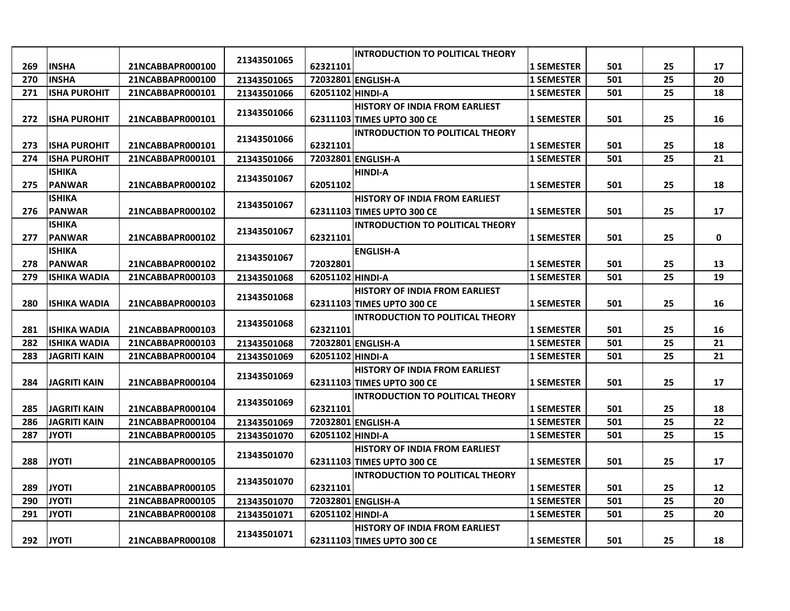|     |                      |                  |             |                  | <b>INTRODUCTION TO POLITICAL THEORY</b> |                   |     |    |    |
|-----|----------------------|------------------|-------------|------------------|-----------------------------------------|-------------------|-----|----|----|
| 269 | <b>INSHA</b>         | 21NCABBAPR000100 | 21343501065 | 62321101         |                                         | <b>1 SEMESTER</b> | 501 | 25 | 17 |
| 270 | <b>INSHA</b>         | 21NCABBAPR000100 | 21343501065 |                  | 72032801 ENGLISH-A                      | <b>1 SEMESTER</b> | 501 | 25 | 20 |
| 271 | <b>ISHA PUROHIT</b>  | 21NCABBAPR000101 | 21343501066 | 62051102 HINDI-A |                                         | <b>1 SEMESTER</b> | 501 | 25 | 18 |
|     |                      |                  |             |                  | <b>HISTORY OF INDIA FROM EARLIEST</b>   |                   |     |    |    |
| 272 | <b>ISHA PUROHIT</b>  | 21NCABBAPR000101 | 21343501066 |                  | 62311103 TIMES UPTO 300 CE              | <b>1 SEMESTER</b> | 501 | 25 | 16 |
|     |                      |                  |             |                  | <b>INTRODUCTION TO POLITICAL THEORY</b> |                   |     |    |    |
| 273 | <b>ISHA PUROHIT</b>  | 21NCABBAPR000101 | 21343501066 | 62321101         |                                         | <b>1 SEMESTER</b> | 501 | 25 | 18 |
| 274 | <b>IISHA PUROHIT</b> | 21NCABBAPR000101 | 21343501066 |                  | 72032801 ENGLISH-A                      | <b>1 SEMESTER</b> | 501 | 25 | 21 |
|     | <b>ISHIKA</b>        |                  |             |                  | <b>HINDI-A</b>                          |                   |     |    |    |
| 275 | <b>PANWAR</b>        | 21NCABBAPR000102 | 21343501067 | 62051102         |                                         | <b>1 SEMESTER</b> | 501 | 25 | 18 |
|     | <b>ISHIKA</b>        |                  | 21343501067 |                  | <b>HISTORY OF INDIA FROM EARLIEST</b>   |                   |     |    |    |
| 276 | <b>PANWAR</b>        | 21NCABBAPR000102 |             |                  | 62311103 TIMES UPTO 300 CE              | <b>1 SEMESTER</b> | 501 | 25 | 17 |
|     | <b>ISHIKA</b>        |                  | 21343501067 |                  | <b>INTRODUCTION TO POLITICAL THEORY</b> |                   |     |    |    |
| 277 | <b>PANWAR</b>        | 21NCABBAPR000102 |             | 62321101         |                                         | <b>1 SEMESTER</b> | 501 | 25 | 0  |
|     | <b>ISHIKA</b>        |                  | 21343501067 |                  | <b>ENGLISH-A</b>                        |                   |     |    |    |
| 278 | <b>PANWAR</b>        | 21NCABBAPR000102 |             | 72032801         |                                         | <b>1 SEMESTER</b> | 501 | 25 | 13 |
| 279 | <b>ISHIKA WADIA</b>  | 21NCABBAPR000103 | 21343501068 | 62051102 HINDI-A |                                         | <b>1 SEMESTER</b> | 501 | 25 | 19 |
|     |                      |                  |             |                  | <b>HISTORY OF INDIA FROM EARLIEST</b>   |                   |     |    |    |
| 280 | <b>ISHIKA WADIA</b>  | 21NCABBAPR000103 | 21343501068 |                  | 62311103 TIMES UPTO 300 CE              | <b>1 SEMESTER</b> | 501 | 25 | 16 |
|     |                      |                  | 21343501068 |                  | <b>INTRODUCTION TO POLITICAL THEORY</b> |                   |     |    |    |
| 281 | <b>ISHIKA WADIA</b>  | 21NCABBAPR000103 |             | 62321101         |                                         | <b>1 SEMESTER</b> | 501 | 25 | 16 |
| 282 | <b>ISHIKA WADIA</b>  | 21NCABBAPR000103 | 21343501068 |                  | 72032801 ENGLISH-A                      | <b>1 SEMESTER</b> | 501 | 25 | 21 |
| 283 | <b>JAGRITI KAIN</b>  | 21NCABBAPR000104 | 21343501069 | 62051102 HINDI-A |                                         | <b>1 SEMESTER</b> | 501 | 25 | 21 |
|     |                      |                  | 21343501069 |                  | <b>HISTORY OF INDIA FROM EARLIEST</b>   |                   |     |    |    |
| 284 | <b>JAGRITI KAIN</b>  | 21NCABBAPR000104 |             |                  | 62311103 TIMES UPTO 300 CE              | <b>1 SEMESTER</b> | 501 | 25 | 17 |
|     |                      |                  | 21343501069 |                  | <b>INTRODUCTION TO POLITICAL THEORY</b> |                   |     |    |    |
| 285 | <b>JAGRITI KAIN</b>  | 21NCABBAPR000104 |             | 62321101         |                                         | <b>1 SEMESTER</b> | 501 | 25 | 18 |
| 286 | <b>JAGRITI KAIN</b>  | 21NCABBAPR000104 | 21343501069 |                  | 72032801 ENGLISH-A                      | <b>1 SEMESTER</b> | 501 | 25 | 22 |
| 287 | <b>JYOTI</b>         | 21NCABBAPR000105 | 21343501070 | 62051102 HINDI-A |                                         | <b>1 SEMESTER</b> | 501 | 25 | 15 |
|     |                      |                  | 21343501070 |                  | <b>HISTORY OF INDIA FROM EARLIEST</b>   |                   |     |    |    |
| 288 | <b>JYOTI</b>         | 21NCABBAPR000105 |             |                  | 62311103 TIMES UPTO 300 CE              | <b>1 SEMESTER</b> | 501 | 25 | 17 |
|     |                      |                  | 21343501070 |                  | <b>INTRODUCTION TO POLITICAL THEORY</b> |                   |     |    |    |
| 289 | <b>JYOTI</b>         | 21NCABBAPR000105 |             | 62321101         |                                         | <b>1 SEMESTER</b> | 501 | 25 | 12 |
| 290 | <b>JYOTI</b>         | 21NCABBAPR000105 | 21343501070 |                  | 72032801 ENGLISH-A                      | <b>1 SEMESTER</b> | 501 | 25 | 20 |
| 291 | <b>JYOTI</b>         | 21NCABBAPR000108 | 21343501071 | 62051102 HINDI-A |                                         | <b>1 SEMESTER</b> | 501 | 25 | 20 |
|     |                      |                  | 21343501071 |                  | <b>HISTORY OF INDIA FROM EARLIEST</b>   |                   |     |    |    |
| 292 | <b>JYOTI</b>         | 21NCABBAPR000108 |             |                  | 62311103 TIMES UPTO 300 CE              | <b>1 SEMESTER</b> | 501 | 25 | 18 |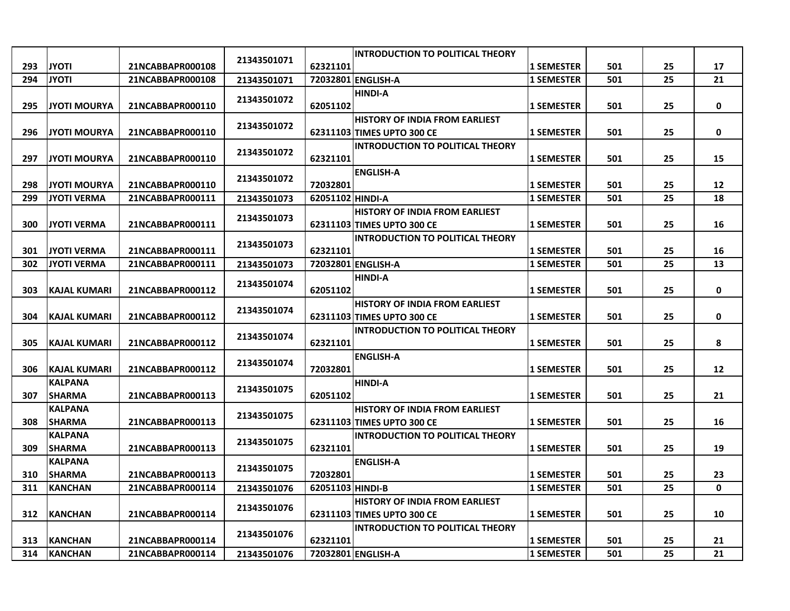|     |                      |                  |             |                  | <b>INTRODUCTION TO POLITICAL THEORY</b> |                   |     |    |                   |
|-----|----------------------|------------------|-------------|------------------|-----------------------------------------|-------------------|-----|----|-------------------|
| 293 | <b>JYOTI</b>         | 21NCABBAPR000108 | 21343501071 | 62321101         |                                         | <b>1 SEMESTER</b> | 501 | 25 | 17                |
| 294 | <b>JYOTI</b>         | 21NCABBAPR000108 | 21343501071 |                  | 72032801 ENGLISH-A                      | <b>1 SEMESTER</b> | 501 | 25 | 21                |
|     |                      |                  |             |                  | <b>HINDI-A</b>                          |                   |     |    |                   |
| 295 | <b>JYOTI MOURYA</b>  | 21NCABBAPR000110 | 21343501072 | 62051102         |                                         | <b>1 SEMESTER</b> | 501 | 25 | $\pmb{0}$         |
|     |                      |                  |             |                  | HISTORY OF INDIA FROM EARLIEST          |                   |     |    |                   |
| 296 | <b>JYOTI MOURYA</b>  | 21NCABBAPR000110 | 21343501072 |                  | 62311103 TIMES UPTO 300 CE              | <b>1 SEMESTER</b> | 501 | 25 | 0                 |
|     |                      |                  |             |                  | <b>INTRODUCTION TO POLITICAL THEORY</b> |                   |     |    |                   |
| 297 | <b>JYOTI MOURYA</b>  | 21NCABBAPR000110 | 21343501072 | 62321101         |                                         | <b>1 SEMESTER</b> | 501 | 25 | 15                |
|     |                      |                  |             |                  | <b>ENGLISH-A</b>                        |                   |     |    |                   |
| 298 | <b>JYOTI MOURYA</b>  | 21NCABBAPR000110 | 21343501072 | 72032801         |                                         | <b>1 SEMESTER</b> | 501 | 25 | 12                |
| 299 | <b>JYOTI VERMA</b>   | 21NCABBAPR000111 | 21343501073 | 62051102 HINDI-A |                                         | <b>1 SEMESTER</b> | 501 | 25 | 18                |
|     |                      |                  |             |                  | <b>HISTORY OF INDIA FROM EARLIEST</b>   |                   |     |    |                   |
| 300 | <b>JYOTI VERMA</b>   | 21NCABBAPR000111 | 21343501073 |                  | 62311103 TIMES UPTO 300 CE              | <b>1 SEMESTER</b> | 501 | 25 | 16                |
|     |                      |                  |             |                  | <b>INTRODUCTION TO POLITICAL THEORY</b> |                   |     |    |                   |
| 301 | <b>JYOTI VERMA</b>   | 21NCABBAPR000111 | 21343501073 | 62321101         |                                         | <b>1 SEMESTER</b> | 501 | 25 | 16                |
| 302 | <b>JYOTI VERMA</b>   | 21NCABBAPR000111 | 21343501073 |                  | 72032801 ENGLISH-A                      | <b>1 SEMESTER</b> | 501 | 25 | 13                |
|     |                      |                  | 21343501074 |                  | <b>HINDI-A</b>                          |                   |     |    |                   |
| 303 | <b>IKAJAL KUMARI</b> | 21NCABBAPR000112 |             | 62051102         |                                         | <b>1 SEMESTER</b> | 501 | 25 | 0                 |
|     |                      |                  | 21343501074 |                  | <b>HISTORY OF INDIA FROM EARLIEST</b>   |                   |     |    |                   |
| 304 | <b>KAJAL KUMARI</b>  | 21NCABBAPR000112 |             |                  | 62311103 TIMES UPTO 300 CE              | <b>1 SEMESTER</b> | 501 | 25 | 0                 |
|     |                      |                  | 21343501074 |                  | <b>INTRODUCTION TO POLITICAL THEORY</b> |                   |     |    |                   |
| 305 | KAJAL KUMARI         | 21NCABBAPR000112 |             | 62321101         |                                         | <b>1 SEMESTER</b> | 501 | 25 | 8                 |
|     |                      |                  | 21343501074 |                  | <b>ENGLISH-A</b>                        |                   |     |    |                   |
| 306 | <b>KAJAL KUMARI</b>  | 21NCABBAPR000112 |             | 72032801         |                                         | <b>1 SEMESTER</b> | 501 | 25 | $12 \overline{ }$ |
|     | KALPANA              |                  | 21343501075 |                  | <b>HINDI-A</b>                          |                   |     |    |                   |
| 307 | <b>SHARMA</b>        | 21NCABBAPR000113 |             | 62051102         |                                         | <b>1 SEMESTER</b> | 501 | 25 | 21                |
|     | <b>KALPANA</b>       |                  | 21343501075 |                  | <b>HISTORY OF INDIA FROM EARLIEST</b>   |                   |     |    |                   |
| 308 | <b>SHARMA</b>        | 21NCABBAPR000113 |             |                  | 62311103 TIMES UPTO 300 CE              | <b>1 SEMESTER</b> | 501 | 25 | 16                |
|     | <b>KALPANA</b>       |                  | 21343501075 |                  | <b>INTRODUCTION TO POLITICAL THEORY</b> |                   |     |    |                   |
| 309 | <b>SHARMA</b>        | 21NCABBAPR000113 |             | 62321101         |                                         | <b>1 SEMESTER</b> | 501 | 25 | 19                |
|     | <b>KALPANA</b>       |                  | 21343501075 |                  | <b>ENGLISH-A</b>                        |                   |     |    |                   |
| 310 | <b>SHARMA</b>        | 21NCABBAPR000113 |             | 72032801         |                                         | <b>1 SEMESTER</b> | 501 | 25 | 23                |
| 311 | <b>KANCHAN</b>       | 21NCABBAPR000114 | 21343501076 | 62051103 HINDI-B |                                         | <b>1 SEMESTER</b> | 501 | 25 | $\mathbf 0$       |
|     |                      |                  | 21343501076 |                  | <b>HISTORY OF INDIA FROM EARLIEST</b>   |                   |     |    |                   |
| 312 | <b>KANCHAN</b>       | 21NCABBAPR000114 |             |                  | 62311103 TIMES UPTO 300 CE              | <b>1 SEMESTER</b> | 501 | 25 | 10                |
|     |                      |                  | 21343501076 |                  | <b>INTRODUCTION TO POLITICAL THEORY</b> |                   |     |    |                   |
| 313 | <b>KANCHAN</b>       | 21NCABBAPR000114 |             | 62321101         |                                         | <b>1 SEMESTER</b> | 501 | 25 | 21                |
| 314 | <b>KANCHAN</b>       | 21NCABBAPR000114 | 21343501076 |                  | 72032801 ENGLISH-A                      | <b>1 SEMESTER</b> | 501 | 25 | 21                |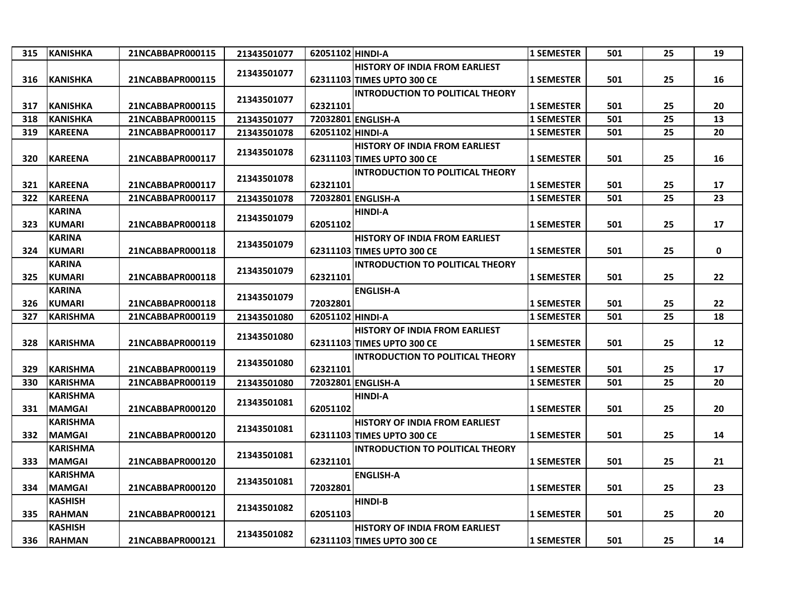| 315 | <b>KANISHKA</b> | 21NCABBAPR000115 | 21343501077 | 62051102 HINDI-A |                                         | <b>1 SEMESTER</b> | 501 | 25 | 19 |
|-----|-----------------|------------------|-------------|------------------|-----------------------------------------|-------------------|-----|----|----|
|     |                 |                  |             |                  | <b>HISTORY OF INDIA FROM EARLIEST</b>   |                   |     |    |    |
| 316 | <b>KANISHKA</b> | 21NCABBAPR000115 | 21343501077 |                  | 62311103 TIMES UPTO 300 CE              | <b>1 SEMESTER</b> | 501 | 25 | 16 |
|     |                 |                  |             |                  | <b>INTRODUCTION TO POLITICAL THEORY</b> |                   |     |    |    |
| 317 | <b>KANISHKA</b> | 21NCABBAPR000115 | 21343501077 | 62321101         |                                         | <b>1 SEMESTER</b> | 501 | 25 | 20 |
| 318 | KANISHKA        | 21NCABBAPR000115 | 21343501077 |                  | 72032801 ENGLISH-A                      | <b>1 SEMESTER</b> | 501 | 25 | 13 |
| 319 | <b>KAREENA</b>  | 21NCABBAPR000117 | 21343501078 | 62051102 HINDI-A |                                         | <b>1 SEMESTER</b> | 501 | 25 | 20 |
|     |                 |                  |             |                  | <b>HISTORY OF INDIA FROM EARLIEST</b>   |                   |     |    |    |
| 320 | <b>KAREENA</b>  | 21NCABBAPR000117 | 21343501078 |                  | 62311103 TIMES UPTO 300 CE              | <b>1 SEMESTER</b> | 501 | 25 | 16 |
|     |                 |                  |             |                  | <b>INTRODUCTION TO POLITICAL THEORY</b> |                   |     |    |    |
| 321 | <b>KAREENA</b>  | 21NCABBAPR000117 | 21343501078 | 62321101         |                                         | <b>1 SEMESTER</b> | 501 | 25 | 17 |
| 322 | <b>KAREENA</b>  | 21NCABBAPR000117 | 21343501078 |                  | 72032801 ENGLISH-A                      | <b>1 SEMESTER</b> | 501 | 25 | 23 |
|     | <b>KARINA</b>   |                  |             |                  | <b>HINDI-A</b>                          |                   |     |    |    |
| 323 | <b>KUMARI</b>   | 21NCABBAPR000118 | 21343501079 | 62051102         |                                         | <b>1 SEMESTER</b> | 501 | 25 | 17 |
|     | <b>KARINA</b>   |                  |             |                  | <b>HISTORY OF INDIA FROM EARLIEST</b>   |                   |     |    |    |
| 324 | <b>KUMARI</b>   | 21NCABBAPR000118 | 21343501079 |                  | 62311103 TIMES UPTO 300 CE              | <b>1 SEMESTER</b> | 501 | 25 | 0  |
|     | <b>KARINA</b>   |                  |             |                  | <b>INTRODUCTION TO POLITICAL THEORY</b> |                   |     |    |    |
| 325 | <b>KUMARI</b>   | 21NCABBAPR000118 | 21343501079 | 62321101         |                                         | <b>1 SEMESTER</b> | 501 | 25 | 22 |
|     | <b>KARINA</b>   |                  |             |                  | <b>ENGLISH-A</b>                        |                   |     |    |    |
| 326 | KUMARI          | 21NCABBAPR000118 | 21343501079 | 72032801         |                                         | <b>1 SEMESTER</b> | 501 | 25 | 22 |
| 327 | KARISHMA        | 21NCABBAPR000119 | 21343501080 | 62051102 HINDI-A |                                         | <b>1 SEMESTER</b> | 501 | 25 | 18 |
|     |                 |                  |             |                  | <b>HISTORY OF INDIA FROM EARLIEST</b>   |                   |     |    |    |
| 328 | <b>KARISHMA</b> | 21NCABBAPR000119 | 21343501080 |                  | 62311103 TIMES UPTO 300 CE              | <b>1 SEMESTER</b> | 501 | 25 | 12 |
|     |                 |                  |             |                  | <b>INTRODUCTION TO POLITICAL THEORY</b> |                   |     |    |    |
| 329 | <b>KARISHMA</b> | 21NCABBAPR000119 | 21343501080 | 62321101         |                                         | <b>1 SEMESTER</b> | 501 | 25 | 17 |
| 330 | <b>KARISHMA</b> | 21NCABBAPR000119 | 21343501080 |                  | 72032801 ENGLISH-A                      | <b>1 SEMESTER</b> | 501 | 25 | 20 |
|     | <b>KARISHMA</b> |                  | 21343501081 |                  | <b>HINDI-A</b>                          |                   |     |    |    |
| 331 | <b>MAMGAI</b>   | 21NCABBAPR000120 |             | 62051102         |                                         | <b>1 SEMESTER</b> | 501 | 25 | 20 |
|     | <b>KARISHMA</b> |                  |             |                  | <b>HISTORY OF INDIA FROM EARLIEST</b>   |                   |     |    |    |
| 332 | <b>MAMGAI</b>   | 21NCABBAPR000120 | 21343501081 |                  | 62311103 TIMES UPTO 300 CE              | <b>1 SEMESTER</b> | 501 | 25 | 14 |
|     | <b>KARISHMA</b> |                  |             |                  | <b>INTRODUCTION TO POLITICAL THEORY</b> |                   |     |    |    |
| 333 | <b>MAMGAI</b>   | 21NCABBAPR000120 | 21343501081 | 62321101         |                                         | <b>1 SEMESTER</b> | 501 | 25 | 21 |
|     | <b>KARISHMA</b> |                  | 21343501081 |                  | <b>ENGLISH-A</b>                        |                   |     |    |    |
| 334 | <b>MAMGAI</b>   | 21NCABBAPR000120 |             | 72032801         |                                         | <b>1 SEMESTER</b> | 501 | 25 | 23 |
|     | <b>KASHISH</b>  |                  |             |                  | <b>HINDI-B</b>                          |                   |     |    |    |
| 335 | <b>RAHMAN</b>   | 21NCABBAPR000121 | 21343501082 | 62051103         |                                         | <b>1 SEMESTER</b> | 501 | 25 | 20 |
|     | <b>KASHISH</b>  |                  | 21343501082 |                  | <b>HISTORY OF INDIA FROM EARLIEST</b>   |                   |     |    |    |
| 336 | <b>RAHMAN</b>   | 21NCABBAPR000121 |             |                  | 62311103 TIMES UPTO 300 CE              | <b>1 SEMESTER</b> | 501 | 25 | 14 |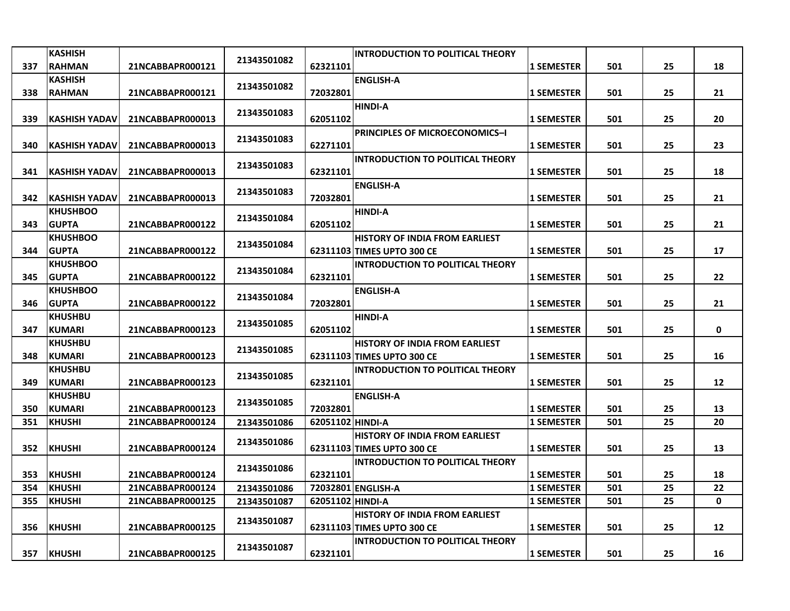|     | <b>KASHISH</b>                  |                  | 21343501082 |                  | <b>INTRODUCTION TO POLITICAL THEORY</b> |                   |     |    |    |
|-----|---------------------------------|------------------|-------------|------------------|-----------------------------------------|-------------------|-----|----|----|
| 337 | <b>RAHMAN</b>                   | 21NCABBAPR000121 |             | 62321101         |                                         | <b>1 SEMESTER</b> | 501 | 25 | 18 |
|     | <b>KASHISH</b>                  |                  | 21343501082 |                  | <b>ENGLISH-A</b>                        |                   |     |    |    |
| 338 | <b>RAHMAN</b>                   | 21NCABBAPR000121 |             | 72032801         |                                         | <b>1 SEMESTER</b> | 501 | 25 | 21 |
|     |                                 |                  | 21343501083 |                  | <b>HINDI-A</b>                          |                   |     |    |    |
| 339 | <b>KASHISH YADAV</b>            | 21NCABBAPR000013 |             | 62051102         |                                         | <b>1 SEMESTER</b> | 501 | 25 | 20 |
|     |                                 |                  | 21343501083 |                  | <b>PRINCIPLES OF MICROECONOMICS-I</b>   |                   |     |    |    |
| 340 | <b>KASHISH YADAV</b>            | 21NCABBAPR000013 |             | 62271101         |                                         | <b>1 SEMESTER</b> | 501 | 25 | 23 |
|     |                                 |                  | 21343501083 |                  | <b>INTRODUCTION TO POLITICAL THEORY</b> |                   |     |    |    |
| 341 | <b>KASHISH YADAV</b>            | 21NCABBAPR000013 |             | 62321101         |                                         | <b>1 SEMESTER</b> | 501 | 25 | 18 |
|     |                                 |                  | 21343501083 |                  | <b>ENGLISH-A</b>                        |                   |     |    |    |
| 342 | <b>KASHISH YADAV</b>            | 21NCABBAPR000013 |             | 72032801         |                                         | <b>1 SEMESTER</b> | 501 | 25 | 21 |
|     | <b>KHUSHBOO</b><br><b>GUPTA</b> |                  | 21343501084 |                  | <b>HINDI-A</b>                          |                   |     |    |    |
| 343 | <b>KHUSHBOO</b>                 | 21NCABBAPR000122 |             | 62051102         | <b>HISTORY OF INDIA FROM EARLIEST</b>   | <b>1 SEMESTER</b> | 501 | 25 | 21 |
| 344 | <b>GUPTA</b>                    | 21NCABBAPR000122 | 21343501084 |                  | 62311103 TIMES UPTO 300 CE              | <b>1 SEMESTER</b> | 501 | 25 | 17 |
|     | <b>KHUSHBOO</b>                 |                  |             |                  | <b>INTRODUCTION TO POLITICAL THEORY</b> |                   |     |    |    |
| 345 | <b>GUPTA</b>                    | 21NCABBAPR000122 | 21343501084 | 62321101         |                                         | <b>1 SEMESTER</b> | 501 | 25 | 22 |
|     | <b>KHUSHBOO</b>                 |                  |             |                  | <b>ENGLISH-A</b>                        |                   |     |    |    |
| 346 | <b>GUPTA</b>                    | 21NCABBAPR000122 | 21343501084 | 72032801         |                                         | <b>1 SEMESTER</b> | 501 | 25 | 21 |
|     | <b>KHUSHBU</b>                  |                  |             |                  | <b>HINDI-A</b>                          |                   |     |    |    |
| 347 | <b>KUMARI</b>                   | 21NCABBAPR000123 | 21343501085 | 62051102         |                                         | <b>1 SEMESTER</b> | 501 | 25 | 0  |
|     | <b>KHUSHBU</b>                  |                  |             |                  | <b>HISTORY OF INDIA FROM EARLIEST</b>   |                   |     |    |    |
| 348 | <b>KUMARI</b>                   | 21NCABBAPR000123 | 21343501085 |                  | 62311103 TIMES UPTO 300 CE              | <b>1 SEMESTER</b> | 501 | 25 | 16 |
|     | <b>KHUSHBU</b>                  |                  |             |                  | <b>INTRODUCTION TO POLITICAL THEORY</b> |                   |     |    |    |
| 349 | <b>KUMARI</b>                   | 21NCABBAPR000123 | 21343501085 | 62321101         |                                         | <b>1 SEMESTER</b> | 501 | 25 | 12 |
|     | KHUSHBU                         |                  |             |                  | <b>ENGLISH-A</b>                        |                   |     |    |    |
| 350 | <b>KUMARI</b>                   | 21NCABBAPR000123 | 21343501085 | 72032801         |                                         | <b>1 SEMESTER</b> | 501 | 25 | 13 |
| 351 | <b>KHUSHI</b>                   | 21NCABBAPR000124 | 21343501086 | 62051102 HINDI-A |                                         | <b>1 SEMESTER</b> | 501 | 25 | 20 |
|     |                                 |                  | 21343501086 |                  | <b>HISTORY OF INDIA FROM EARLIEST</b>   |                   |     |    |    |
| 352 | <b>KHUSHI</b>                   | 21NCABBAPR000124 |             |                  | 62311103 TIMES UPTO 300 CE              | <b>1 SEMESTER</b> | 501 | 25 | 13 |
|     |                                 |                  | 21343501086 |                  | <b>INTRODUCTION TO POLITICAL THEORY</b> |                   |     |    |    |
| 353 | <b>KHUSHI</b>                   | 21NCABBAPR000124 |             | 62321101         |                                         | <b>1 SEMESTER</b> | 501 | 25 | 18 |
| 354 | <b>KHUSHI</b>                   | 21NCABBAPR000124 | 21343501086 |                  | 72032801 ENGLISH-A                      | <b>1 SEMESTER</b> | 501 | 25 | 22 |
| 355 | <b>KHUSHI</b>                   | 21NCABBAPR000125 | 21343501087 | 62051102 HINDI-A |                                         | <b>1 SEMESTER</b> | 501 | 25 | 0  |
|     |                                 |                  | 21343501087 |                  | <b>HISTORY OF INDIA FROM EARLIEST</b>   |                   |     |    |    |
| 356 | <b>KHUSHI</b>                   | 21NCABBAPR000125 |             |                  | 62311103 TIMES UPTO 300 CE              | <b>1 SEMESTER</b> | 501 | 25 | 12 |
|     |                                 |                  | 21343501087 |                  | <b>INTRODUCTION TO POLITICAL THEORY</b> |                   |     |    |    |
| 357 | <b>KHUSHI</b>                   | 21NCABBAPR000125 |             | 62321101         |                                         | <b>1 SEMESTER</b> | 501 | 25 | 16 |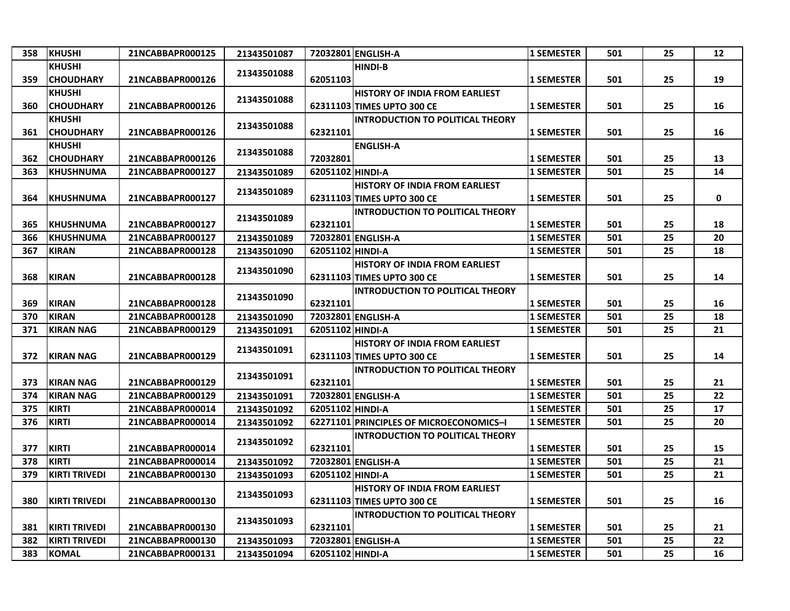| 358 | <b>KHUSHI</b>        | 21NCABBAPR000125 | 21343501087 |                  | 72032801 ENGLISH-A                      | <b>1 SEMESTER</b> | 501 | 25 | 12 |
|-----|----------------------|------------------|-------------|------------------|-----------------------------------------|-------------------|-----|----|----|
|     | <b>KHUSHI</b>        |                  |             |                  | <b>HINDI-B</b>                          |                   |     |    |    |
| 359 | <b>CHOUDHARY</b>     | 21NCABBAPR000126 | 21343501088 | 62051103         |                                         | <b>1 SEMESTER</b> | 501 | 25 | 19 |
|     | <b>KHUSHI</b>        |                  |             |                  | <b>HISTORY OF INDIA FROM EARLIEST</b>   |                   |     |    |    |
| 360 | <b>CHOUDHARY</b>     | 21NCABBAPR000126 | 21343501088 |                  | 62311103 TIMES UPTO 300 CE              | <b>1 SEMESTER</b> | 501 | 25 | 16 |
|     | <b>KHUSHI</b>        |                  |             |                  | <b>INTRODUCTION TO POLITICAL THEORY</b> |                   |     |    |    |
| 361 | <b>CHOUDHARY</b>     | 21NCABBAPR000126 | 21343501088 | 62321101         |                                         | <b>1 SEMESTER</b> | 501 | 25 | 16 |
|     | <b>KHUSHI</b>        |                  |             |                  | <b>ENGLISH-A</b>                        |                   |     |    |    |
| 362 | <b>CHOUDHARY</b>     | 21NCABBAPR000126 | 21343501088 | 72032801         |                                         | <b>1 SEMESTER</b> | 501 | 25 | 13 |
| 363 | <b>KHUSHNUMA</b>     | 21NCABBAPR000127 | 21343501089 | 62051102 HINDI-A |                                         | <b>1 SEMESTER</b> | 501 | 25 | 14 |
|     |                      |                  |             |                  | <b>HISTORY OF INDIA FROM EARLIEST</b>   |                   |     |    |    |
| 364 | <b>KHUSHNUMA</b>     | 21NCABBAPR000127 | 21343501089 |                  | 62311103 TIMES UPTO 300 CE              | <b>1 SEMESTER</b> | 501 | 25 | 0  |
|     |                      |                  |             |                  | INTRODUCTION TO POLITICAL THEORY        |                   |     |    |    |
| 365 | <b>KHUSHNUMA</b>     | 21NCABBAPR000127 | 21343501089 | 62321101         |                                         | <b>1 SEMESTER</b> | 501 | 25 | 18 |
| 366 | <b>KHUSHNUMA</b>     | 21NCABBAPR000127 | 21343501089 |                  | 72032801 ENGLISH-A                      | <b>1 SEMESTER</b> | 501 | 25 | 20 |
| 367 | <b>KIRAN</b>         | 21NCABBAPR000128 | 21343501090 | 62051102 HINDI-A |                                         | <b>1 SEMESTER</b> | 501 | 25 | 18 |
|     |                      |                  |             |                  | HISTORY OF INDIA FROM EARLIEST          |                   |     |    |    |
| 368 | <b>KIRAN</b>         | 21NCABBAPR000128 | 21343501090 |                  | 62311103 TIMES UPTO 300 CE              | <b>1 SEMESTER</b> | 501 | 25 | 14 |
|     |                      |                  | 21343501090 |                  | <b>INTRODUCTION TO POLITICAL THEORY</b> |                   |     |    |    |
| 369 | <b>KIRAN</b>         | 21NCABBAPR000128 |             | 62321101         |                                         | <b>1 SEMESTER</b> | 501 | 25 | 16 |
| 370 | <b>KIRAN</b>         | 21NCABBAPR000128 | 21343501090 |                  | 72032801 ENGLISH-A                      | <b>1 SEMESTER</b> | 501 | 25 | 18 |
| 371 | <b>KIRAN NAG</b>     | 21NCABBAPR000129 | 21343501091 | 62051102 HINDI-A |                                         | <b>1 SEMESTER</b> | 501 | 25 | 21 |
|     |                      |                  | 21343501091 |                  | <b>HISTORY OF INDIA FROM EARLIEST</b>   |                   |     |    |    |
| 372 | <b>KIRAN NAG</b>     | 21NCABBAPR000129 |             |                  | 62311103 TIMES UPTO 300 CE              | <b>1 SEMESTER</b> | 501 | 25 | 14 |
|     |                      |                  | 21343501091 |                  | <b>INTRODUCTION TO POLITICAL THEORY</b> |                   |     |    |    |
| 373 | <b>KIRAN NAG</b>     | 21NCABBAPR000129 |             | 62321101         |                                         | <b>1 SEMESTER</b> | 501 | 25 | 21 |
| 374 | <b>KIRAN NAG</b>     | 21NCABBAPR000129 | 21343501091 |                  | 72032801 ENGLISH-A                      | <b>1 SEMESTER</b> | 501 | 25 | 22 |
| 375 | <b>KIRTI</b>         | 21NCABBAPR000014 | 21343501092 | 62051102 HINDI-A |                                         | <b>1 SEMESTER</b> | 501 | 25 | 17 |
| 376 | <b>KIRTI</b>         | 21NCABBAPR000014 | 21343501092 |                  | 62271101 PRINCIPLES OF MICROECONOMICS-I | <b>1 SEMESTER</b> | 501 | 25 | 20 |
|     |                      |                  | 21343501092 |                  | <b>INTRODUCTION TO POLITICAL THEORY</b> |                   |     |    |    |
| 377 | <b>KIRTI</b>         | 21NCABBAPR000014 |             | 62321101         |                                         | <b>1 SEMESTER</b> | 501 | 25 | 15 |
| 378 | <b>KIRTI</b>         | 21NCABBAPR000014 | 21343501092 |                  | 72032801 ENGLISH-A                      | <b>1 SEMESTER</b> | 501 | 25 | 21 |
| 379 | <b>KIRTI TRIVEDI</b> | 21NCABBAPR000130 | 21343501093 | 62051102 HINDI-A |                                         | <b>1 SEMESTER</b> | 501 | 25 | 21 |
|     |                      |                  | 21343501093 |                  | <b>HISTORY OF INDIA FROM EARLIEST</b>   |                   |     |    |    |
| 380 | <b>KIRTI TRIVEDI</b> | 21NCABBAPR000130 |             |                  | 62311103 TIMES UPTO 300 CE              | <b>1 SEMESTER</b> | 501 | 25 | 16 |
|     |                      |                  | 21343501093 |                  | <b>INTRODUCTION TO POLITICAL THEORY</b> |                   |     |    |    |
| 381 | KIRTI TRIVEDI        | 21NCABBAPR000130 |             | 62321101         |                                         | <b>1 SEMESTER</b> | 501 | 25 | 21 |
| 382 | <b>KIRTI TRIVEDI</b> | 21NCABBAPR000130 | 21343501093 |                  | 72032801 ENGLISH-A                      | 1 SEMESTER        | 501 | 25 | 22 |
| 383 | <b>KOMAL</b>         | 21NCABBAPR000131 | 21343501094 | 62051102 HINDI-A |                                         | <b>1 SEMESTER</b> | 501 | 25 | 16 |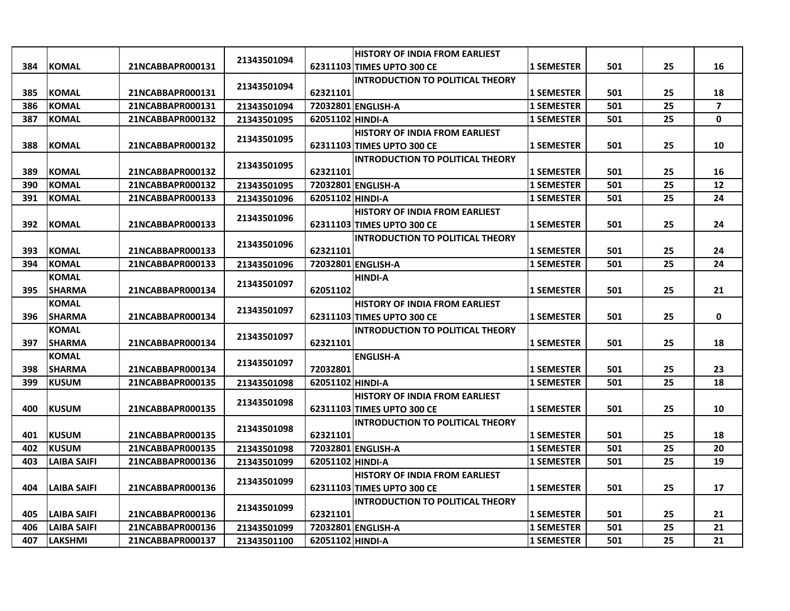|     |                    |                  |             |                  | <b>HISTORY OF INDIA FROM EARLIEST</b>   |                   |     |    |                |
|-----|--------------------|------------------|-------------|------------------|-----------------------------------------|-------------------|-----|----|----------------|
| 384 | <b>KOMAL</b>       | 21NCABBAPR000131 | 21343501094 |                  | 62311103 TIMES UPTO 300 CE              | <b>1 SEMESTER</b> | 501 | 25 | 16             |
|     |                    |                  |             |                  | <b>INTRODUCTION TO POLITICAL THEORY</b> |                   |     |    |                |
| 385 | <b>KOMAL</b>       | 21NCABBAPR000131 | 21343501094 | 62321101         |                                         | <b>1 SEMESTER</b> | 501 | 25 | 18             |
| 386 | <b>KOMAL</b>       | 21NCABBAPR000131 | 21343501094 |                  | 72032801 ENGLISH-A                      | <b>1 SEMESTER</b> | 501 | 25 | $\overline{7}$ |
| 387 | <b>KOMAL</b>       | 21NCABBAPR000132 | 21343501095 | 62051102 HINDI-A |                                         | <b>1 SEMESTER</b> | 501 | 25 | 0              |
|     |                    |                  |             |                  | <b>HISTORY OF INDIA FROM EARLIEST</b>   |                   |     |    |                |
| 388 | <b>KOMAL</b>       | 21NCABBAPR000132 | 21343501095 |                  | 62311103 TIMES UPTO 300 CE              | <b>1 SEMESTER</b> | 501 | 25 | 10             |
|     |                    |                  | 21343501095 |                  | <b>INTRODUCTION TO POLITICAL THEORY</b> |                   |     |    |                |
| 389 | <b>KOMAL</b>       | 21NCABBAPR000132 |             | 62321101         |                                         | <b>1 SEMESTER</b> | 501 | 25 | 16             |
| 390 | <b>KOMAL</b>       | 21NCABBAPR000132 | 21343501095 |                  | 72032801 ENGLISH-A                      | <b>1 SEMESTER</b> | 501 | 25 | 12             |
| 391 | <b>KOMAL</b>       | 21NCABBAPR000133 | 21343501096 | 62051102 HINDI-A |                                         | <b>1 SEMESTER</b> | 501 | 25 | 24             |
|     |                    |                  | 21343501096 |                  | <b>HISTORY OF INDIA FROM EARLIEST</b>   |                   |     |    |                |
| 392 | <b>KOMAL</b>       | 21NCABBAPR000133 |             |                  | 62311103 TIMES UPTO 300 CE              | <b>1 SEMESTER</b> | 501 | 25 | 24             |
|     |                    |                  | 21343501096 |                  | <b>INTRODUCTION TO POLITICAL THEORY</b> |                   |     |    |                |
| 393 | <b>KOMAL</b>       | 21NCABBAPR000133 |             | 62321101         |                                         | <b>1 SEMESTER</b> | 501 | 25 | 24             |
| 394 | <b>KOMAL</b>       | 21NCABBAPR000133 | 21343501096 |                  | 72032801 ENGLISH-A                      | <b>1 SEMESTER</b> | 501 | 25 | 24             |
|     | <b>KOMAL</b>       |                  | 21343501097 |                  | <b>HINDI-A</b>                          |                   |     |    |                |
| 395 | <b>SHARMA</b>      | 21NCABBAPR000134 |             | 62051102         |                                         | <b>1 SEMESTER</b> | 501 | 25 | 21             |
|     | <b>KOMAL</b>       |                  | 21343501097 |                  | <b>HISTORY OF INDIA FROM EARLIEST</b>   |                   |     |    |                |
| 396 | <b>SHARMA</b>      | 21NCABBAPR000134 |             |                  | 62311103 TIMES UPTO 300 CE              | <b>1 SEMESTER</b> | 501 | 25 | 0              |
|     | <b>KOMAL</b>       |                  | 21343501097 |                  | <b>INTRODUCTION TO POLITICAL THEORY</b> |                   |     |    |                |
| 397 | <b>SHARMA</b>      | 21NCABBAPR000134 |             | 62321101         |                                         | <b>1 SEMESTER</b> | 501 | 25 | 18             |
|     | <b>KOMAL</b>       |                  | 21343501097 |                  | <b>ENGLISH-A</b>                        |                   |     |    |                |
| 398 | <b>SHARMA</b>      | 21NCABBAPR000134 |             | 72032801         |                                         | <b>1 SEMESTER</b> | 501 | 25 | 23             |
| 399 | <b>KUSUM</b>       | 21NCABBAPR000135 | 21343501098 | 62051102 HINDI-A |                                         | <b>1 SEMESTER</b> | 501 | 25 | 18             |
|     |                    |                  | 21343501098 |                  | <b>HISTORY OF INDIA FROM EARLIEST</b>   |                   |     |    |                |
| 400 | <b>KUSUM</b>       | 21NCABBAPR000135 |             |                  | 62311103 TIMES UPTO 300 CE              | <b>1 SEMESTER</b> | 501 | 25 | 10             |
|     |                    |                  | 21343501098 |                  | <b>INTRODUCTION TO POLITICAL THEORY</b> |                   |     |    |                |
| 401 | <b>KUSUM</b>       | 21NCABBAPR000135 |             | 62321101         |                                         | <b>1 SEMESTER</b> | 501 | 25 | 18             |
| 402 | <b>KUSUM</b>       | 21NCABBAPR000135 | 21343501098 |                  | 72032801 ENGLISH-A                      | <b>1 SEMESTER</b> | 501 | 25 | 20             |
| 403 | <b>LAIBA SAIFI</b> | 21NCABBAPR000136 | 21343501099 | 62051102 HINDI-A |                                         | <b>1 SEMESTER</b> | 501 | 25 | 19             |
|     |                    |                  | 21343501099 |                  | <b>HISTORY OF INDIA FROM EARLIEST</b>   |                   |     |    |                |
| 404 | <b>LAIBA SAIFI</b> | 21NCABBAPR000136 |             |                  | 62311103 TIMES UPTO 300 CE              | <b>1 SEMESTER</b> | 501 | 25 | 17             |
|     |                    |                  | 21343501099 |                  | <b>INTRODUCTION TO POLITICAL THEORY</b> |                   |     |    |                |
| 405 | <b>LAIBA SAIFI</b> | 21NCABBAPR000136 |             | 62321101         |                                         | <b>1 SEMESTER</b> | 501 | 25 | 21             |
| 406 | <b>LAIBA SAIFI</b> | 21NCABBAPR000136 | 21343501099 |                  | 72032801 ENGLISH-A                      | <b>1 SEMESTER</b> | 501 | 25 | 21             |
| 407 | <b>LAKSHMI</b>     | 21NCABBAPR000137 | 21343501100 | 62051102 HINDI-A |                                         | <b>1 SEMESTER</b> | 501 | 25 | 21             |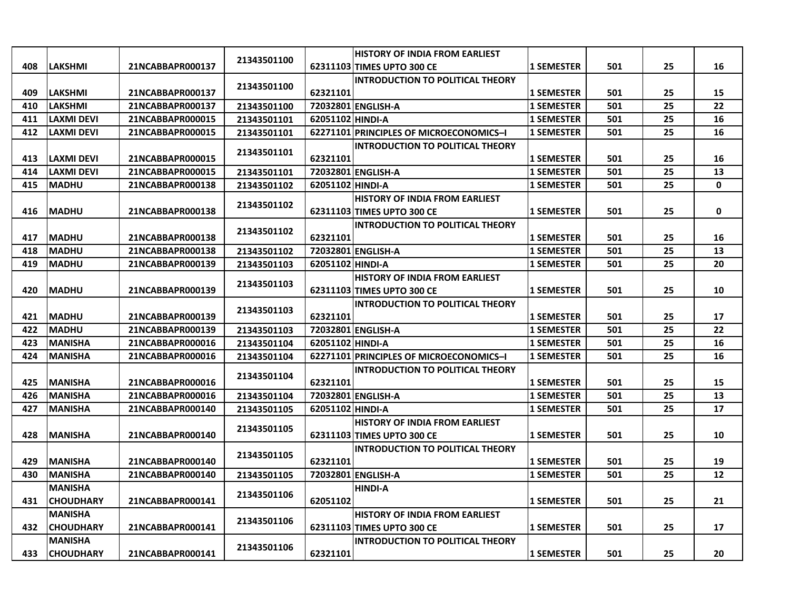|     |                   |                  |             |                  | <b>HISTORY OF INDIA FROM EARLIEST</b>   |                   |     |    |           |
|-----|-------------------|------------------|-------------|------------------|-----------------------------------------|-------------------|-----|----|-----------|
| 408 | <b>LAKSHMI</b>    | 21NCABBAPR000137 | 21343501100 |                  | 62311103 TIMES UPTO 300 CE              | <b>1 SEMESTER</b> | 501 | 25 | 16        |
|     |                   |                  |             |                  | <b>INTRODUCTION TO POLITICAL THEORY</b> |                   |     |    |           |
| 409 | <b>LAKSHMI</b>    | 21NCABBAPR000137 | 21343501100 | 62321101         |                                         | <b>1 SEMESTER</b> | 501 | 25 | 15        |
| 410 | <b>LAKSHMI</b>    | 21NCABBAPR000137 | 21343501100 |                  | 72032801 ENGLISH-A                      | <b>1 SEMESTER</b> | 501 | 25 | 22        |
| 411 | <b>LAXMI DEVI</b> | 21NCABBAPR000015 | 21343501101 | 62051102 HINDI-A |                                         | <b>1 SEMESTER</b> | 501 | 25 | 16        |
| 412 | <b>LAXMI DEVI</b> | 21NCABBAPR000015 | 21343501101 |                  | 62271101 PRINCIPLES OF MICROECONOMICS-I | <b>1 SEMESTER</b> | 501 | 25 | 16        |
|     |                   |                  |             |                  | <b>INTRODUCTION TO POLITICAL THEORY</b> |                   |     |    |           |
| 413 | LAXMI DEVI        | 21NCABBAPR000015 | 21343501101 | 62321101         |                                         | <b>1 SEMESTER</b> | 501 | 25 | 16        |
| 414 | <b>LAXMI DEVI</b> | 21NCABBAPR000015 | 21343501101 |                  | 72032801 ENGLISH-A                      | <b>1 SEMESTER</b> | 501 | 25 | 13        |
| 415 | <b>IMADHU</b>     | 21NCABBAPR000138 | 21343501102 | 62051102 HINDI-A |                                         | <b>1 SEMESTER</b> | 501 | 25 | $\pmb{0}$ |
|     |                   |                  |             |                  | <b>HISTORY OF INDIA FROM EARLIEST</b>   |                   |     |    |           |
| 416 | <b>MADHU</b>      | 21NCABBAPR000138 | 21343501102 |                  | 62311103 TIMES UPTO 300 CE              | <b>1 SEMESTER</b> | 501 | 25 | 0         |
|     |                   |                  |             |                  | <b>INTRODUCTION TO POLITICAL THEORY</b> |                   |     |    |           |
| 417 | <b>IMADHU</b>     | 21NCABBAPR000138 | 21343501102 | 62321101         |                                         | <b>1 SEMESTER</b> | 501 | 25 | 16        |
| 418 | <b>MADHU</b>      | 21NCABBAPR000138 | 21343501102 |                  | 72032801 ENGLISH-A                      | <b>1 SEMESTER</b> | 501 | 25 | 13        |
| 419 | <b>MADHU</b>      | 21NCABBAPR000139 | 21343501103 | 62051102 HINDI-A |                                         | <b>1 SEMESTER</b> | 501 | 25 | 20        |
|     |                   |                  |             |                  | <b>HISTORY OF INDIA FROM EARLIEST</b>   |                   |     |    |           |
| 420 | <b>MADHU</b>      | 21NCABBAPR000139 | 21343501103 |                  | 62311103 TIMES UPTO 300 CE              | <b>1 SEMESTER</b> | 501 | 25 | 10        |
|     |                   |                  |             |                  | <b>INTRODUCTION TO POLITICAL THEORY</b> |                   |     |    |           |
| 421 | <b>IMADHU</b>     | 21NCABBAPR000139 | 21343501103 | 62321101         |                                         | <b>1 SEMESTER</b> | 501 | 25 | 17        |
| 422 | <b>MADHU</b>      | 21NCABBAPR000139 | 21343501103 |                  | 72032801 ENGLISH-A                      | <b>1 SEMESTER</b> | 501 | 25 | 22        |
| 423 | <b>MANISHA</b>    | 21NCABBAPR000016 | 21343501104 | 62051102 HINDI-A |                                         | <b>1 SEMESTER</b> | 501 | 25 | 16        |
| 424 | <b>MANISHA</b>    | 21NCABBAPR000016 | 21343501104 |                  | 62271101 PRINCIPLES OF MICROECONOMICS-I | <b>1 SEMESTER</b> | 501 | 25 | 16        |
|     |                   |                  | 21343501104 |                  | <b>INTRODUCTION TO POLITICAL THEORY</b> |                   |     |    |           |
| 425 | <b>MANISHA</b>    | 21NCABBAPR000016 |             | 62321101         |                                         | <b>1 SEMESTER</b> | 501 | 25 | 15        |
| 426 | <b>MANISHA</b>    | 21NCABBAPR000016 | 21343501104 |                  | 72032801 ENGLISH-A                      | <b>1 SEMESTER</b> | 501 | 25 | 13        |
| 427 | <b>MANISHA</b>    | 21NCABBAPR000140 | 21343501105 | 62051102 HINDI-A |                                         | <b>1 SEMESTER</b> | 501 | 25 | 17        |
|     |                   |                  | 21343501105 |                  | <b>HISTORY OF INDIA FROM EARLIEST</b>   |                   |     |    |           |
| 428 | <b>MANISHA</b>    | 21NCABBAPR000140 |             |                  | 62311103 TIMES UPTO 300 CE              | <b>1 SEMESTER</b> | 501 | 25 | 10        |
|     |                   |                  | 21343501105 |                  | <b>INTRODUCTION TO POLITICAL THEORY</b> |                   |     |    |           |
| 429 | <b>MANISHA</b>    | 21NCABBAPR000140 |             | 62321101         |                                         | <b>1 SEMESTER</b> | 501 | 25 | 19        |
| 430 | <b>MANISHA</b>    | 21NCABBAPR000140 | 21343501105 |                  | 72032801 ENGLISH-A                      | <b>1 SEMESTER</b> | 501 | 25 | 12        |
|     | <b>MANISHA</b>    |                  |             |                  | <b>HINDI-A</b>                          |                   |     |    |           |
| 431 | <b>CHOUDHARY</b>  | 21NCABBAPR000141 | 21343501106 | 62051102         |                                         | <b>1 SEMESTER</b> | 501 | 25 | 21        |
|     | <b>MANISHA</b>    |                  | 21343501106 |                  | <b>HISTORY OF INDIA FROM EARLIEST</b>   |                   |     |    |           |
| 432 | <b>CHOUDHARY</b>  | 21NCABBAPR000141 |             |                  | 62311103 TIMES UPTO 300 CE              | <b>1 SEMESTER</b> | 501 | 25 | 17        |
|     | <b>MANISHA</b>    |                  |             |                  | <b>INTRODUCTION TO POLITICAL THEORY</b> |                   |     |    |           |
| 433 | <b>CHOUDHARY</b>  | 21NCABBAPR000141 | 21343501106 | 62321101         |                                         | <b>1 SEMESTER</b> | 501 | 25 | 20        |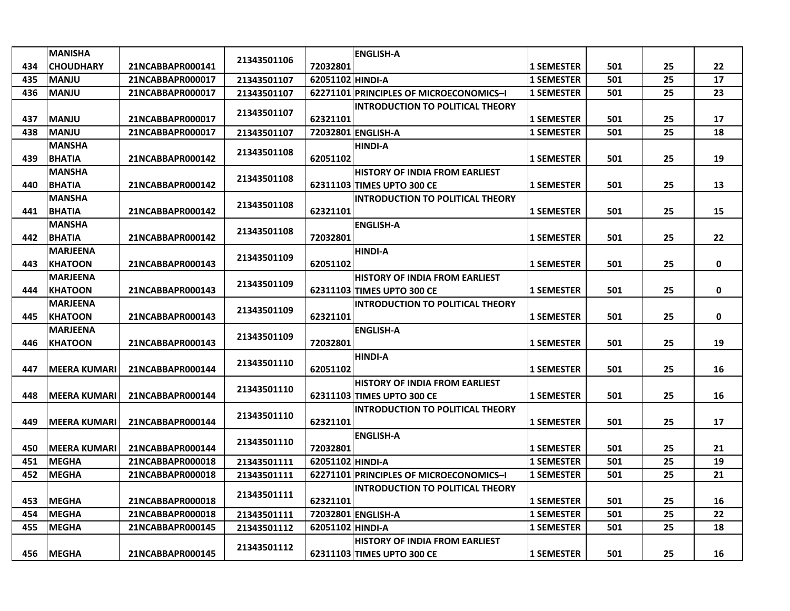|     | <b>MANISHA</b>      |                  |             |                  | <b>ENGLISH-A</b>                        |                   |     |    |    |
|-----|---------------------|------------------|-------------|------------------|-----------------------------------------|-------------------|-----|----|----|
| 434 | <b>CHOUDHARY</b>    | 21NCABBAPR000141 | 21343501106 | 72032801         |                                         | <b>1 SEMESTER</b> | 501 | 25 | 22 |
| 435 | <b>MANJU</b>        | 21NCABBAPR000017 | 21343501107 | 62051102 HINDI-A |                                         | <b>1 SEMESTER</b> | 501 | 25 | 17 |
| 436 | <b>IMANJU</b>       | 21NCABBAPR000017 | 21343501107 |                  | 62271101 PRINCIPLES OF MICROECONOMICS-I | <b>1 SEMESTER</b> | 501 | 25 | 23 |
|     |                     |                  |             |                  | <b>INTRODUCTION TO POLITICAL THEORY</b> |                   |     |    |    |
| 437 | <b>MANJU</b>        | 21NCABBAPR000017 | 21343501107 | 62321101         |                                         | <b>1 SEMESTER</b> | 501 | 25 | 17 |
| 438 | <b>MANJU</b>        | 21NCABBAPR000017 | 21343501107 |                  | 72032801 ENGLISH-A                      | <b>1 SEMESTER</b> | 501 | 25 | 18 |
|     | <b>MANSHA</b>       |                  | 21343501108 |                  | <b>HINDI-A</b>                          |                   |     |    |    |
| 439 | <b>BHATIA</b>       | 21NCABBAPR000142 |             | 62051102         |                                         | <b>1 SEMESTER</b> | 501 | 25 | 19 |
|     | <b>MANSHA</b>       |                  | 21343501108 |                  | <b>HISTORY OF INDIA FROM EARLIEST</b>   |                   |     |    |    |
| 440 | <b>BHATIA</b>       | 21NCABBAPR000142 |             |                  | 62311103 TIMES UPTO 300 CE              | <b>1 SEMESTER</b> | 501 | 25 | 13 |
|     | <b>MANSHA</b>       |                  | 21343501108 |                  | <b>INTRODUCTION TO POLITICAL THEORY</b> |                   |     |    |    |
| 441 | <b>BHATIA</b>       | 21NCABBAPR000142 |             | 62321101         |                                         | <b>1 SEMESTER</b> | 501 | 25 | 15 |
|     | <b>MANSHA</b>       |                  | 21343501108 |                  | <b>ENGLISH-A</b>                        |                   |     |    |    |
| 442 | <b>BHATIA</b>       | 21NCABBAPR000142 |             | 72032801         |                                         | <b>1 SEMESTER</b> | 501 | 25 | 22 |
|     | <b>MARJEENA</b>     |                  | 21343501109 |                  | <b>HINDI-A</b>                          |                   |     |    |    |
| 443 | <b>KHATOON</b>      | 21NCABBAPR000143 |             | 62051102         |                                         | <b>1 SEMESTER</b> | 501 | 25 | 0  |
|     | <b>MARJEENA</b>     |                  | 21343501109 |                  | <b>HISTORY OF INDIA FROM EARLIEST</b>   |                   |     |    |    |
| 444 | <b>KHATOON</b>      | 21NCABBAPR000143 |             |                  | 62311103 TIMES UPTO 300 CE              | <b>1 SEMESTER</b> | 501 | 25 | 0  |
|     | <b>MARJEENA</b>     |                  | 21343501109 |                  | <b>INTRODUCTION TO POLITICAL THEORY</b> |                   |     |    |    |
| 445 | <b>KHATOON</b>      | 21NCABBAPR000143 |             | 62321101         |                                         | <b>1 SEMESTER</b> | 501 | 25 | 0  |
|     | <b>MARJEENA</b>     |                  | 21343501109 |                  | <b>ENGLISH-A</b>                        |                   |     |    |    |
| 446 | <b>KHATOON</b>      | 21NCABBAPR000143 |             | 72032801         |                                         | <b>1 SEMESTER</b> | 501 | 25 | 19 |
|     |                     |                  | 21343501110 |                  | <b>HINDI-A</b>                          |                   |     |    |    |
| 447 | <b>MEERA KUMARI</b> | 21NCABBAPR000144 |             | 62051102         |                                         | <b>1 SEMESTER</b> | 501 | 25 | 16 |
|     |                     |                  | 21343501110 |                  | <b>HISTORY OF INDIA FROM EARLIEST</b>   |                   |     |    |    |
| 448 | <b>MEERA KUMARI</b> | 21NCABBAPR000144 |             |                  | 62311103 TIMES UPTO 300 CE              | <b>1 SEMESTER</b> | 501 | 25 | 16 |
|     |                     |                  | 21343501110 |                  | <b>INTRODUCTION TO POLITICAL THEORY</b> |                   |     |    |    |
| 449 | <b>MEERA KUMARI</b> | 21NCABBAPR000144 |             | 62321101         |                                         | <b>1 SEMESTER</b> | 501 | 25 | 17 |
|     |                     |                  | 21343501110 |                  | <b>ENGLISH-A</b>                        |                   |     |    |    |
| 450 | <b>MEERA KUMARI</b> | 21NCABBAPR000144 |             | 72032801         |                                         | <b>1 SEMESTER</b> | 501 | 25 | 21 |
| 451 | <b>MEGHA</b>        | 21NCABBAPR000018 | 21343501111 | 62051102 HINDI-A |                                         | <b>1 SEMESTER</b> | 501 | 25 | 19 |
| 452 | <b>MEGHA</b>        | 21NCABBAPR000018 | 21343501111 |                  | 62271101 PRINCIPLES OF MICROECONOMICS-I | <b>1 SEMESTER</b> | 501 | 25 | 21 |
|     |                     |                  | 21343501111 |                  | <b>INTRODUCTION TO POLITICAL THEORY</b> |                   |     |    |    |
| 453 | <b>MEGHA</b>        | 21NCABBAPR000018 |             | 62321101         |                                         | <b>1 SEMESTER</b> | 501 | 25 | 16 |
| 454 | <b>MEGHA</b>        | 21NCABBAPR000018 | 21343501111 |                  | 72032801 ENGLISH-A                      | <b>1 SEMESTER</b> | 501 | 25 | 22 |
| 455 | <b>MEGHA</b>        | 21NCABBAPR000145 | 21343501112 | 62051102 HINDI-A |                                         | <b>1 SEMESTER</b> | 501 | 25 | 18 |
|     |                     |                  | 21343501112 |                  | <b>HISTORY OF INDIA FROM EARLIEST</b>   |                   |     |    |    |
| 456 | <b>MEGHA</b>        | 21NCABBAPR000145 |             |                  | 62311103 TIMES UPTO 300 CE              | <b>1 SEMESTER</b> | 501 | 25 | 16 |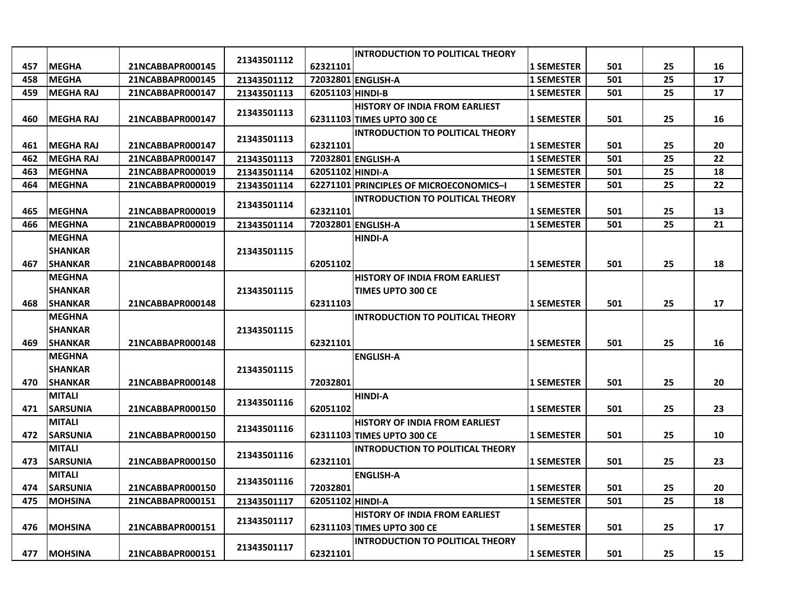|     |                  |                  |             |                  | <b>INTRODUCTION TO POLITICAL THEORY</b> |                   |     |    |    |
|-----|------------------|------------------|-------------|------------------|-----------------------------------------|-------------------|-----|----|----|
| 457 | <b>MEGHA</b>     | 21NCABBAPR000145 | 21343501112 | 62321101         |                                         | <b>1 SEMESTER</b> | 501 | 25 | 16 |
| 458 | <b>MEGHA</b>     | 21NCABBAPR000145 | 21343501112 |                  | 72032801 ENGLISH-A                      | <b>1 SEMESTER</b> | 501 | 25 | 17 |
| 459 | <b>MEGHA RAJ</b> | 21NCABBAPR000147 | 21343501113 | 62051103 HINDI-B |                                         | <b>1 SEMESTER</b> | 501 | 25 | 17 |
|     |                  |                  |             |                  | <b>HISTORY OF INDIA FROM EARLIEST</b>   |                   |     |    |    |
| 460 | <b>MEGHA RAJ</b> | 21NCABBAPR000147 | 21343501113 |                  | 62311103 TIMES UPTO 300 CE              | <b>1 SEMESTER</b> | 501 | 25 | 16 |
|     |                  |                  |             |                  | <b>INTRODUCTION TO POLITICAL THEORY</b> |                   |     |    |    |
| 461 | <b>MEGHA RAJ</b> | 21NCABBAPR000147 | 21343501113 | 62321101         |                                         | <b>1 SEMESTER</b> | 501 | 25 | 20 |
| 462 | <b>MEGHA RAJ</b> | 21NCABBAPR000147 | 21343501113 |                  | 72032801 ENGLISH-A                      | <b>1 SEMESTER</b> | 501 | 25 | 22 |
| 463 | <b>MEGHNA</b>    | 21NCABBAPR000019 | 21343501114 | 62051102 HINDI-A |                                         | <b>1 SEMESTER</b> | 501 | 25 | 18 |
| 464 | <b>MEGHNA</b>    | 21NCABBAPR000019 | 21343501114 |                  | 62271101 PRINCIPLES OF MICROECONOMICS-I | <b>1 SEMESTER</b> | 501 | 25 | 22 |
|     |                  |                  | 21343501114 |                  | <b>INTRODUCTION TO POLITICAL THEORY</b> |                   |     |    |    |
| 465 | <b>MEGHNA</b>    | 21NCABBAPR000019 |             | 62321101         |                                         | <b>1 SEMESTER</b> | 501 | 25 | 13 |
| 466 | <b>MEGHNA</b>    | 21NCABBAPR000019 | 21343501114 |                  | 72032801 ENGLISH-A                      | <b>1 SEMESTER</b> | 501 | 25 | 21 |
|     | <b>MEGHNA</b>    |                  |             |                  | <b>HINDI-A</b>                          |                   |     |    |    |
|     | <b>SHANKAR</b>   |                  | 21343501115 |                  |                                         |                   |     |    |    |
| 467 | <b>SHANKAR</b>   | 21NCABBAPR000148 |             | 62051102         |                                         | <b>1 SEMESTER</b> | 501 | 25 | 18 |
|     | <b>MEGHNA</b>    |                  |             |                  | <b>HISTORY OF INDIA FROM EARLIEST</b>   |                   |     |    |    |
|     | SHANKAR          |                  | 21343501115 |                  | <b>TIMES UPTO 300 CE</b>                |                   |     |    |    |
| 468 | <b>SHANKAR</b>   | 21NCABBAPR000148 |             | 62311103         |                                         | <b>1 SEMESTER</b> | 501 | 25 | 17 |
|     | <b>MEGHNA</b>    |                  |             |                  | <b>INTRODUCTION TO POLITICAL THEORY</b> |                   |     |    |    |
|     | <b>SHANKAR</b>   |                  | 21343501115 |                  |                                         |                   |     |    |    |
| 469 | <b>SHANKAR</b>   | 21NCABBAPR000148 |             | 62321101         |                                         | <b>1 SEMESTER</b> | 501 | 25 | 16 |
|     | <b>MEGHNA</b>    |                  |             |                  | <b>ENGLISH-A</b>                        |                   |     |    |    |
|     | <b>SHANKAR</b>   |                  | 21343501115 |                  |                                         |                   |     |    |    |
| 470 | <b>SHANKAR</b>   | 21NCABBAPR000148 |             | 72032801         |                                         | <b>1 SEMESTER</b> | 501 | 25 | 20 |
|     | <b>MITALI</b>    |                  | 21343501116 |                  | <b>HINDI-A</b>                          |                   |     |    |    |
| 471 | <b>SARSUNIA</b>  | 21NCABBAPR000150 |             | 62051102         |                                         | <b>1 SEMESTER</b> | 501 | 25 | 23 |
|     | <b>MITALI</b>    |                  | 21343501116 |                  | <b>HISTORY OF INDIA FROM EARLIEST</b>   |                   |     |    |    |
| 472 | <b>SARSUNIA</b>  | 21NCABBAPR000150 |             |                  | 62311103 TIMES UPTO 300 CE              | <b>1 SEMESTER</b> | 501 | 25 | 10 |
|     | <b>MITALI</b>    |                  | 21343501116 |                  | <b>INTRODUCTION TO POLITICAL THEORY</b> |                   |     |    |    |
| 473 | <b>SARSUNIA</b>  | 21NCABBAPR000150 |             | 62321101         |                                         | <b>1 SEMESTER</b> | 501 | 25 | 23 |
|     | <b>MITALI</b>    |                  | 21343501116 |                  | <b>ENGLISH-A</b>                        |                   |     |    |    |
| 474 | <b>SARSUNIA</b>  | 21NCABBAPR000150 |             | 72032801         |                                         | <b>1 SEMESTER</b> | 501 | 25 | 20 |
| 475 | <b>MOHSINA</b>   | 21NCABBAPR000151 | 21343501117 | 62051102 HINDI-A |                                         | <b>1 SEMESTER</b> | 501 | 25 | 18 |
|     |                  |                  | 21343501117 |                  | <b>HISTORY OF INDIA FROM EARLIEST</b>   |                   |     |    |    |
| 476 | <b>MOHSINA</b>   | 21NCABBAPR000151 |             |                  | 62311103 TIMES UPTO 300 CE              | <b>1 SEMESTER</b> | 501 | 25 | 17 |
|     |                  |                  | 21343501117 |                  | <b>INTRODUCTION TO POLITICAL THEORY</b> |                   |     |    |    |
| 477 | <b>MOHSINA</b>   | 21NCABBAPR000151 |             | 62321101         |                                         | 1 SEMESTER        | 501 | 25 | 15 |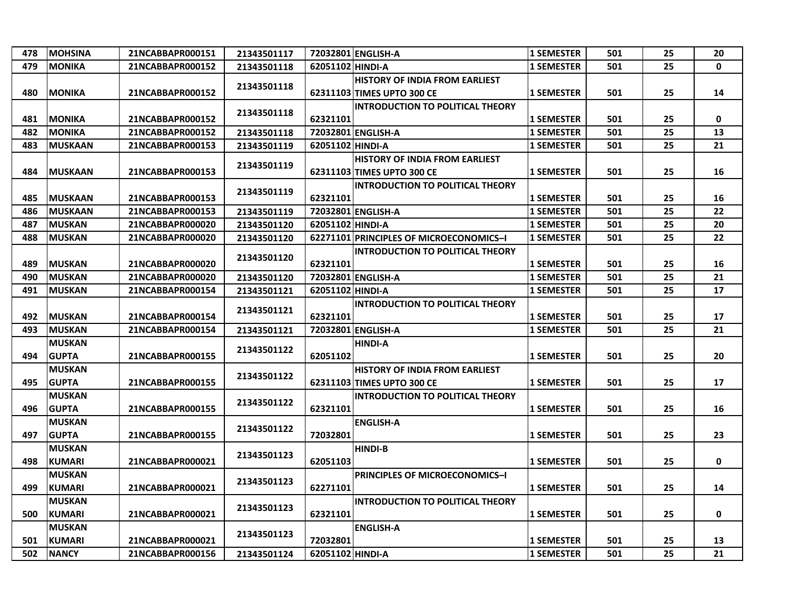| 478 | <b>MOHSINA</b>                 | 21NCABBAPR000151 | 21343501117 |                  | 72032801 ENGLISH-A                                                  | <b>1 SEMESTER</b> | 501 | 25 | 20           |
|-----|--------------------------------|------------------|-------------|------------------|---------------------------------------------------------------------|-------------------|-----|----|--------------|
| 479 | <b>MONIKA</b>                  | 21NCABBAPR000152 | 21343501118 | 62051102 HINDI-A |                                                                     | <b>1 SEMESTER</b> | 501 | 25 | $\mathbf{0}$ |
| 480 | <b>MONIKA</b>                  | 21NCABBAPR000152 | 21343501118 |                  | <b>HISTORY OF INDIA FROM EARLIEST</b><br>62311103 TIMES UPTO 300 CE | <b>1 SEMESTER</b> | 501 | 25 | 14           |
| 481 | <b>MONIKA</b>                  | 21NCABBAPR000152 | 21343501118 | 62321101         | <b>INTRODUCTION TO POLITICAL THEORY</b>                             | <b>1 SEMESTER</b> | 501 | 25 | 0            |
| 482 | <b>MONIKA</b>                  | 21NCABBAPR000152 | 21343501118 |                  | 72032801 ENGLISH-A                                                  | <b>1 SEMESTER</b> | 501 | 25 | 13           |
| 483 | <b>MUSKAAN</b>                 | 21NCABBAPR000153 | 21343501119 | 62051102 HINDI-A |                                                                     | <b>1 SEMESTER</b> | 501 | 25 | 21           |
| 484 | <b>MUSKAAN</b>                 | 21NCABBAPR000153 | 21343501119 |                  | <b>HISTORY OF INDIA FROM EARLIEST</b><br>62311103 TIMES UPTO 300 CE | <b>1 SEMESTER</b> | 501 | 25 | 16           |
| 485 | <b>MUSKAAN</b>                 | 21NCABBAPR000153 | 21343501119 | 62321101         | <b>INTRODUCTION TO POLITICAL THEORY</b>                             | <b>1 SEMESTER</b> | 501 | 25 | 16           |
| 486 | <b>MUSKAAN</b>                 | 21NCABBAPR000153 | 21343501119 |                  | 72032801 ENGLISH-A                                                  | <b>1 SEMESTER</b> | 501 | 25 | 22           |
| 487 | <b>MUSKAN</b>                  | 21NCABBAPR000020 | 21343501120 | 62051102 HINDI-A |                                                                     | <b>1 SEMESTER</b> | 501 | 25 | 20           |
| 488 | <b>MUSKAN</b>                  | 21NCABBAPR000020 | 21343501120 |                  | 62271101 PRINCIPLES OF MICROECONOMICS-I                             | <b>1 SEMESTER</b> | 501 | 25 | 22           |
| 489 | <b>MUSKAN</b>                  | 21NCABBAPR000020 | 21343501120 | 62321101         | <b>INTRODUCTION TO POLITICAL THEORY</b>                             | <b>1 SEMESTER</b> | 501 | 25 | 16           |
| 490 | <b>MUSKAN</b>                  | 21NCABBAPR000020 | 21343501120 |                  | 72032801 ENGLISH-A                                                  | <b>1 SEMESTER</b> | 501 | 25 | 21           |
| 491 | <b>MUSKAN</b>                  | 21NCABBAPR000154 | 21343501121 | 62051102 HINDI-A |                                                                     | <b>1 SEMESTER</b> | 501 | 25 | 17           |
| 492 | <b>MUSKAN</b>                  | 21NCABBAPR000154 | 21343501121 | 62321101         | <b>INTRODUCTION TO POLITICAL THEORY</b>                             | <b>1 SEMESTER</b> | 501 | 25 | 17           |
| 493 | <b>MUSKAN</b>                  | 21NCABBAPR000154 | 21343501121 |                  | 72032801 ENGLISH-A                                                  | <b>1 SEMESTER</b> | 501 | 25 | 21           |
| 494 | <b>MUSKAN</b><br><b>GUPTA</b>  | 21NCABBAPR000155 | 21343501122 | 62051102         | <b>HINDI-A</b>                                                      | <b>1 SEMESTER</b> | 501 | 25 | 20           |
| 495 | <b>MUSKAN</b><br><b>GUPTA</b>  | 21NCABBAPR000155 | 21343501122 |                  | <b>HISTORY OF INDIA FROM EARLIEST</b><br>62311103 TIMES UPTO 300 CE | <b>1 SEMESTER</b> | 501 | 25 | 17           |
| 496 | <b>MUSKAN</b><br><b>GUPTA</b>  | 21NCABBAPR000155 | 21343501122 | 62321101         | <b>INTRODUCTION TO POLITICAL THEORY</b>                             | <b>1 SEMESTER</b> | 501 | 25 | 16           |
| 497 | <b>MUSKAN</b><br><b>GUPTA</b>  | 21NCABBAPR000155 | 21343501122 | 72032801         | <b>ENGLISH-A</b>                                                    | <b>1 SEMESTER</b> | 501 | 25 | 23           |
| 498 | <b>MUSKAN</b><br><b>KUMARI</b> | 21NCABBAPR000021 | 21343501123 | 62051103         | <b>HINDI-B</b>                                                      | <b>1 SEMESTER</b> | 501 | 25 | 0            |
| 499 | <b>MUSKAN</b><br><b>KUMARI</b> | 21NCABBAPR000021 | 21343501123 | 62271101         | <b>PRINCIPLES OF MICROECONOMICS-I</b>                               | <b>1 SEMESTER</b> | 501 | 25 | 14           |
| 500 | <b>MUSKAN</b><br><b>KUMARI</b> | 21NCABBAPR000021 | 21343501123 | 62321101         | <b>INTRODUCTION TO POLITICAL THEORY</b>                             | <b>1 SEMESTER</b> | 501 | 25 | $\mathbf 0$  |
| 501 | <b>MUSKAN</b><br><b>KUMARI</b> | 21NCABBAPR000021 | 21343501123 | 72032801         | <b>ENGLISH-A</b>                                                    | <b>1 SEMESTER</b> | 501 | 25 | 13           |
| 502 | <b>NANCY</b>                   | 21NCABBAPR000156 | 21343501124 | 62051102 HINDI-A |                                                                     | <b>1 SEMESTER</b> | 501 | 25 | 21           |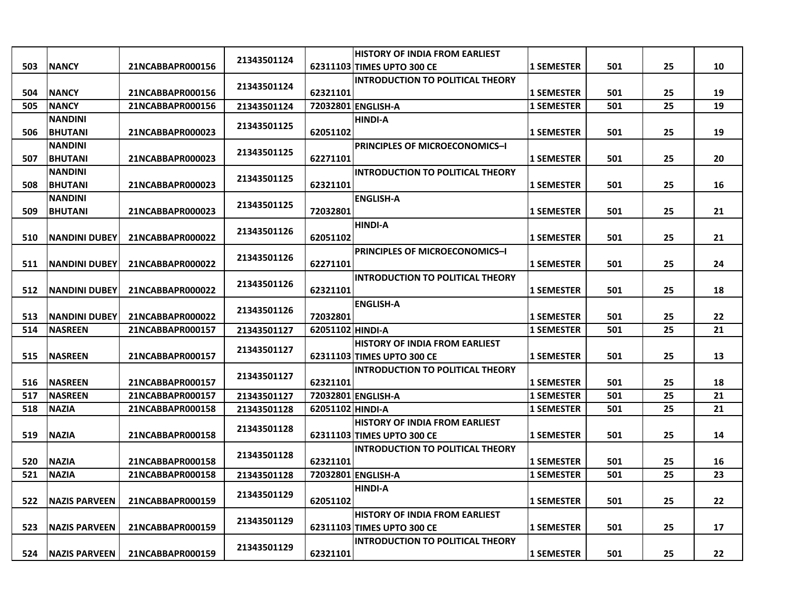|     |                       |                  |             |                  | <b>HISTORY OF INDIA FROM EARLIEST</b>   |                   |     |    |    |
|-----|-----------------------|------------------|-------------|------------------|-----------------------------------------|-------------------|-----|----|----|
| 503 | <b>NANCY</b>          | 21NCABBAPR000156 | 21343501124 |                  | 62311103 TIMES UPTO 300 CE              | 1 SEMESTER        | 501 | 25 | 10 |
|     |                       |                  |             |                  | <b>INTRODUCTION TO POLITICAL THEORY</b> |                   |     |    |    |
| 504 | <b>NANCY</b>          | 21NCABBAPR000156 | 21343501124 | 62321101         |                                         | <b>1 SEMESTER</b> | 501 | 25 | 19 |
| 505 | <b>NANCY</b>          | 21NCABBAPR000156 | 21343501124 |                  | 72032801 ENGLISH-A                      | <b>1 SEMESTER</b> | 501 | 25 | 19 |
|     | <b>NANDINI</b>        |                  |             |                  | <b>HINDI-A</b>                          |                   |     |    |    |
| 506 | <b>BHUTANI</b>        | 21NCABBAPR000023 | 21343501125 | 62051102         |                                         | <b>1 SEMESTER</b> | 501 | 25 | 19 |
|     | <b>NANDINI</b>        |                  |             |                  | <b>PRINCIPLES OF MICROECONOMICS-I</b>   |                   |     |    |    |
| 507 | <b>BHUTANI</b>        | 21NCABBAPR000023 | 21343501125 | 62271101         |                                         | <b>1 SEMESTER</b> | 501 | 25 | 20 |
|     | <b>NANDINI</b>        |                  |             |                  | INTRODUCTION TO POLITICAL THEORY        |                   |     |    |    |
| 508 | <b>BHUTANI</b>        | 21NCABBAPR000023 | 21343501125 | 62321101         |                                         | <b>1 SEMESTER</b> | 501 | 25 | 16 |
|     | <b>NANDINI</b>        |                  |             |                  | <b>ENGLISH-A</b>                        |                   |     |    |    |
| 509 | <b>BHUTANI</b>        | 21NCABBAPR000023 | 21343501125 | 72032801         |                                         | <b>1 SEMESTER</b> | 501 | 25 | 21 |
|     |                       |                  |             |                  | <b>HINDI-A</b>                          |                   |     |    |    |
| 510 | <b>NANDINI DUBEY</b>  | 21NCABBAPR000022 | 21343501126 | 62051102         |                                         | <b>1 SEMESTER</b> | 501 | 25 | 21 |
|     |                       |                  |             |                  | <b>PRINCIPLES OF MICROECONOMICS-I</b>   |                   |     |    |    |
| 511 | <b>NANDINI DUBEY</b>  | 21NCABBAPR000022 | 21343501126 | 62271101         |                                         | <b>1 SEMESTER</b> | 501 | 25 | 24 |
|     |                       |                  |             |                  | <b>INTRODUCTION TO POLITICAL THEORY</b> |                   |     |    |    |
| 512 | <b>INANDINI DUBEY</b> | 21NCABBAPR000022 | 21343501126 | 62321101         |                                         | <b>1 SEMESTER</b> | 501 | 25 | 18 |
|     |                       |                  |             |                  | <b>ENGLISH-A</b>                        |                   |     |    |    |
| 513 | <b>NANDINI DUBEY</b>  | 21NCABBAPR000022 | 21343501126 | 72032801         |                                         | <b>1 SEMESTER</b> | 501 | 25 | 22 |
| 514 | <b>INASREEN</b>       | 21NCABBAPR000157 | 21343501127 | 62051102 HINDI-A |                                         | <b>1 SEMESTER</b> | 501 | 25 | 21 |
|     |                       |                  |             |                  | <b>HISTORY OF INDIA FROM EARLIEST</b>   |                   |     |    |    |
| 515 | <b>NASREEN</b>        | 21NCABBAPR000157 | 21343501127 |                  | 62311103 TIMES UPTO 300 CE              | <b>1 SEMESTER</b> | 501 | 25 | 13 |
|     |                       |                  |             |                  | <b>INTRODUCTION TO POLITICAL THEORY</b> |                   |     |    |    |
| 516 | <b>NASREEN</b>        | 21NCABBAPR000157 | 21343501127 | 62321101         |                                         | <b>1 SEMESTER</b> | 501 | 25 | 18 |
| 517 | <b>NASREEN</b>        | 21NCABBAPR000157 | 21343501127 |                  | 72032801 ENGLISH-A                      | <b>1 SEMESTER</b> | 501 | 25 | 21 |
| 518 | <b>NAZIA</b>          | 21NCABBAPR000158 | 21343501128 | 62051102 HINDI-A |                                         | <b>1 SEMESTER</b> | 501 | 25 | 21 |
|     |                       |                  |             |                  | <b>HISTORY OF INDIA FROM EARLIEST</b>   |                   |     |    |    |
| 519 | <b>NAZIA</b>          | 21NCABBAPR000158 | 21343501128 |                  | 62311103 TIMES UPTO 300 CE              | <b>1 SEMESTER</b> | 501 | 25 | 14 |
|     |                       |                  |             |                  | <b>INTRODUCTION TO POLITICAL THEORY</b> |                   |     |    |    |
| 520 | <b>NAZIA</b>          | 21NCABBAPR000158 | 21343501128 | 62321101         |                                         | <b>1 SEMESTER</b> | 501 | 25 | 16 |
| 521 | <b>NAZIA</b>          | 21NCABBAPR000158 | 21343501128 |                  | 72032801 ENGLISH-A                      | <b>1 SEMESTER</b> | 501 | 25 | 23 |
|     |                       |                  |             |                  | <b>HINDI-A</b>                          |                   |     |    |    |
| 522 | <b>NAZIS PARVEEN</b>  |                  | 21343501129 | 62051102         |                                         |                   | 501 | 25 | 22 |
|     |                       | 21NCABBAPR000159 |             |                  | <b>HISTORY OF INDIA FROM EARLIEST</b>   | <b>1 SEMESTER</b> |     |    |    |
| 523 | <b>NAZIS PARVEEN</b>  | 21NCABBAPR000159 | 21343501129 |                  | 62311103 TIMES UPTO 300 CE              | <b>1 SEMESTER</b> | 501 | 25 | 17 |
|     |                       |                  |             |                  |                                         |                   |     |    |    |
|     |                       |                  | 21343501129 |                  | <b>INTRODUCTION TO POLITICAL THEORY</b> |                   |     |    |    |
| 524 | <b>INAZIS PARVEEN</b> | 21NCABBAPR000159 |             | 62321101         |                                         | <b>1 SEMESTER</b> | 501 | 25 | 22 |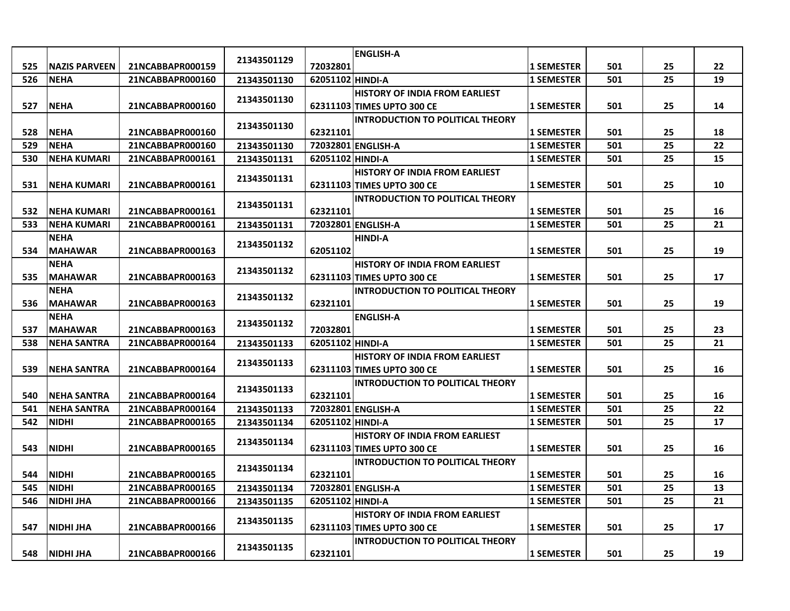|     |                      |                  |             |                  | <b>ENGLISH-A</b>                        |                   |     |    |    |
|-----|----------------------|------------------|-------------|------------------|-----------------------------------------|-------------------|-----|----|----|
| 525 | <b>NAZIS PARVEEN</b> | 21NCABBAPR000159 | 21343501129 | 72032801         |                                         | 1 SEMESTER        | 501 | 25 | 22 |
| 526 | <b>NEHA</b>          | 21NCABBAPR000160 | 21343501130 | 62051102 HINDI-A |                                         | <b>1 SEMESTER</b> | 501 | 25 | 19 |
|     |                      |                  |             |                  | <b>HISTORY OF INDIA FROM EARLIEST</b>   |                   |     |    |    |
| 527 | <b>NEHA</b>          | 21NCABBAPR000160 | 21343501130 |                  | 62311103 TIMES UPTO 300 CE              | <b>1 SEMESTER</b> | 501 | 25 | 14 |
|     |                      |                  |             |                  | <b>INTRODUCTION TO POLITICAL THEORY</b> |                   |     |    |    |
| 528 | <b>NEHA</b>          | 21NCABBAPR000160 | 21343501130 | 62321101         |                                         | <b>1 SEMESTER</b> | 501 | 25 | 18 |
| 529 | <b>NEHA</b>          | 21NCABBAPR000160 | 21343501130 |                  | 72032801 ENGLISH-A                      | <b>1 SEMESTER</b> | 501 | 25 | 22 |
| 530 | <b>NEHA KUMARI</b>   | 21NCABBAPR000161 | 21343501131 | 62051102 HINDI-A |                                         | 1 SEMESTER        | 501 | 25 | 15 |
|     |                      |                  |             |                  | <b>HISTORY OF INDIA FROM EARLIEST</b>   |                   |     |    |    |
| 531 | <b>NEHA KUMARI</b>   | 21NCABBAPR000161 | 21343501131 |                  | 62311103 TIMES UPTO 300 CE              | <b>1 SEMESTER</b> | 501 | 25 | 10 |
|     |                      |                  | 21343501131 |                  | <b>INTRODUCTION TO POLITICAL THEORY</b> |                   |     |    |    |
| 532 | <b>NEHA KUMARI</b>   | 21NCABBAPR000161 |             | 62321101         |                                         | <b>1 SEMESTER</b> | 501 | 25 | 16 |
| 533 | <b>NEHA KUMARI</b>   | 21NCABBAPR000161 | 21343501131 |                  | 72032801 ENGLISH-A                      | <b>1 SEMESTER</b> | 501 | 25 | 21 |
|     | <b>NEHA</b>          |                  | 21343501132 |                  | <b>HINDI-A</b>                          |                   |     |    |    |
| 534 | <b>MAHAWAR</b>       | 21NCABBAPR000163 |             | 62051102         |                                         | <b>1 SEMESTER</b> | 501 | 25 | 19 |
|     | <b>NEHA</b>          |                  | 21343501132 |                  | <b>HISTORY OF INDIA FROM EARLIEST</b>   |                   |     |    |    |
| 535 | <b>MAHAWAR</b>       | 21NCABBAPR000163 |             |                  | 62311103 TIMES UPTO 300 CE              | <b>1 SEMESTER</b> | 501 | 25 | 17 |
|     | <b>NEHA</b>          |                  | 21343501132 |                  | <b>INTRODUCTION TO POLITICAL THEORY</b> |                   |     |    |    |
| 536 | <b>MAHAWAR</b>       | 21NCABBAPR000163 |             | 62321101         |                                         | <b>1 SEMESTER</b> | 501 | 25 | 19 |
|     | <b>NEHA</b>          |                  | 21343501132 |                  | <b>ENGLISH-A</b>                        |                   |     |    |    |
| 537 | <b>MAHAWAR</b>       | 21NCABBAPR000163 |             | 72032801         |                                         | <b>1 SEMESTER</b> | 501 | 25 | 23 |
| 538 | <b>NEHA SANTRA</b>   | 21NCABBAPR000164 | 21343501133 | 62051102 HINDI-A |                                         | <b>1 SEMESTER</b> | 501 | 25 | 21 |
|     |                      |                  | 21343501133 |                  | <b>HISTORY OF INDIA FROM EARLIEST</b>   |                   |     |    |    |
| 539 | <b>NEHA SANTRA</b>   | 21NCABBAPR000164 |             |                  | 62311103 TIMES UPTO 300 CE              | <b>1 SEMESTER</b> | 501 | 25 | 16 |
|     |                      |                  | 21343501133 |                  | <b>INTRODUCTION TO POLITICAL THEORY</b> |                   |     |    |    |
| 540 | <b>NEHA SANTRA</b>   | 21NCABBAPR000164 |             | 62321101         |                                         | <b>1 SEMESTER</b> | 501 | 25 | 16 |
| 541 | <b>NEHA SANTRA</b>   | 21NCABBAPR000164 | 21343501133 |                  | 72032801 ENGLISH-A                      | <b>1 SEMESTER</b> | 501 | 25 | 22 |
| 542 | <b>NIDHI</b>         | 21NCABBAPR000165 | 21343501134 | 62051102 HINDI-A |                                         | <b>1 SEMESTER</b> | 501 | 25 | 17 |
|     |                      |                  | 21343501134 |                  | <b>HISTORY OF INDIA FROM EARLIEST</b>   |                   |     |    |    |
| 543 | <b>NIDHI</b>         | 21NCABBAPR000165 |             |                  | 62311103 TIMES UPTO 300 CE              | 1 SEMESTER        | 501 | 25 | 16 |
|     |                      |                  | 21343501134 |                  | <b>INTRODUCTION TO POLITICAL THEORY</b> |                   |     |    |    |
| 544 | <b>NIDHI</b>         | 21NCABBAPR000165 |             | 62321101         |                                         | <b>1 SEMESTER</b> | 501 | 25 | 16 |
| 545 | <b>NIDHI</b>         | 21NCABBAPR000165 | 21343501134 |                  | 72032801 ENGLISH-A                      | <b>1 SEMESTER</b> | 501 | 25 | 13 |
| 546 | NIDHI JHA            | 21NCABBAPR000166 | 21343501135 | 62051102 HINDI-A |                                         | <b>1 SEMESTER</b> | 501 | 25 | 21 |
|     |                      |                  | 21343501135 |                  | <b>HISTORY OF INDIA FROM EARLIEST</b>   |                   |     |    |    |
| 547 | <b>NIDHI JHA</b>     | 21NCABBAPR000166 |             |                  | 62311103 TIMES UPTO 300 CE              | <b>1 SEMESTER</b> | 501 | 25 | 17 |
|     |                      |                  | 21343501135 |                  | <b>INTRODUCTION TO POLITICAL THEORY</b> |                   |     |    |    |
| 548 | NIDHI JHA            | 21NCABBAPR000166 |             | 62321101         |                                         | <b>1 SEMESTER</b> | 501 | 25 | 19 |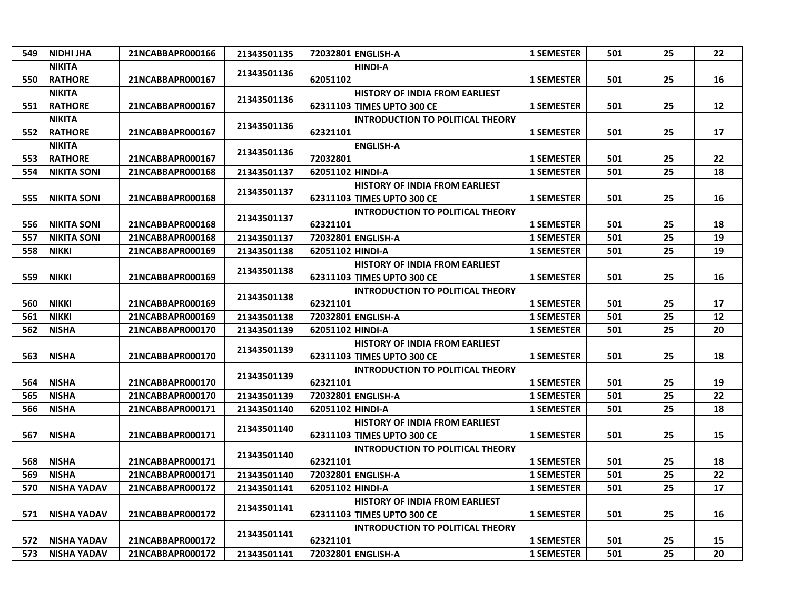| 549 | <b>NIDHI JHA</b>   | 21NCABBAPR000166 | 21343501135 |                  | 72032801 ENGLISH-A                      | <b>1 SEMESTER</b> | 501 | 25 | 22 |
|-----|--------------------|------------------|-------------|------------------|-----------------------------------------|-------------------|-----|----|----|
|     | <b>NIKITA</b>      |                  |             |                  | <b>HINDI-A</b>                          |                   |     |    |    |
| 550 | <b>RATHORE</b>     | 21NCABBAPR000167 | 21343501136 | 62051102         |                                         | <b>1 SEMESTER</b> | 501 | 25 | 16 |
|     | <b>NIKITA</b>      |                  |             |                  | <b>HISTORY OF INDIA FROM EARLIEST</b>   |                   |     |    |    |
| 551 | <b>RATHORE</b>     | 21NCABBAPR000167 | 21343501136 |                  | 62311103 TIMES UPTO 300 CE              | <b>1 SEMESTER</b> | 501 | 25 | 12 |
|     | <b>NIKITA</b>      |                  |             |                  | <b>INTRODUCTION TO POLITICAL THEORY</b> |                   |     |    |    |
| 552 | <b>RATHORE</b>     | 21NCABBAPR000167 | 21343501136 | 62321101         |                                         | <b>1 SEMESTER</b> | 501 | 25 | 17 |
|     | <b>NIKITA</b>      |                  |             |                  | <b>ENGLISH-A</b>                        |                   |     |    |    |
| 553 | <b>RATHORE</b>     | 21NCABBAPR000167 | 21343501136 | 72032801         |                                         | <b>1 SEMESTER</b> | 501 | 25 | 22 |
| 554 | <b>NIKITA SONI</b> | 21NCABBAPR000168 | 21343501137 | 62051102 HINDI-A |                                         | <b>1 SEMESTER</b> | 501 | 25 | 18 |
|     |                    |                  |             |                  | <b>HISTORY OF INDIA FROM EARLIEST</b>   |                   |     |    |    |
| 555 | <b>NIKITA SONI</b> | 21NCABBAPR000168 | 21343501137 |                  | 62311103 TIMES UPTO 300 CE              | <b>1 SEMESTER</b> | 501 | 25 | 16 |
|     |                    |                  |             |                  | <b>INTRODUCTION TO POLITICAL THEORY</b> |                   |     |    |    |
| 556 | <b>NIKITA SONI</b> | 21NCABBAPR000168 | 21343501137 | 62321101         |                                         | <b>1 SEMESTER</b> | 501 | 25 | 18 |
| 557 | <b>NIKITA SONI</b> | 21NCABBAPR000168 | 21343501137 |                  | 72032801 ENGLISH-A                      | <b>1 SEMESTER</b> | 501 | 25 | 19 |
| 558 | <b>NIKKI</b>       | 21NCABBAPR000169 | 21343501138 | 62051102 HINDI-A |                                         | <b>1 SEMESTER</b> | 501 | 25 | 19 |
|     |                    |                  |             |                  | <b>HISTORY OF INDIA FROM EARLIEST</b>   |                   |     |    |    |
| 559 | <b>NIKKI</b>       | 21NCABBAPR000169 | 21343501138 |                  | 62311103 TIMES UPTO 300 CE              | <b>1 SEMESTER</b> | 501 | 25 | 16 |
|     |                    |                  | 21343501138 |                  | <b>INTRODUCTION TO POLITICAL THEORY</b> |                   |     |    |    |
| 560 | <b>NIKKI</b>       | 21NCABBAPR000169 |             | 62321101         |                                         | <b>1 SEMESTER</b> | 501 | 25 | 17 |
| 561 | <b>NIKKI</b>       | 21NCABBAPR000169 | 21343501138 |                  | 72032801 ENGLISH-A                      | <b>1 SEMESTER</b> | 501 | 25 | 12 |
| 562 | <b>NISHA</b>       | 21NCABBAPR000170 | 21343501139 | 62051102 HINDI-A |                                         | <b>1 SEMESTER</b> | 501 | 25 | 20 |
|     |                    |                  | 21343501139 |                  | <b>HISTORY OF INDIA FROM EARLIEST</b>   |                   |     |    |    |
| 563 | <b>NISHA</b>       | 21NCABBAPR000170 |             |                  | 62311103 TIMES UPTO 300 CE              | <b>1 SEMESTER</b> | 501 | 25 | 18 |
|     |                    |                  | 21343501139 |                  | <b>INTRODUCTION TO POLITICAL THEORY</b> |                   |     |    |    |
| 564 | <b>NISHA</b>       | 21NCABBAPR000170 |             | 62321101         |                                         | <b>1 SEMESTER</b> | 501 | 25 | 19 |
| 565 | <b>NISHA</b>       | 21NCABBAPR000170 | 21343501139 |                  | 72032801 ENGLISH-A                      | <b>1 SEMESTER</b> | 501 | 25 | 22 |
| 566 | <b>NISHA</b>       | 21NCABBAPR000171 | 21343501140 | 62051102 HINDI-A |                                         | <b>1 SEMESTER</b> | 501 | 25 | 18 |
|     |                    |                  | 21343501140 |                  | <b>HISTORY OF INDIA FROM EARLIEST</b>   |                   |     |    |    |
| 567 | <b>NISHA</b>       | 21NCABBAPR000171 |             |                  | 62311103 TIMES UPTO 300 CE              | <b>1 SEMESTER</b> | 501 | 25 | 15 |
|     |                    |                  | 21343501140 |                  | <b>INTRODUCTION TO POLITICAL THEORY</b> |                   |     |    |    |
| 568 | <b>NISHA</b>       | 21NCABBAPR000171 |             | 62321101         |                                         | <b>1 SEMESTER</b> | 501 | 25 | 18 |
| 569 | <b>NISHA</b>       | 21NCABBAPR000171 | 21343501140 |                  | 72032801 ENGLISH-A                      | <b>1 SEMESTER</b> | 501 | 25 | 22 |
| 570 | <b>NISHA YADAV</b> | 21NCABBAPR000172 | 21343501141 | 62051102 HINDI-A |                                         | <b>1 SEMESTER</b> | 501 | 25 | 17 |
|     |                    |                  | 21343501141 |                  | <b>HISTORY OF INDIA FROM EARLIEST</b>   |                   |     |    |    |
| 571 | <b>NISHA YADAV</b> | 21NCABBAPR000172 |             |                  | 62311103 TIMES UPTO 300 CE              | <b>1 SEMESTER</b> | 501 | 25 | 16 |
|     |                    |                  | 21343501141 |                  | <b>INTRODUCTION TO POLITICAL THEORY</b> |                   |     |    |    |
| 572 | <b>NISHA YADAV</b> | 21NCABBAPR000172 |             | 62321101         |                                         | <b>1 SEMESTER</b> | 501 | 25 | 15 |
| 573 | <b>NISHA YADAV</b> | 21NCABBAPR000172 | 21343501141 |                  | 72032801 ENGLISH-A                      | <b>1 SEMESTER</b> | 501 | 25 | 20 |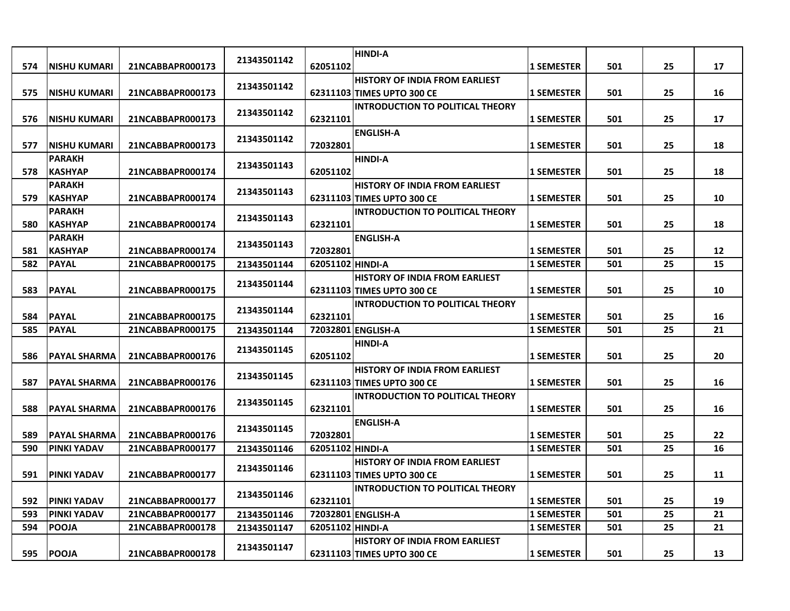| 574 | <b>NISHU KUMARI</b> | 21NCABBAPR000173 | 21343501142 | 62051102         | <b>HINDI-A</b>                                                        | <b>1 SEMESTER</b> | 501 | 25 | 17 |
|-----|---------------------|------------------|-------------|------------------|-----------------------------------------------------------------------|-------------------|-----|----|----|
|     |                     |                  |             |                  | <b>HISTORY OF INDIA FROM EARLIEST</b>                                 |                   |     |    |    |
| 575 | <b>NISHU KUMARI</b> | 21NCABBAPR000173 | 21343501142 |                  | 62311103 TIMES UPTO 300 CE                                            | <b>1 SEMESTER</b> | 501 | 25 | 16 |
|     |                     |                  |             |                  | <b>INTRODUCTION TO POLITICAL THEORY</b>                               |                   |     |    |    |
| 576 | INISHU KUMARI       | 21NCABBAPR000173 | 21343501142 | 62321101         |                                                                       | <b>1 SEMESTER</b> | 501 | 25 | 17 |
|     |                     |                  |             |                  | <b>ENGLISH-A</b>                                                      |                   |     |    |    |
| 577 | <b>NISHU KUMARI</b> | 21NCABBAPR000173 | 21343501142 | 72032801         |                                                                       | <b>1 SEMESTER</b> | 501 | 25 | 18 |
|     | <b>PARAKH</b>       |                  | 21343501143 |                  | <b>HINDI-A</b>                                                        |                   |     |    |    |
| 578 | <b>KASHYAP</b>      | 21NCABBAPR000174 |             | 62051102         |                                                                       | <b>1 SEMESTER</b> | 501 | 25 | 18 |
|     | <b>PARAKH</b>       |                  | 21343501143 |                  | <b>HISTORY OF INDIA FROM EARLIEST</b>                                 |                   |     |    |    |
| 579 | <b>KASHYAP</b>      | 21NCABBAPR000174 |             |                  | 62311103 TIMES UPTO 300 CE                                            | <b>1 SEMESTER</b> | 501 | 25 | 10 |
|     | <b>PARAKH</b>       |                  | 21343501143 |                  | <b>INTRODUCTION TO POLITICAL THEORY</b>                               |                   |     |    |    |
| 580 | <b>KASHYAP</b>      | 21NCABBAPR000174 |             | 62321101         |                                                                       | <b>1 SEMESTER</b> | 501 | 25 | 18 |
|     | <b>PARAKH</b>       |                  | 21343501143 |                  | <b>ENGLISH-A</b>                                                      |                   |     |    |    |
| 581 | <b>KASHYAP</b>      | 21NCABBAPR000174 |             | 72032801         |                                                                       | <b>1 SEMESTER</b> | 501 | 25 | 12 |
| 582 | <b>PAYAL</b>        | 21NCABBAPR000175 | 21343501144 | 62051102 HINDI-A |                                                                       | <b>1 SEMESTER</b> | 501 | 25 | 15 |
|     |                     |                  | 21343501144 |                  | <b>HISTORY OF INDIA FROM EARLIEST</b>                                 |                   |     |    |    |
| 583 | <b>PAYAL</b>        | 21NCABBAPR000175 |             |                  | 62311103 TIMES UPTO 300 CE<br><b>INTRODUCTION TO POLITICAL THEORY</b> | <b>1 SEMESTER</b> | 501 | 25 | 10 |
| 584 | <b>PAYAL</b>        | 21NCABBAPR000175 | 21343501144 | 62321101         |                                                                       | <b>1 SEMESTER</b> | 501 | 25 | 16 |
| 585 | <b>PAYAL</b>        | 21NCABBAPR000175 | 21343501144 |                  | 72032801 ENGLISH-A                                                    | <b>1 SEMESTER</b> | 501 | 25 | 21 |
|     |                     |                  |             |                  | <b>HINDI-A</b>                                                        |                   |     |    |    |
| 586 | lPAYAL SHARMA       | 21NCABBAPR000176 | 21343501145 | 62051102         |                                                                       | 1 SEMESTER        | 501 | 25 | 20 |
|     |                     |                  |             |                  | <b>HISTORY OF INDIA FROM EARLIEST</b>                                 |                   |     |    |    |
| 587 | <b>PAYAL SHARMA</b> | 21NCABBAPR000176 | 21343501145 |                  | 62311103 TIMES UPTO 300 CE                                            | <b>1 SEMESTER</b> | 501 | 25 | 16 |
|     |                     |                  |             |                  | <b>INTRODUCTION TO POLITICAL THEORY</b>                               |                   |     |    |    |
| 588 | <b>PAYAL SHARMA</b> | 21NCABBAPR000176 | 21343501145 | 62321101         |                                                                       | <b>1 SEMESTER</b> | 501 | 25 | 16 |
|     |                     |                  |             |                  | <b>ENGLISH-A</b>                                                      |                   |     |    |    |
| 589 | <b>PAYAL SHARMA</b> | 21NCABBAPR000176 | 21343501145 | 72032801         |                                                                       | <b>1 SEMESTER</b> | 501 | 25 | 22 |
| 590 | <b>PINKI YADAV</b>  | 21NCABBAPR000177 | 21343501146 | 62051102 HINDI-A |                                                                       | <b>1 SEMESTER</b> | 501 | 25 | 16 |
|     |                     |                  | 21343501146 |                  | <b>HISTORY OF INDIA FROM EARLIEST</b>                                 |                   |     |    |    |
| 591 | <b>PINKI YADAV</b>  | 21NCABBAPR000177 |             |                  | 62311103 TIMES UPTO 300 CE                                            | <b>1 SEMESTER</b> | 501 | 25 | 11 |
|     |                     |                  | 21343501146 |                  | <b>INTRODUCTION TO POLITICAL THEORY</b>                               |                   |     |    |    |
| 592 | <b>PINKI YADAV</b>  | 21NCABBAPR000177 |             | 62321101         |                                                                       | <b>1 SEMESTER</b> | 501 | 25 | 19 |
| 593 | <b>PINKI YADAV</b>  | 21NCABBAPR000177 | 21343501146 |                  | 72032801 ENGLISH-A                                                    | <b>1 SEMESTER</b> | 501 | 25 | 21 |
| 594 | <b>POOJA</b>        | 21NCABBAPR000178 | 21343501147 | 62051102 HINDI-A |                                                                       | <b>1 SEMESTER</b> | 501 | 25 | 21 |
|     |                     |                  | 21343501147 |                  | <b>HISTORY OF INDIA FROM EARLIEST</b>                                 |                   |     |    |    |
| 595 | <b>POOJA</b>        | 21NCABBAPR000178 |             |                  | 62311103 TIMES UPTO 300 CE                                            | <b>1 SEMESTER</b> | 501 | 25 | 13 |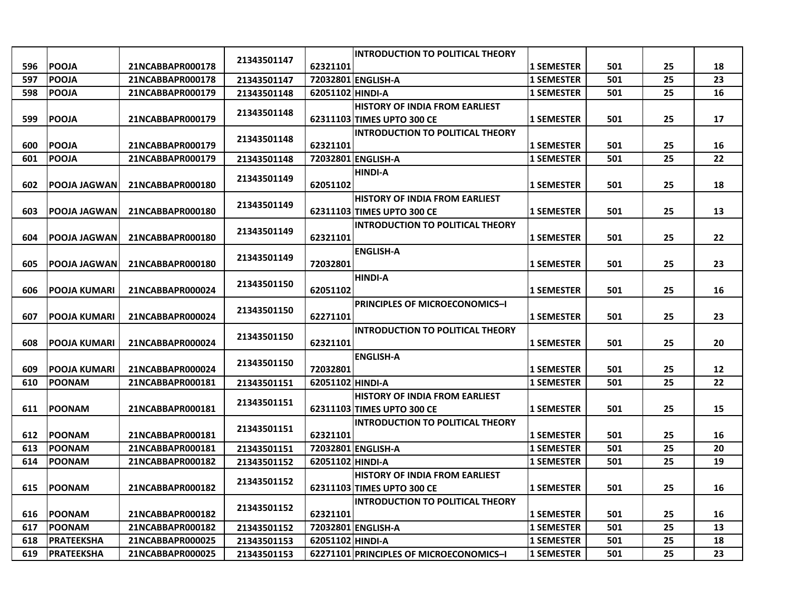|     |                      |                  |             |                  | <b>INTRODUCTION TO POLITICAL THEORY</b> |                   |     |    |    |
|-----|----------------------|------------------|-------------|------------------|-----------------------------------------|-------------------|-----|----|----|
| 596 | <b>POOJA</b>         | 21NCABBAPR000178 | 21343501147 | 62321101         |                                         | <b>1 SEMESTER</b> | 501 | 25 | 18 |
| 597 | <b>POOJA</b>         | 21NCABBAPR000178 | 21343501147 |                  | 72032801 ENGLISH-A                      | <b>1 SEMESTER</b> | 501 | 25 | 23 |
| 598 | <b>POOJA</b>         | 21NCABBAPR000179 | 21343501148 | 62051102 HINDI-A |                                         | <b>1 SEMESTER</b> | 501 | 25 | 16 |
|     |                      |                  |             |                  | <b>HISTORY OF INDIA FROM EARLIEST</b>   |                   |     |    |    |
| 599 | <b>POOJA</b>         | 21NCABBAPR000179 | 21343501148 |                  | 62311103 TIMES UPTO 300 CE              | <b>1 SEMESTER</b> | 501 | 25 | 17 |
|     |                      |                  |             |                  | <b>INTRODUCTION TO POLITICAL THEORY</b> |                   |     |    |    |
| 600 | <b>POOJA</b>         | 21NCABBAPR000179 | 21343501148 | 62321101         |                                         | <b>1 SEMESTER</b> | 501 | 25 | 16 |
| 601 | <b>POOJA</b>         | 21NCABBAPR000179 | 21343501148 |                  | 72032801 ENGLISH-A                      | <b>1 SEMESTER</b> | 501 | 25 | 22 |
|     |                      |                  |             |                  | <b>HINDI-A</b>                          |                   |     |    |    |
| 602 | <b>POOJA JAGWAN</b>  | 21NCABBAPR000180 | 21343501149 | 62051102         |                                         | <b>1 SEMESTER</b> | 501 | 25 | 18 |
|     |                      |                  | 21343501149 |                  | <b>HISTORY OF INDIA FROM EARLIEST</b>   |                   |     |    |    |
| 603 | <b>POOJA JAGWAN</b>  | 21NCABBAPR000180 |             |                  | 62311103 TIMES UPTO 300 CE              | <b>1 SEMESTER</b> | 501 | 25 | 13 |
|     |                      |                  | 21343501149 |                  | <b>INTRODUCTION TO POLITICAL THEORY</b> |                   |     |    |    |
| 604 | POOJA JAGWAN         | 21NCABBAPR000180 |             | 62321101         |                                         | <b>1 SEMESTER</b> | 501 | 25 | 22 |
|     |                      |                  | 21343501149 |                  | <b>ENGLISH-A</b>                        |                   |     |    |    |
| 605 | <b>IPOOJA JAGWAN</b> | 21NCABBAPR000180 |             | 72032801         |                                         | <b>1 SEMESTER</b> | 501 | 25 | 23 |
|     |                      |                  | 21343501150 |                  | <b>HINDI-A</b>                          |                   |     |    |    |
| 606 | <b>POOJA KUMARI</b>  | 21NCABBAPR000024 |             | 62051102         |                                         | <b>1 SEMESTER</b> | 501 | 25 | 16 |
|     |                      |                  | 21343501150 |                  | <b>PRINCIPLES OF MICROECONOMICS-I</b>   |                   |     |    |    |
| 607 | POOJA KUMARI         | 21NCABBAPR000024 |             | 62271101         |                                         | <b>1 SEMESTER</b> | 501 | 25 | 23 |
|     |                      |                  | 21343501150 |                  | <b>INTRODUCTION TO POLITICAL THEORY</b> |                   |     |    |    |
| 608 | POOJA KUMARI         | 21NCABBAPR000024 |             | 62321101         |                                         | <b>1 SEMESTER</b> | 501 | 25 | 20 |
|     |                      |                  | 21343501150 |                  | <b>ENGLISH-A</b>                        |                   |     |    |    |
| 609 | <b>POOJA KUMARI</b>  | 21NCABBAPR000024 |             | 72032801         |                                         | <b>1 SEMESTER</b> | 501 | 25 | 12 |
| 610 | <b>POONAM</b>        | 21NCABBAPR000181 | 21343501151 | 62051102 HINDI-A |                                         | <b>1 SEMESTER</b> | 501 | 25 | 22 |
|     |                      |                  | 21343501151 |                  | <b>HISTORY OF INDIA FROM EARLIEST</b>   |                   |     |    |    |
| 611 | <b>POONAM</b>        | 21NCABBAPR000181 |             |                  | 62311103 TIMES UPTO 300 CE              | <b>1 SEMESTER</b> | 501 | 25 | 15 |
|     |                      |                  | 21343501151 |                  | <b>INTRODUCTION TO POLITICAL THEORY</b> |                   |     |    |    |
| 612 | <b>POONAM</b>        | 21NCABBAPR000181 |             | 62321101         |                                         | <b>1 SEMESTER</b> | 501 | 25 | 16 |
| 613 | <b>IPOONAM</b>       | 21NCABBAPR000181 | 21343501151 |                  | 72032801 ENGLISH-A                      | <b>1 SEMESTER</b> | 501 | 25 | 20 |
| 614 | <b>POONAM</b>        | 21NCABBAPR000182 | 21343501152 | 62051102 HINDI-A |                                         | <b>1 SEMESTER</b> | 501 | 25 | 19 |
|     |                      |                  | 21343501152 |                  | <b>HISTORY OF INDIA FROM EARLIEST</b>   |                   |     |    |    |
| 615 | POONAM               | 21NCABBAPR000182 |             |                  | 62311103 TIMES UPTO 300 CE              | <b>1 SEMESTER</b> | 501 | 25 | 16 |
|     |                      |                  | 21343501152 |                  | <b>INTRODUCTION TO POLITICAL THEORY</b> |                   |     |    |    |
| 616 | <b>POONAM</b>        | 21NCABBAPR000182 |             | 62321101         |                                         | <b>1 SEMESTER</b> | 501 | 25 | 16 |
| 617 | <b>POONAM</b>        | 21NCABBAPR000182 | 21343501152 |                  | 72032801 ENGLISH-A                      | <b>1 SEMESTER</b> | 501 | 25 | 13 |
| 618 | <b>PRATEEKSHA</b>    | 21NCABBAPR000025 | 21343501153 | 62051102 HINDI-A |                                         | <b>1 SEMESTER</b> | 501 | 25 | 18 |
| 619 | <b>PRATEEKSHA</b>    | 21NCABBAPR000025 | 21343501153 |                  | 62271101 PRINCIPLES OF MICROECONOMICS-I | <b>1 SEMESTER</b> | 501 | 25 | 23 |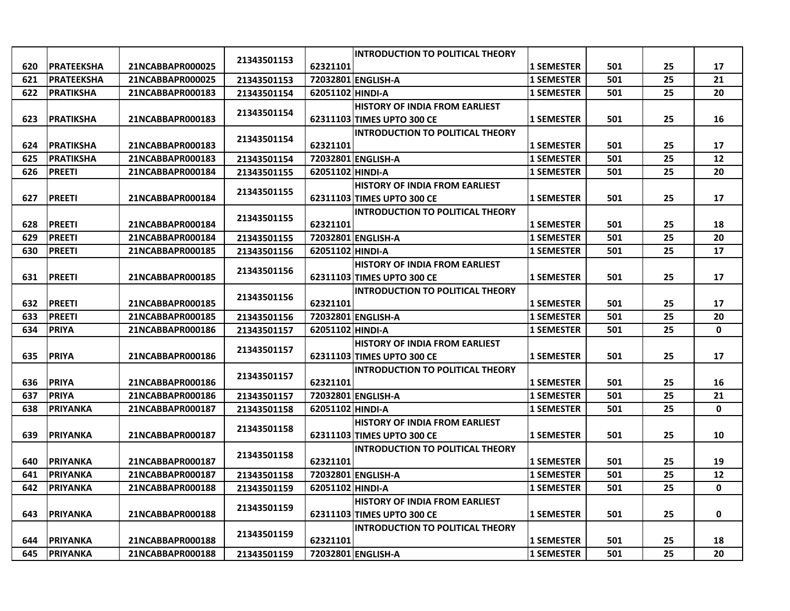|     |                   |                  |             |                  | <b>INTRODUCTION TO POLITICAL THEORY</b> |                   |     |    |             |
|-----|-------------------|------------------|-------------|------------------|-----------------------------------------|-------------------|-----|----|-------------|
| 620 | <b>PRATEEKSHA</b> | 21NCABBAPR000025 | 21343501153 | 62321101         |                                         | <b>1 SEMESTER</b> | 501 | 25 | 17          |
| 621 | <b>PRATEEKSHA</b> | 21NCABBAPR000025 | 21343501153 |                  | 72032801 ENGLISH-A                      | <b>1 SEMESTER</b> | 501 | 25 | 21          |
| 622 | <b>PRATIKSHA</b>  | 21NCABBAPR000183 | 21343501154 | 62051102 HINDI-A |                                         | <b>1 SEMESTER</b> | 501 | 25 | 20          |
|     |                   |                  |             |                  | <b>HISTORY OF INDIA FROM EARLIEST</b>   |                   |     |    |             |
| 623 | <b>PRATIKSHA</b>  | 21NCABBAPR000183 | 21343501154 |                  | 62311103 TIMES UPTO 300 CE              | <b>1 SEMESTER</b> | 501 | 25 | 16          |
|     |                   |                  |             |                  | <b>INTRODUCTION TO POLITICAL THEORY</b> |                   |     |    |             |
| 624 | <b>PRATIKSHA</b>  | 21NCABBAPR000183 | 21343501154 | 62321101         |                                         | <b>1 SEMESTER</b> | 501 | 25 | 17          |
| 625 | <b>PRATIKSHA</b>  | 21NCABBAPR000183 | 21343501154 |                  | 72032801 ENGLISH-A                      | <b>1 SEMESTER</b> | 501 | 25 | 12          |
| 626 | <b>PREETI</b>     | 21NCABBAPR000184 | 21343501155 | 62051102 HINDI-A |                                         | <b>1 SEMESTER</b> | 501 | 25 | 20          |
|     |                   |                  | 21343501155 |                  | <b>HISTORY OF INDIA FROM EARLIEST</b>   |                   |     |    |             |
| 627 | <b>PREETI</b>     | 21NCABBAPR000184 |             |                  | 62311103 TIMES UPTO 300 CE              | <b>1 SEMESTER</b> | 501 | 25 | 17          |
|     |                   |                  | 21343501155 |                  | <b>INTRODUCTION TO POLITICAL THEORY</b> |                   |     |    |             |
| 628 | <b>PREETI</b>     | 21NCABBAPR000184 |             | 62321101         |                                         | <b>1 SEMESTER</b> | 501 | 25 | 18          |
| 629 | <b>PREETI</b>     | 21NCABBAPR000184 | 21343501155 |                  | 72032801 ENGLISH-A                      | <b>1 SEMESTER</b> | 501 | 25 | 20          |
| 630 | <b>PREETI</b>     | 21NCABBAPR000185 | 21343501156 | 62051102 HINDI-A |                                         | <b>1 SEMESTER</b> | 501 | 25 | 17          |
|     |                   |                  | 21343501156 |                  | <b>HISTORY OF INDIA FROM EARLIEST</b>   |                   |     |    |             |
| 631 | <b>PREETI</b>     | 21NCABBAPR000185 |             |                  | 62311103 TIMES UPTO 300 CE              | <b>1 SEMESTER</b> | 501 | 25 | 17          |
|     |                   |                  | 21343501156 |                  | <b>INTRODUCTION TO POLITICAL THEORY</b> |                   |     |    |             |
| 632 | <b>PREETI</b>     | 21NCABBAPR000185 |             | 62321101         |                                         | <b>1 SEMESTER</b> | 501 | 25 | 17          |
| 633 | <b>PREETI</b>     | 21NCABBAPR000185 | 21343501156 |                  | 72032801 ENGLISH-A                      | <b>1 SEMESTER</b> | 501 | 25 | 20          |
| 634 | <b>PRIYA</b>      | 21NCABBAPR000186 | 21343501157 | 62051102 HINDI-A |                                         | <b>1 SEMESTER</b> | 501 | 25 | 0           |
|     |                   |                  | 21343501157 |                  | <b>HISTORY OF INDIA FROM EARLIEST</b>   |                   |     |    |             |
| 635 | <b>PRIYA</b>      | 21NCABBAPR000186 |             |                  | 62311103 TIMES UPTO 300 CE              | <b>1 SEMESTER</b> | 501 | 25 | 17          |
|     |                   |                  | 21343501157 |                  | <b>INTRODUCTION TO POLITICAL THEORY</b> |                   |     |    |             |
| 636 | <b>PRIYA</b>      | 21NCABBAPR000186 |             | 62321101         |                                         | <b>1 SEMESTER</b> | 501 | 25 | 16          |
| 637 | <b>PRIYA</b>      | 21NCABBAPR000186 | 21343501157 |                  | 72032801 ENGLISH-A                      | <b>1 SEMESTER</b> | 501 | 25 | 21          |
| 638 | <b>PRIYANKA</b>   | 21NCABBAPR000187 | 21343501158 | 62051102 HINDI-A |                                         | <b>1 SEMESTER</b> | 501 | 25 | 0           |
|     |                   |                  | 21343501158 |                  | <b>HISTORY OF INDIA FROM EARLIEST</b>   |                   |     |    |             |
| 639 | <b>PRIYANKA</b>   | 21NCABBAPR000187 |             |                  | 62311103 TIMES UPTO 300 CE              | <b>1 SEMESTER</b> | 501 | 25 | 10          |
|     |                   |                  | 21343501158 |                  | <b>INTRODUCTION TO POLITICAL THEORY</b> |                   |     |    |             |
| 640 | <b>PRIYANKA</b>   | 21NCABBAPR000187 |             | 62321101         |                                         | <b>1 SEMESTER</b> | 501 | 25 | 19          |
| 641 | <b>PRIYANKA</b>   | 21NCABBAPR000187 | 21343501158 |                  | 72032801 ENGLISH-A                      | <b>1 SEMESTER</b> | 501 | 25 | 12          |
| 642 | <b>PRIYANKA</b>   | 21NCABBAPR000188 | 21343501159 | 62051102 HINDI-A |                                         | <b>1 SEMESTER</b> | 501 | 25 | $\mathbf 0$ |
|     |                   |                  | 21343501159 |                  | <b>HISTORY OF INDIA FROM EARLIEST</b>   |                   |     |    |             |
| 643 | <b>PRIYANKA</b>   | 21NCABBAPR000188 |             |                  | 62311103 TIMES UPTO 300 CE              | <b>1 SEMESTER</b> | 501 | 25 | 0           |
|     |                   |                  | 21343501159 |                  | <b>INTRODUCTION TO POLITICAL THEORY</b> |                   |     |    |             |
| 644 | <b>PRIYANKA</b>   | 21NCABBAPR000188 |             | 62321101         |                                         | <b>1 SEMESTER</b> | 501 | 25 | 18          |
| 645 | <b>PRIYANKA</b>   | 21NCABBAPR000188 | 21343501159 |                  | 72032801 ENGLISH-A                      | <b>1 SEMESTER</b> | 501 | 25 | 20          |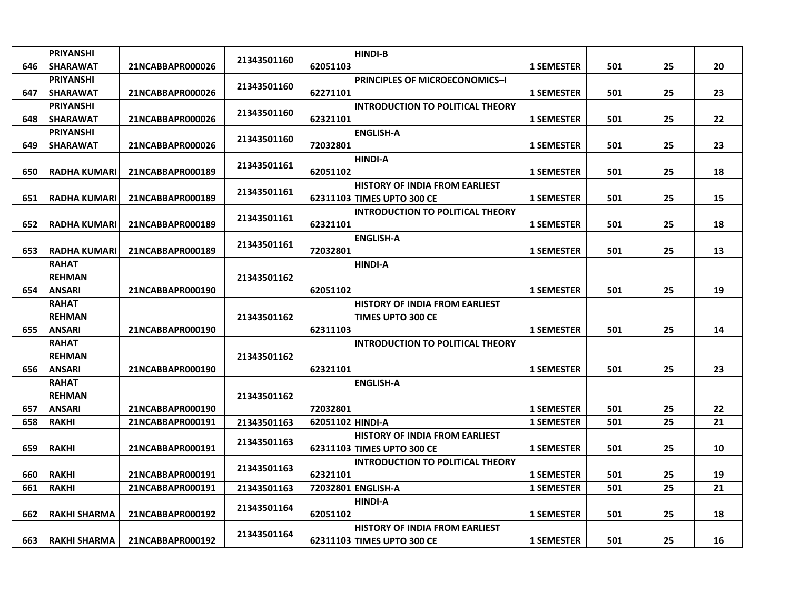|     | <b>PRIYANSHI</b>    |                  |             |                  | <b>HINDI-B</b>                          |                   |     |    |    |
|-----|---------------------|------------------|-------------|------------------|-----------------------------------------|-------------------|-----|----|----|
| 646 | <b>SHARAWAT</b>     | 21NCABBAPR000026 | 21343501160 | 62051103         |                                         | 1 SEMESTER        | 501 | 25 | 20 |
|     | <b>PRIYANSHI</b>    |                  |             |                  | <b>PRINCIPLES OF MICROECONOMICS-I</b>   |                   |     |    |    |
| 647 | <b>SHARAWAT</b>     | 21NCABBAPR000026 | 21343501160 | 62271101         |                                         | <b>1 SEMESTER</b> | 501 | 25 | 23 |
|     | <b>PRIYANSHI</b>    |                  |             |                  | <b>INTRODUCTION TO POLITICAL THEORY</b> |                   |     |    |    |
| 648 | <b>SHARAWAT</b>     | 21NCABBAPR000026 | 21343501160 | 62321101         |                                         | <b>1 SEMESTER</b> | 501 | 25 | 22 |
|     | <b>PRIYANSHI</b>    |                  | 21343501160 |                  | <b>ENGLISH-A</b>                        |                   |     |    |    |
| 649 | <b>SHARAWAT</b>     | 21NCABBAPR000026 |             | 72032801         |                                         | <b>1 SEMESTER</b> | 501 | 25 | 23 |
|     |                     |                  | 21343501161 |                  | <b>HINDI-A</b>                          |                   |     |    |    |
| 650 | <b>RADHA KUMARI</b> | 21NCABBAPR000189 |             | 62051102         |                                         | <b>1 SEMESTER</b> | 501 | 25 | 18 |
|     |                     |                  | 21343501161 |                  | <b>HISTORY OF INDIA FROM EARLIEST</b>   |                   |     |    |    |
| 651 | <b>RADHA KUMARI</b> | 21NCABBAPR000189 |             |                  | 62311103 TIMES UPTO 300 CE              | <b>1 SEMESTER</b> | 501 | 25 | 15 |
|     |                     |                  | 21343501161 |                  | <b>INTRODUCTION TO POLITICAL THEORY</b> |                   |     |    |    |
| 652 | <b>RADHA KUMARI</b> | 21NCABBAPR000189 |             | 62321101         |                                         | <b>1 SEMESTER</b> | 501 | 25 | 18 |
|     |                     |                  | 21343501161 |                  | <b>ENGLISH-A</b>                        |                   |     |    |    |
| 653 | <b>RADHA KUMARI</b> | 21NCABBAPR000189 |             | 72032801         |                                         | <b>1 SEMESTER</b> | 501 | 25 | 13 |
|     | <b>RAHAT</b>        |                  |             |                  | <b>HINDI-A</b>                          |                   |     |    |    |
|     | <b>REHMAN</b>       |                  | 21343501162 |                  |                                         |                   |     |    |    |
| 654 | <b>ANSARI</b>       | 21NCABBAPR000190 |             | 62051102         |                                         | <b>1 SEMESTER</b> | 501 | 25 | 19 |
|     | <b>RAHAT</b>        |                  |             |                  | <b>HISTORY OF INDIA FROM EARLIEST</b>   |                   |     |    |    |
|     | <b>REHMAN</b>       |                  | 21343501162 |                  | <b>TIMES UPTO 300 CE</b>                |                   |     |    |    |
| 655 | <b>ANSARI</b>       | 21NCABBAPR000190 |             | 62311103         |                                         | <b>1 SEMESTER</b> | 501 | 25 | 14 |
|     | <b>RAHAT</b>        |                  |             |                  | <b>INTRODUCTION TO POLITICAL THEORY</b> |                   |     |    |    |
|     | <b>REHMAN</b>       |                  | 21343501162 |                  |                                         |                   |     |    |    |
| 656 | <b>ANSARI</b>       | 21NCABBAPR000190 |             | 62321101         |                                         | <b>1 SEMESTER</b> | 501 | 25 | 23 |
|     | <b>RAHAT</b>        |                  |             |                  | <b>ENGLISH-A</b>                        |                   |     |    |    |
|     | <b>REHMAN</b>       |                  | 21343501162 |                  |                                         |                   |     |    |    |
| 657 | <b>ANSARI</b>       | 21NCABBAPR000190 |             | 72032801         |                                         | <b>1 SEMESTER</b> | 501 | 25 | 22 |
| 658 | RAKHI               | 21NCABBAPR000191 | 21343501163 | 62051102 HINDI-A |                                         | <b>1 SEMESTER</b> | 501 | 25 | 21 |
|     |                     |                  | 21343501163 |                  | <b>HISTORY OF INDIA FROM EARLIEST</b>   |                   |     |    |    |
| 659 | <b>RAKHI</b>        | 21NCABBAPR000191 |             |                  | 62311103 TIMES UPTO 300 CE              | <b>1 SEMESTER</b> | 501 | 25 | 10 |
| 660 | <b>RAKHI</b>        | 21NCABBAPR000191 | 21343501163 | 62321101         | <b>INTRODUCTION TO POLITICAL THEORY</b> | <b>1 SEMESTER</b> | 501 | 25 | 19 |
| 661 | <b>RAKHI</b>        |                  |             |                  | 72032801 ENGLISH-A                      |                   | 501 | 25 | 21 |
|     |                     | 21NCABBAPR000191 | 21343501163 |                  | <b>HINDI-A</b>                          | <b>1 SEMESTER</b> |     |    |    |
| 662 | <b>RAKHI SHARMA</b> | 21NCABBAPR000192 | 21343501164 | 62051102         |                                         | <b>1 SEMESTER</b> | 501 | 25 | 18 |
|     |                     |                  |             |                  | <b>HISTORY OF INDIA FROM EARLIEST</b>   |                   |     |    |    |
| 663 | <b>RAKHI SHARMA</b> | 21NCABBAPR000192 | 21343501164 |                  | 62311103 TIMES UPTO 300 CE              | <b>1 SEMESTER</b> | 501 | 25 | 16 |
|     |                     |                  |             |                  |                                         |                   |     |    |    |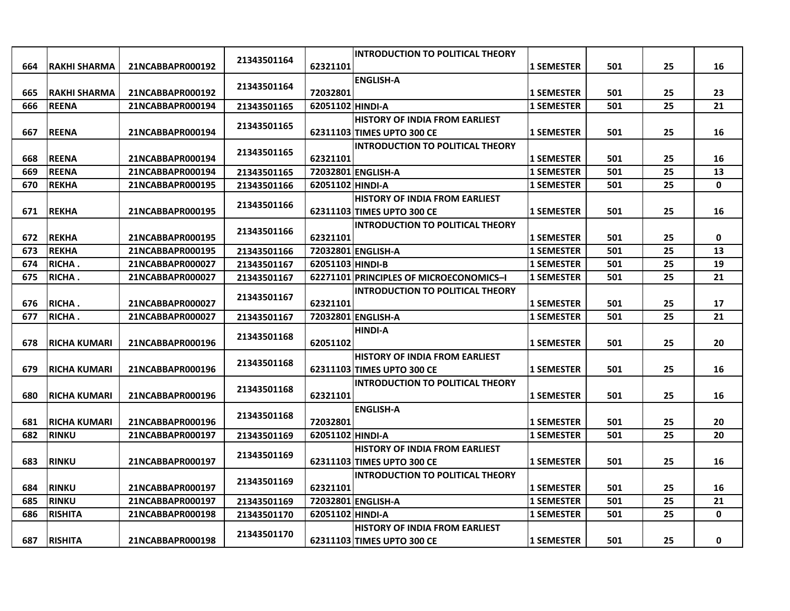|     |                      |                  |             |                  | <b>INTRODUCTION TO POLITICAL THEORY</b> |                   |     |    |    |
|-----|----------------------|------------------|-------------|------------------|-----------------------------------------|-------------------|-----|----|----|
| 664 | RAKHI SHARMA         | 21NCABBAPR000192 | 21343501164 | 62321101         |                                         | <b>1 SEMESTER</b> | 501 | 25 | 16 |
|     |                      |                  |             |                  | <b>ENGLISH-A</b>                        |                   |     |    |    |
| 665 | <b>RAKHI SHARMA</b>  | 21NCABBAPR000192 | 21343501164 | 72032801         |                                         | <b>1 SEMESTER</b> | 501 | 25 | 23 |
| 666 | <b>REENA</b>         | 21NCABBAPR000194 | 21343501165 | 62051102 HINDI-A |                                         | 1 SEMESTER        | 501 | 25 | 21 |
|     |                      |                  |             |                  | <b>HISTORY OF INDIA FROM EARLIEST</b>   |                   |     |    |    |
| 667 | <b>REENA</b>         | 21NCABBAPR000194 | 21343501165 |                  | 62311103 TIMES UPTO 300 CE              | <b>1 SEMESTER</b> | 501 | 25 | 16 |
|     |                      |                  |             |                  | <b>INTRODUCTION TO POLITICAL THEORY</b> |                   |     |    |    |
| 668 | <b>REENA</b>         | 21NCABBAPR000194 | 21343501165 | 62321101         |                                         | 1 SEMESTER        | 501 | 25 | 16 |
| 669 | <b>REENA</b>         | 21NCABBAPR000194 | 21343501165 |                  | 72032801 ENGLISH-A                      | <b>1 SEMESTER</b> | 501 | 25 | 13 |
| 670 | <b>REKHA</b>         | 21NCABBAPR000195 | 21343501166 | 62051102 HINDI-A |                                         | <b>1 SEMESTER</b> | 501 | 25 | 0  |
|     |                      |                  |             |                  | <b>HISTORY OF INDIA FROM EARLIEST</b>   |                   |     |    |    |
| 671 | <b>REKHA</b>         | 21NCABBAPR000195 | 21343501166 |                  | 62311103 TIMES UPTO 300 CE              | <b>1 SEMESTER</b> | 501 | 25 | 16 |
|     |                      |                  |             |                  | <b>INTRODUCTION TO POLITICAL THEORY</b> |                   |     |    |    |
| 672 | <b>REKHA</b>         | 21NCABBAPR000195 | 21343501166 | 62321101         |                                         | <b>1 SEMESTER</b> | 501 | 25 | 0  |
| 673 | <b>REKHA</b>         | 21NCABBAPR000195 | 21343501166 |                  | 72032801 ENGLISH-A                      | <b>1 SEMESTER</b> | 501 | 25 | 13 |
| 674 | RICHA.               | 21NCABBAPR000027 | 21343501167 | 62051103 HINDI-B |                                         | <b>1 SEMESTER</b> | 501 | 25 | 19 |
| 675 | <b>RICHA.</b>        | 21NCABBAPR000027 | 21343501167 |                  | 62271101 PRINCIPLES OF MICROECONOMICS-I | <b>1 SEMESTER</b> | 501 | 25 | 21 |
|     |                      |                  |             |                  | <b>INTRODUCTION TO POLITICAL THEORY</b> |                   |     |    |    |
| 676 | RICHA.               | 21NCABBAPR000027 | 21343501167 | 62321101         |                                         | <b>1 SEMESTER</b> | 501 | 25 | 17 |
| 677 | <b>RICHA.</b>        | 21NCABBAPR000027 | 21343501167 |                  | 72032801 ENGLISH-A                      | <b>1 SEMESTER</b> | 501 | 25 | 21 |
|     |                      |                  | 21343501168 |                  | <b>HINDI-A</b>                          |                   |     |    |    |
| 678 | <b>RICHA KUMARI</b>  | 21NCABBAPR000196 |             | 62051102         |                                         | <b>1 SEMESTER</b> | 501 | 25 | 20 |
|     |                      |                  | 21343501168 |                  | <b>HISTORY OF INDIA FROM EARLIEST</b>   |                   |     |    |    |
| 679 | <b>RICHA KUMARI</b>  | 21NCABBAPR000196 |             |                  | 62311103 TIMES UPTO 300 CE              | <b>1 SEMESTER</b> | 501 | 25 | 16 |
|     |                      |                  | 21343501168 |                  | <b>INTRODUCTION TO POLITICAL THEORY</b> |                   |     |    |    |
| 680 | RICHA KUMARI         | 21NCABBAPR000196 |             | 62321101         |                                         | <b>1 SEMESTER</b> | 501 | 25 | 16 |
|     |                      |                  | 21343501168 |                  | <b>ENGLISH-A</b>                        |                   |     |    |    |
| 681 | <b>IRICHA KUMARI</b> | 21NCABBAPR000196 |             | 72032801         |                                         | <b>1 SEMESTER</b> | 501 | 25 | 20 |
| 682 | <b>RINKU</b>         | 21NCABBAPR000197 | 21343501169 | 62051102 HINDI-A |                                         | <b>1 SEMESTER</b> | 501 | 25 | 20 |
|     |                      |                  | 21343501169 |                  | <b>HISTORY OF INDIA FROM EARLIEST</b>   |                   |     |    |    |
| 683 | <b>RINKU</b>         | 21NCABBAPR000197 |             |                  | 62311103 TIMES UPTO 300 CE              | <b>1 SEMESTER</b> | 501 | 25 | 16 |
|     |                      |                  | 21343501169 |                  | <b>INTRODUCTION TO POLITICAL THEORY</b> |                   |     |    |    |
| 684 | <b>RINKU</b>         | 21NCABBAPR000197 |             | 62321101         |                                         | <b>1 SEMESTER</b> | 501 | 25 | 16 |
| 685 | <b>IRINKU</b>        | 21NCABBAPR000197 | 21343501169 |                  | 72032801 ENGLISH-A                      | <b>1 SEMESTER</b> | 501 | 25 | 21 |
| 686 | <b>RISHITA</b>       | 21NCABBAPR000198 | 21343501170 | 62051102 HINDI-A |                                         | <b>1 SEMESTER</b> | 501 | 25 | 0  |
|     |                      |                  | 21343501170 |                  | <b>HISTORY OF INDIA FROM EARLIEST</b>   |                   |     |    |    |
| 687 | <b>RISHITA</b>       | 21NCABBAPR000198 |             |                  | 62311103 TIMES UPTO 300 CE              | <b>1 SEMESTER</b> | 501 | 25 | 0  |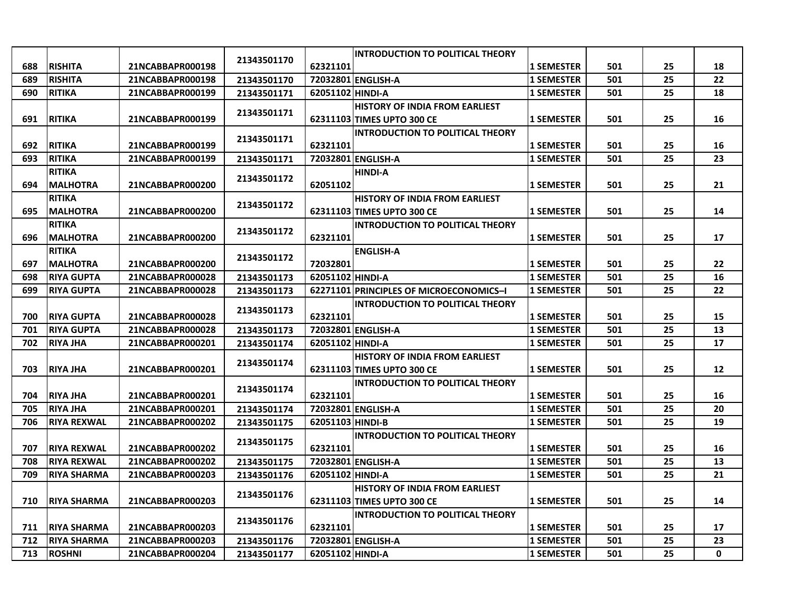|     |                    |                  |             |                  | <b>INTRODUCTION TO POLITICAL THEORY</b> |                   |     |    |                   |
|-----|--------------------|------------------|-------------|------------------|-----------------------------------------|-------------------|-----|----|-------------------|
| 688 | <b>RISHITA</b>     | 21NCABBAPR000198 | 21343501170 | 62321101         |                                         | <b>1 SEMESTER</b> | 501 | 25 | 18                |
| 689 | <b>RISHITA</b>     | 21NCABBAPR000198 | 21343501170 |                  | 72032801 ENGLISH-A                      | <b>1 SEMESTER</b> | 501 | 25 | 22                |
| 690 | <b>RITIKA</b>      | 21NCABBAPR000199 | 21343501171 | 62051102 HINDI-A |                                         | <b>1 SEMESTER</b> | 501 | 25 | 18                |
|     |                    |                  |             |                  | <b>HISTORY OF INDIA FROM EARLIEST</b>   |                   |     |    |                   |
| 691 | <b>RITIKA</b>      | 21NCABBAPR000199 | 21343501171 |                  | 62311103 TIMES UPTO 300 CE              | <b>1 SEMESTER</b> | 501 | 25 | 16                |
|     |                    |                  | 21343501171 |                  | <b>INTRODUCTION TO POLITICAL THEORY</b> |                   |     |    |                   |
| 692 | <b>RITIKA</b>      | 21NCABBAPR000199 |             | 62321101         |                                         | <b>1 SEMESTER</b> | 501 | 25 | 16                |
| 693 | <b>RITIKA</b>      | 21NCABBAPR000199 | 21343501171 |                  | 72032801 ENGLISH-A                      | <b>1 SEMESTER</b> | 501 | 25 | 23                |
|     | <b>RITIKA</b>      |                  | 21343501172 |                  | <b>HINDI-A</b>                          |                   |     |    |                   |
| 694 | <b>MALHOTRA</b>    | 21NCABBAPR000200 |             | 62051102         |                                         | <b>1 SEMESTER</b> | 501 | 25 | 21                |
|     | <b>RITIKA</b>      |                  | 21343501172 |                  | <b>HISTORY OF INDIA FROM EARLIEST</b>   |                   |     |    |                   |
| 695 | <b>MALHOTRA</b>    | 21NCABBAPR000200 |             |                  | 62311103 TIMES UPTO 300 CE              | <b>1 SEMESTER</b> | 501 | 25 | 14                |
|     | <b>RITIKA</b>      |                  | 21343501172 |                  | <b>INTRODUCTION TO POLITICAL THEORY</b> |                   |     |    |                   |
| 696 | <b>MALHOTRA</b>    | 21NCABBAPR000200 |             | 62321101         |                                         | <b>1 SEMESTER</b> | 501 | 25 | 17                |
|     | <b>RITIKA</b>      |                  | 21343501172 |                  | <b>ENGLISH-A</b>                        |                   |     |    |                   |
| 697 | <b>MALHOTRA</b>    | 21NCABBAPR000200 |             | 72032801         |                                         | <b>1 SEMESTER</b> | 501 | 25 | 22                |
| 698 | <b>RIYA GUPTA</b>  | 21NCABBAPR000028 | 21343501173 | 62051102 HINDI-A |                                         | <b>1 SEMESTER</b> | 501 | 25 | 16                |
| 699 | <b>RIYA GUPTA</b>  | 21NCABBAPR000028 | 21343501173 |                  | 62271101 PRINCIPLES OF MICROECONOMICS-I | <b>1 SEMESTER</b> | 501 | 25 | 22                |
|     |                    |                  | 21343501173 |                  | <b>INTRODUCTION TO POLITICAL THEORY</b> |                   |     |    |                   |
| 700 | <b>RIYA GUPTA</b>  | 21NCABBAPR000028 |             | 62321101         |                                         | <b>1 SEMESTER</b> | 501 | 25 | 15                |
| 701 | <b>RIYA GUPTA</b>  | 21NCABBAPR000028 | 21343501173 |                  | 72032801 ENGLISH-A                      | <b>1 SEMESTER</b> | 501 | 25 | 13                |
| 702 | <b>RIYA JHA</b>    | 21NCABBAPR000201 | 21343501174 | 62051102 HINDI-A |                                         | <b>1 SEMESTER</b> | 501 | 25 | 17                |
|     |                    |                  | 21343501174 |                  | HISTORY OF INDIA FROM EARLIEST          |                   |     |    |                   |
| 703 | <b>RIYA JHA</b>    | 21NCABBAPR000201 |             |                  | 62311103 TIMES UPTO 300 CE              | <b>1 SEMESTER</b> | 501 | 25 | $12 \overline{ }$ |
|     |                    |                  | 21343501174 |                  | <b>INTRODUCTION TO POLITICAL THEORY</b> |                   |     |    |                   |
| 704 | <b>RIYA JHA</b>    | 21NCABBAPR000201 |             | 62321101         |                                         | <b>1 SEMESTER</b> | 501 | 25 | 16                |
| 705 | <b>RIYA JHA</b>    | 21NCABBAPR000201 | 21343501174 |                  | 72032801 ENGLISH-A                      | <b>1 SEMESTER</b> | 501 | 25 | 20                |
| 706 | <b>RIYA REXWAL</b> | 21NCABBAPR000202 | 21343501175 | 62051103 HINDI-B |                                         | <b>1 SEMESTER</b> | 501 | 25 | 19                |
|     |                    |                  | 21343501175 |                  | <b>INTRODUCTION TO POLITICAL THEORY</b> |                   |     |    |                   |
| 707 | <b>RIYA REXWAL</b> | 21NCABBAPR000202 |             | 62321101         |                                         | <b>1 SEMESTER</b> | 501 | 25 | 16                |
| 708 | <b>RIYA REXWAL</b> | 21NCABBAPR000202 | 21343501175 |                  | 72032801 ENGLISH-A                      | <b>1 SEMESTER</b> | 501 | 25 | 13                |
| 709 | <b>RIYA SHARMA</b> | 21NCABBAPR000203 | 21343501176 | 62051102 HINDI-A |                                         | <b>1 SEMESTER</b> | 501 | 25 | 21                |
|     |                    |                  | 21343501176 |                  | <b>HISTORY OF INDIA FROM EARLIEST</b>   |                   |     |    |                   |
| 710 | <b>RIYA SHARMA</b> | 21NCABBAPR000203 |             |                  | 62311103 TIMES UPTO 300 CE              | <b>1 SEMESTER</b> | 501 | 25 | 14                |
|     |                    |                  | 21343501176 |                  | <b>INTRODUCTION TO POLITICAL THEORY</b> |                   |     |    |                   |
| 711 | <b>RIYA SHARMA</b> | 21NCABBAPR000203 |             | 62321101         |                                         | <b>1 SEMESTER</b> | 501 | 25 | 17                |
| 712 | <b>RIYA SHARMA</b> | 21NCABBAPR000203 | 21343501176 |                  | 72032801 ENGLISH-A                      | <b>1 SEMESTER</b> | 501 | 25 | 23                |
| 713 | <b>ROSHNI</b>      | 21NCABBAPR000204 | 21343501177 | 62051102 HINDI-A |                                         | <b>1 SEMESTER</b> | 501 | 25 | 0                 |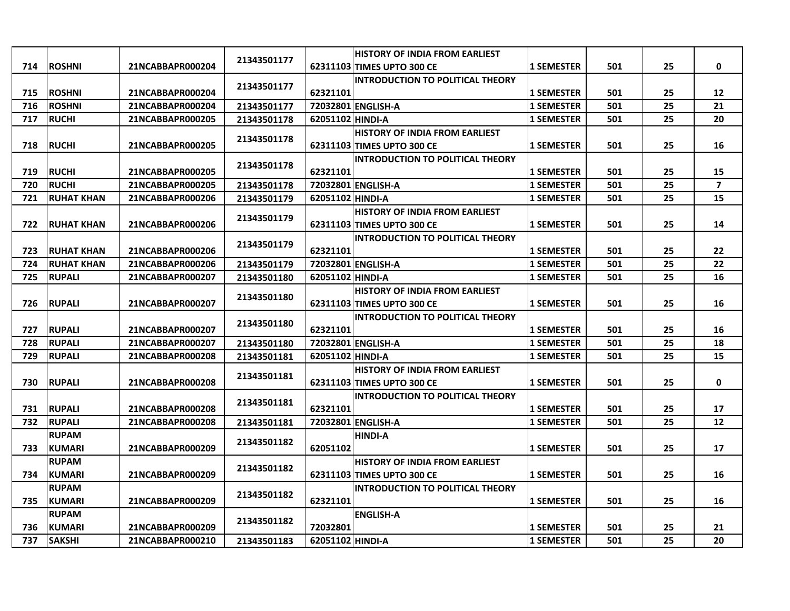|     |                   |                  |             |                  | <b>HISTORY OF INDIA FROM EARLIEST</b>   |                   |     |    |                |
|-----|-------------------|------------------|-------------|------------------|-----------------------------------------|-------------------|-----|----|----------------|
| 714 | <b>ROSHNI</b>     | 21NCABBAPR000204 | 21343501177 |                  | 62311103 TIMES UPTO 300 CE              | <b>1 SEMESTER</b> | 501 | 25 | $\mathbf{0}$   |
|     |                   |                  |             |                  | <b>INTRODUCTION TO POLITICAL THEORY</b> |                   |     |    |                |
| 715 | <b>ROSHNI</b>     | 21NCABBAPR000204 | 21343501177 | 62321101         |                                         | <b>1 SEMESTER</b> | 501 | 25 | 12             |
| 716 | <b>ROSHNI</b>     | 21NCABBAPR000204 | 21343501177 |                  | 72032801 ENGLISH-A                      | <b>1 SEMESTER</b> | 501 | 25 | 21             |
| 717 | <b>RUCHI</b>      | 21NCABBAPR000205 | 21343501178 | 62051102 HINDI-A |                                         | <b>1 SEMESTER</b> | 501 | 25 | 20             |
|     |                   |                  |             |                  | <b>HISTORY OF INDIA FROM EARLIEST</b>   |                   |     |    |                |
| 718 | <b>RUCHI</b>      | 21NCABBAPR000205 | 21343501178 |                  | 62311103 TIMES UPTO 300 CE              | <b>1 SEMESTER</b> | 501 | 25 | 16             |
|     |                   |                  | 21343501178 |                  | <b>INTRODUCTION TO POLITICAL THEORY</b> |                   |     |    |                |
| 719 | <b>RUCHI</b>      | 21NCABBAPR000205 |             | 62321101         |                                         | <b>1 SEMESTER</b> | 501 | 25 | 15             |
| 720 | <b>RUCHI</b>      | 21NCABBAPR000205 | 21343501178 |                  | 72032801 ENGLISH-A                      | <b>1 SEMESTER</b> | 501 | 25 | $\overline{7}$ |
| 721 | <b>RUHAT KHAN</b> | 21NCABBAPR000206 | 21343501179 | 62051102 HINDI-A |                                         | <b>1 SEMESTER</b> | 501 | 25 | 15             |
|     |                   |                  | 21343501179 |                  | <b>HISTORY OF INDIA FROM EARLIEST</b>   |                   |     |    |                |
| 722 | <b>RUHAT KHAN</b> | 21NCABBAPR000206 |             |                  | 62311103 TIMES UPTO 300 CE              | <b>1 SEMESTER</b> | 501 | 25 | 14             |
|     |                   |                  | 21343501179 |                  | <b>INTRODUCTION TO POLITICAL THEORY</b> |                   |     |    |                |
| 723 | <b>RUHAT KHAN</b> | 21NCABBAPR000206 |             | 62321101         |                                         | <b>1 SEMESTER</b> | 501 | 25 | 22             |
| 724 | <b>RUHAT KHAN</b> | 21NCABBAPR000206 | 21343501179 |                  | 72032801 ENGLISH-A                      | <b>1 SEMESTER</b> | 501 | 25 | 22             |
| 725 | <b>RUPALI</b>     | 21NCABBAPR000207 | 21343501180 | 62051102 HINDI-A |                                         | <b>1 SEMESTER</b> | 501 | 25 | 16             |
|     |                   |                  | 21343501180 |                  | <b>HISTORY OF INDIA FROM EARLIEST</b>   |                   |     |    |                |
| 726 | <b>RUPALI</b>     | 21NCABBAPR000207 |             |                  | 62311103 TIMES UPTO 300 CE              | <b>1 SEMESTER</b> | 501 | 25 | 16             |
|     |                   |                  | 21343501180 |                  | <b>INTRODUCTION TO POLITICAL THEORY</b> |                   |     |    |                |
| 727 | <b>RUPALI</b>     | 21NCABBAPR000207 |             | 62321101         |                                         | <b>1 SEMESTER</b> | 501 | 25 | 16             |
| 728 | <b>RUPALI</b>     | 21NCABBAPR000207 | 21343501180 |                  | 72032801 ENGLISH-A                      | <b>1 SEMESTER</b> | 501 | 25 | 18             |
| 729 | <b>RUPALI</b>     | 21NCABBAPR000208 | 21343501181 | 62051102 HINDI-A |                                         | <b>1 SEMESTER</b> | 501 | 25 | 15             |
|     |                   |                  | 21343501181 |                  | <b>HISTORY OF INDIA FROM EARLIEST</b>   |                   |     |    |                |
| 730 | <b>RUPALI</b>     | 21NCABBAPR000208 |             |                  | 62311103 TIMES UPTO 300 CE              | <b>1 SEMESTER</b> | 501 | 25 | 0              |
|     |                   |                  | 21343501181 |                  | <b>INTRODUCTION TO POLITICAL THEORY</b> |                   |     |    |                |
| 731 | <b>RUPALI</b>     | 21NCABBAPR000208 |             | 62321101         |                                         | <b>1 SEMESTER</b> | 501 | 25 | 17             |
| 732 | <b>RUPALI</b>     | 21NCABBAPR000208 | 21343501181 |                  | 72032801 ENGLISH-A                      | <b>1 SEMESTER</b> | 501 | 25 | 12             |
|     | <b>RUPAM</b>      |                  | 21343501182 |                  | <b>HINDI-A</b>                          |                   |     |    |                |
| 733 | <b>KUMARI</b>     | 21NCABBAPR000209 |             | 62051102         |                                         | <b>1 SEMESTER</b> | 501 | 25 | 17             |
|     | <b>RUPAM</b>      |                  | 21343501182 |                  | <b>HISTORY OF INDIA FROM EARLIEST</b>   |                   |     |    |                |
| 734 | <b>KUMARI</b>     | 21NCABBAPR000209 |             |                  | 62311103 TIMES UPTO 300 CE              | <b>1 SEMESTER</b> | 501 | 25 | 16             |
|     | <b>RUPAM</b>      |                  | 21343501182 |                  | <b>INTRODUCTION TO POLITICAL THEORY</b> |                   |     |    |                |
| 735 | <b>KUMARI</b>     | 21NCABBAPR000209 |             | 62321101         |                                         | <b>1 SEMESTER</b> | 501 | 25 | 16             |
|     | <b>RUPAM</b>      |                  | 21343501182 |                  | <b>ENGLISH-A</b>                        |                   |     |    |                |
| 736 | <b>KUMARI</b>     | 21NCABBAPR000209 |             | 72032801         |                                         | <b>1 SEMESTER</b> | 501 | 25 | 21             |
| 737 | <b>SAKSHI</b>     | 21NCABBAPR000210 | 21343501183 | 62051102 HINDI-A |                                         | <b>1 SEMESTER</b> | 501 | 25 | 20             |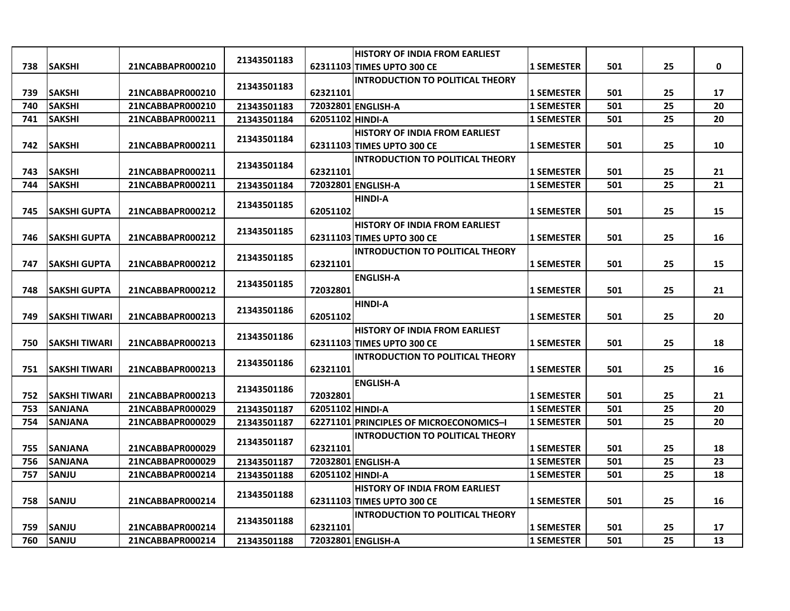|     |                      |                  |             |                  | <b>HISTORY OF INDIA FROM EARLIEST</b>   |                   |     |    |             |
|-----|----------------------|------------------|-------------|------------------|-----------------------------------------|-------------------|-----|----|-------------|
| 738 | <b>SAKSHI</b>        | 21NCABBAPR000210 | 21343501183 |                  | 62311103 TIMES UPTO 300 CE              | <b>1 SEMESTER</b> | 501 | 25 | $\mathbf 0$ |
|     |                      |                  |             |                  | <b>INTRODUCTION TO POLITICAL THEORY</b> |                   |     |    |             |
| 739 | <b>SAKSHI</b>        | 21NCABBAPR000210 | 21343501183 | 62321101         |                                         | <b>1 SEMESTER</b> | 501 | 25 | 17          |
| 740 | <b>SAKSHI</b>        | 21NCABBAPR000210 | 21343501183 |                  | 72032801 ENGLISH-A                      | <b>1 SEMESTER</b> | 501 | 25 | 20          |
| 741 | <b>SAKSHI</b>        | 21NCABBAPR000211 | 21343501184 | 62051102 HINDI-A |                                         | <b>1 SEMESTER</b> | 501 | 25 | 20          |
|     |                      |                  | 21343501184 |                  | <b>HISTORY OF INDIA FROM EARLIEST</b>   |                   |     |    |             |
| 742 | <b>SAKSHI</b>        | 21NCABBAPR000211 |             |                  | 62311103 TIMES UPTO 300 CE              | <b>1 SEMESTER</b> | 501 | 25 | 10          |
|     |                      |                  | 21343501184 |                  | <b>INTRODUCTION TO POLITICAL THEORY</b> |                   |     |    |             |
| 743 | <b>SAKSHI</b>        | 21NCABBAPR000211 |             | 62321101         |                                         | <b>1 SEMESTER</b> | 501 | 25 | 21          |
| 744 | <b>SAKSHI</b>        | 21NCABBAPR000211 | 21343501184 |                  | 72032801 ENGLISH-A                      | <b>1 SEMESTER</b> | 501 | 25 | 21          |
|     |                      |                  | 21343501185 |                  | <b>HINDI-A</b>                          |                   |     |    |             |
| 745 | <b>SAKSHI GUPTA</b>  | 21NCABBAPR000212 |             | 62051102         |                                         | <b>1 SEMESTER</b> | 501 | 25 | 15          |
|     |                      |                  | 21343501185 |                  | <b>HISTORY OF INDIA FROM EARLIEST</b>   |                   |     |    |             |
| 746 | <b>SAKSHI GUPTA</b>  | 21NCABBAPR000212 |             |                  | 62311103 TIMES UPTO 300 CE              | <b>1 SEMESTER</b> | 501 | 25 | 16          |
|     |                      |                  | 21343501185 |                  | <b>INTRODUCTION TO POLITICAL THEORY</b> |                   |     |    |             |
| 747 | <b>SAKSHI GUPTA</b>  | 21NCABBAPR000212 |             | 62321101         |                                         | <b>1 SEMESTER</b> | 501 | 25 | 15          |
|     |                      |                  | 21343501185 |                  | <b>ENGLISH-A</b>                        |                   |     |    |             |
| 748 | <b>SAKSHI GUPTA</b>  | 21NCABBAPR000212 |             | 72032801         |                                         | <b>1 SEMESTER</b> | 501 | 25 | 21          |
|     |                      |                  | 21343501186 |                  | <b>HINDI-A</b>                          |                   |     |    |             |
| 749 | <b>SAKSHI TIWARI</b> | 21NCABBAPR000213 |             | 62051102         |                                         | <b>1 SEMESTER</b> | 501 | 25 | 20          |
|     |                      |                  | 21343501186 |                  | <b>HISTORY OF INDIA FROM EARLIEST</b>   |                   |     |    |             |
| 750 | <b>SAKSHI TIWARI</b> | 21NCABBAPR000213 |             |                  | 62311103 TIMES UPTO 300 CE              | <b>1 SEMESTER</b> | 501 | 25 | 18          |
|     |                      |                  | 21343501186 |                  | <b>INTRODUCTION TO POLITICAL THEORY</b> |                   |     |    |             |
| 751 | <b>SAKSHI TIWARI</b> | 21NCABBAPR000213 |             | 62321101         |                                         | <b>1 SEMESTER</b> | 501 | 25 | 16          |
|     |                      |                  | 21343501186 |                  | <b>ENGLISH-A</b>                        |                   |     |    |             |
| 752 | <b>SAKSHI TIWARI</b> | 21NCABBAPR000213 |             | 72032801         |                                         | <b>1 SEMESTER</b> | 501 | 25 | 21          |
| 753 | <b>SANJANA</b>       | 21NCABBAPR000029 | 21343501187 | 62051102 HINDI-A |                                         | <b>1 SEMESTER</b> | 501 | 25 | 20          |
| 754 | <b>SANJANA</b>       | 21NCABBAPR000029 | 21343501187 |                  | 62271101 PRINCIPLES OF MICROECONOMICS-I | <b>1 SEMESTER</b> | 501 | 25 | 20          |
|     |                      |                  | 21343501187 |                  | <b>INTRODUCTION TO POLITICAL THEORY</b> |                   |     |    |             |
| 755 | <b>SANJANA</b>       | 21NCABBAPR000029 |             | 62321101         |                                         | <b>1 SEMESTER</b> | 501 | 25 | 18          |
| 756 | <b>SANJANA</b>       | 21NCABBAPR000029 | 21343501187 |                  | 72032801 ENGLISH-A                      | <b>1 SEMESTER</b> | 501 | 25 | 23          |
| 757 | <b>SANJU</b>         | 21NCABBAPR000214 | 21343501188 | 62051102 HINDI-A |                                         | <b>1 SEMESTER</b> | 501 | 25 | 18          |
|     |                      |                  | 21343501188 |                  | <b>HISTORY OF INDIA FROM EARLIEST</b>   |                   |     |    |             |
| 758 | <b>SANJU</b>         | 21NCABBAPR000214 |             |                  | 62311103 TIMES UPTO 300 CE              | <b>1 SEMESTER</b> | 501 | 25 | 16          |
|     |                      |                  | 21343501188 |                  | <b>INTRODUCTION TO POLITICAL THEORY</b> |                   |     |    |             |
| 759 | <b>SANJU</b>         | 21NCABBAPR000214 |             | 62321101         |                                         | <b>1 SEMESTER</b> | 501 | 25 | 17          |
| 760 | <b>SANJU</b>         | 21NCABBAPR000214 | 21343501188 |                  | 72032801 ENGLISH-A                      | <b>1 SEMESTER</b> | 501 | 25 | 13          |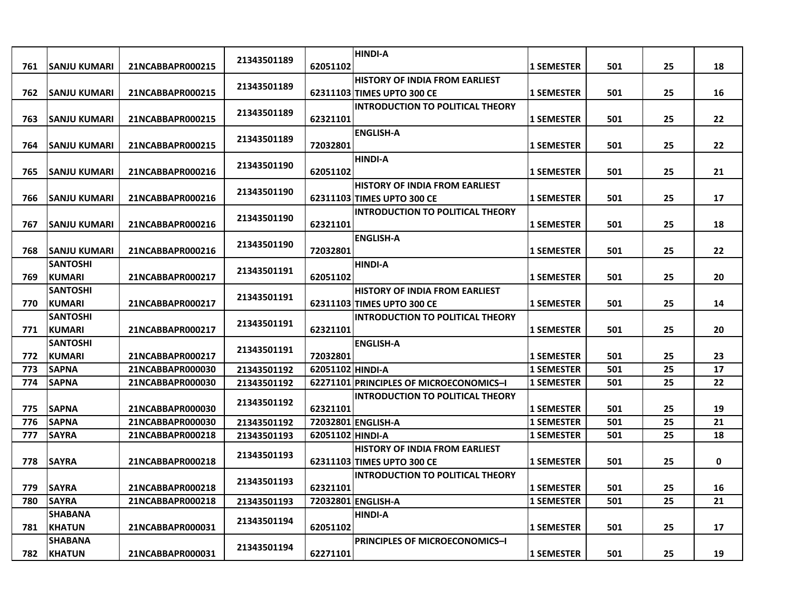| 761 | <b>SANJU KUMARI</b>              | 21NCABBAPR000215 | 21343501189 | 62051102         | <b>HINDI-A</b>                                                      | <b>1 SEMESTER</b> | 501 | 25 | 18          |
|-----|----------------------------------|------------------|-------------|------------------|---------------------------------------------------------------------|-------------------|-----|----|-------------|
| 762 | <b>SANJU KUMARI</b>              | 21NCABBAPR000215 | 21343501189 |                  | <b>HISTORY OF INDIA FROM EARLIEST</b><br>62311103 TIMES UPTO 300 CE | <b>1 SEMESTER</b> | 501 | 25 | 16          |
| 763 | <b>SANJU KUMARI</b>              | 21NCABBAPR000215 | 21343501189 | 62321101         | <b>INTRODUCTION TO POLITICAL THEORY</b>                             | <b>1 SEMESTER</b> | 501 | 25 | 22          |
| 764 | <b>SANJU KUMARI</b>              | 21NCABBAPR000215 | 21343501189 | 72032801         | <b>ENGLISH-A</b>                                                    | 1 SEMESTER        | 501 | 25 | 22          |
| 765 | SANJU KUMARI                     | 21NCABBAPR000216 | 21343501190 | 62051102         | <b>HINDI-A</b>                                                      | <b>1 SEMESTER</b> | 501 | 25 | 21          |
| 766 | SANJU KUMARI                     | 21NCABBAPR000216 | 21343501190 |                  | <b>HISTORY OF INDIA FROM EARLIEST</b><br>62311103 TIMES UPTO 300 CE | 1 SEMESTER        | 501 | 25 | 17          |
| 767 | <b>ISANJU KUMARI</b>             | 21NCABBAPR000216 | 21343501190 | 62321101         | <b>INTRODUCTION TO POLITICAL THEORY</b>                             | <b>1 SEMESTER</b> | 501 | 25 | 18          |
| 768 | <b>SANJU KUMARI</b>              | 21NCABBAPR000216 | 21343501190 | 72032801         | <b>ENGLISH-A</b>                                                    | <b>1 SEMESTER</b> | 501 | 25 | 22          |
| 769 | <b>SANTOSHI</b><br><b>KUMARI</b> | 21NCABBAPR000217 | 21343501191 | 62051102         | <b>HINDI-A</b>                                                      | <b>1 SEMESTER</b> | 501 | 25 | 20          |
| 770 | SANTOSHI<br><b>KUMARI</b>        | 21NCABBAPR000217 | 21343501191 |                  | <b>HISTORY OF INDIA FROM EARLIEST</b><br>62311103 TIMES UPTO 300 CE | <b>1 SEMESTER</b> | 501 | 25 | 14          |
| 771 | <b>SANTOSHI</b><br><b>KUMARI</b> | 21NCABBAPR000217 | 21343501191 | 62321101         | <b>INTRODUCTION TO POLITICAL THEORY</b>                             | 1 SEMESTER        | 501 | 25 | 20          |
| 772 | <b>SANTOSHI</b><br><b>KUMARI</b> | 21NCABBAPR000217 | 21343501191 | 72032801         | <b>ENGLISH-A</b>                                                    | <b>1 SEMESTER</b> | 501 | 25 | 23          |
| 773 | <b>SAPNA</b>                     | 21NCABBAPR000030 | 21343501192 | 62051102 HINDI-A |                                                                     | <b>1 SEMESTER</b> | 501 | 25 | 17          |
| 774 | <b>SAPNA</b>                     | 21NCABBAPR000030 | 21343501192 |                  | 62271101 PRINCIPLES OF MICROECONOMICS-I                             | <b>1 SEMESTER</b> | 501 | 25 | 22          |
| 775 | <b>SAPNA</b>                     | 21NCABBAPR000030 | 21343501192 | 62321101         | INTRODUCTION TO POLITICAL THEORY                                    | <b>1 SEMESTER</b> | 501 | 25 | 19          |
| 776 | <b>SAPNA</b>                     | 21NCABBAPR000030 | 21343501192 |                  | 72032801 ENGLISH-A                                                  | <b>1 SEMESTER</b> | 501 | 25 | 21          |
| 777 | <b>SAYRA</b>                     | 21NCABBAPR000218 | 21343501193 | 62051102 HINDI-A |                                                                     | 1 SEMESTER        | 501 | 25 | 18          |
| 778 | <b>SAYRA</b>                     | 21NCABBAPR000218 | 21343501193 |                  | <b>HISTORY OF INDIA FROM EARLIEST</b><br>62311103 TIMES UPTO 300 CE | <b>1 SEMESTER</b> | 501 | 25 | $\mathbf 0$ |
| 779 | <b>SAYRA</b>                     | 21NCABBAPR000218 | 21343501193 | 62321101         | <b>INTRODUCTION TO POLITICAL THEORY</b>                             | <b>1 SEMESTER</b> | 501 | 25 | 16          |
| 780 | <b>SAYRA</b>                     | 21NCABBAPR000218 | 21343501193 |                  | 72032801 ENGLISH-A                                                  | <b>1 SEMESTER</b> | 501 | 25 | 21          |
|     | <b>SHABANA</b>                   |                  | 21343501194 |                  | <b>HINDI-A</b>                                                      |                   |     |    |             |
| 781 | <b>KHATUN</b>                    | 21NCABBAPR000031 |             | 62051102         |                                                                     | <b>1 SEMESTER</b> | 501 | 25 | 17          |
| 782 | SHABANA<br><b>KHATUN</b>         | 21NCABBAPR000031 | 21343501194 | 62271101         | <b>PRINCIPLES OF MICROECONOMICS-I</b>                               | <b>1 SEMESTER</b> | 501 | 25 | 19          |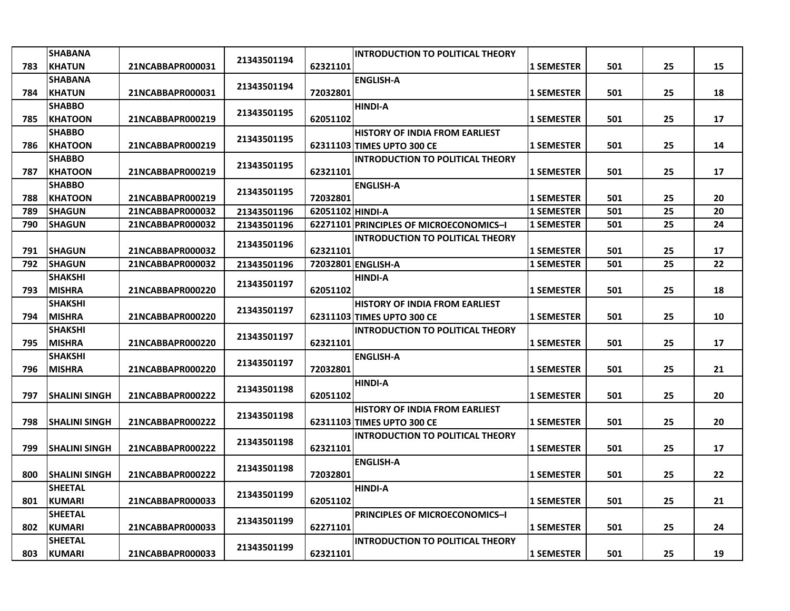|     | <b>SHABANA</b>       |                  | 21343501194 |                  | <b>INTRODUCTION TO POLITICAL THEORY</b> |                   |     |    |    |
|-----|----------------------|------------------|-------------|------------------|-----------------------------------------|-------------------|-----|----|----|
| 783 | <b>KHATUN</b>        | 21NCABBAPR000031 |             | 62321101         |                                         | <b>1 SEMESTER</b> | 501 | 25 | 15 |
|     | <b>SHABANA</b>       |                  | 21343501194 |                  | <b>ENGLISH-A</b>                        |                   |     |    |    |
| 784 | <b>KHATUN</b>        | 21NCABBAPR000031 |             | 72032801         |                                         | <b>1 SEMESTER</b> | 501 | 25 | 18 |
|     | <b>SHABBO</b>        |                  | 21343501195 |                  | <b>HINDI-A</b>                          |                   |     |    |    |
| 785 | <b>KHATOON</b>       | 21NCABBAPR000219 |             | 62051102         |                                         | <b>1 SEMESTER</b> | 501 | 25 | 17 |
|     | <b>SHABBO</b>        |                  | 21343501195 |                  | <b>HISTORY OF INDIA FROM EARLIEST</b>   |                   |     |    |    |
| 786 | <b>KHATOON</b>       | 21NCABBAPR000219 |             |                  | 62311103 TIMES UPTO 300 CE              | <b>1 SEMESTER</b> | 501 | 25 | 14 |
|     | <b>SHABBO</b>        |                  | 21343501195 |                  | <b>INTRODUCTION TO POLITICAL THEORY</b> |                   |     |    |    |
| 787 | KHATOON              | 21NCABBAPR000219 |             | 62321101         |                                         | <b>1 SEMESTER</b> | 501 | 25 | 17 |
|     | <b>SHABBO</b>        |                  | 21343501195 |                  | <b>ENGLISH-A</b>                        |                   |     |    |    |
| 788 | <b>KHATOON</b>       | 21NCABBAPR000219 |             | 72032801         |                                         | <b>1 SEMESTER</b> | 501 | 25 | 20 |
| 789 | <b>SHAGUN</b>        | 21NCABBAPR000032 | 21343501196 | 62051102 HINDI-A |                                         | <b>1 SEMESTER</b> | 501 | 25 | 20 |
| 790 | <b>SHAGUN</b>        | 21NCABBAPR000032 | 21343501196 |                  | 62271101 PRINCIPLES OF MICROECONOMICS-I | <b>1 SEMESTER</b> | 501 | 25 | 24 |
|     |                      |                  | 21343501196 |                  | <b>INTRODUCTION TO POLITICAL THEORY</b> |                   |     |    |    |
| 791 | <b>SHAGUN</b>        | 21NCABBAPR000032 |             | 62321101         |                                         | <b>1 SEMESTER</b> | 501 | 25 | 17 |
| 792 | <b>SHAGUN</b>        | 21NCABBAPR000032 | 21343501196 |                  | 72032801 ENGLISH-A                      | <b>1 SEMESTER</b> | 501 | 25 | 22 |
|     | <b>SHAKSHI</b>       |                  | 21343501197 |                  | <b>HINDI-A</b>                          |                   |     |    |    |
| 793 | <b>MISHRA</b>        | 21NCABBAPR000220 |             | 62051102         |                                         | <b>1 SEMESTER</b> | 501 | 25 | 18 |
|     | <b>SHAKSHI</b>       |                  | 21343501197 |                  | <b>HISTORY OF INDIA FROM EARLIEST</b>   |                   |     |    |    |
| 794 | <b>MISHRA</b>        | 21NCABBAPR000220 |             |                  | 62311103 TIMES UPTO 300 CE              | <b>1 SEMESTER</b> | 501 | 25 | 10 |
|     | <b>SHAKSHI</b>       |                  | 21343501197 |                  | <b>INTRODUCTION TO POLITICAL THEORY</b> |                   |     |    |    |
| 795 | <b>MISHRA</b>        | 21NCABBAPR000220 |             | 62321101         |                                         | <b>1 SEMESTER</b> | 501 | 25 | 17 |
|     | <b>SHAKSHI</b>       |                  | 21343501197 |                  | <b>ENGLISH-A</b>                        |                   |     |    |    |
| 796 | <b>MISHRA</b>        | 21NCABBAPR000220 |             | 72032801         |                                         | <b>1 SEMESTER</b> | 501 | 25 | 21 |
|     |                      |                  | 21343501198 |                  | <b>HINDI-A</b>                          |                   |     |    |    |
| 797 | <b>SHALINI SINGH</b> | 21NCABBAPR000222 |             | 62051102         |                                         | <b>1 SEMESTER</b> | 501 | 25 | 20 |
|     |                      |                  | 21343501198 |                  | <b>HISTORY OF INDIA FROM EARLIEST</b>   |                   |     |    |    |
| 798 | <b>SHALINI SINGH</b> | 21NCABBAPR000222 |             |                  | 62311103 TIMES UPTO 300 CE              | <b>1 SEMESTER</b> | 501 | 25 | 20 |
|     |                      |                  | 21343501198 |                  | <b>INTRODUCTION TO POLITICAL THEORY</b> |                   |     |    |    |
| 799 | <b>SHALINI SINGH</b> | 21NCABBAPR000222 |             | 62321101         |                                         | <b>1 SEMESTER</b> | 501 | 25 | 17 |
|     |                      |                  | 21343501198 |                  | <b>ENGLISH-A</b>                        |                   |     |    |    |
| 800 | <b>SHALINI SINGH</b> | 21NCABBAPR000222 |             | 72032801         |                                         | <b>1 SEMESTER</b> | 501 | 25 | 22 |
|     | <b>SHEETAL</b>       |                  | 21343501199 |                  | <b>HINDI-A</b>                          |                   |     |    |    |
| 801 | <b>KUMARI</b>        | 21NCABBAPR000033 |             | 62051102         |                                         | <b>1 SEMESTER</b> | 501 | 25 | 21 |
|     | <b>SHEETAL</b>       |                  | 21343501199 |                  | <b>PRINCIPLES OF MICROECONOMICS-I</b>   |                   |     |    |    |
| 802 | <b>KUMARI</b>        | 21NCABBAPR000033 |             | 62271101         |                                         | <b>1 SEMESTER</b> | 501 | 25 | 24 |
|     | <b>SHEETAL</b>       |                  | 21343501199 |                  | <b>INTRODUCTION TO POLITICAL THEORY</b> |                   |     |    |    |
| 803 | KUMARI               | 21NCABBAPR000033 |             | 62321101         |                                         | <b>1 SEMESTER</b> | 501 | 25 | 19 |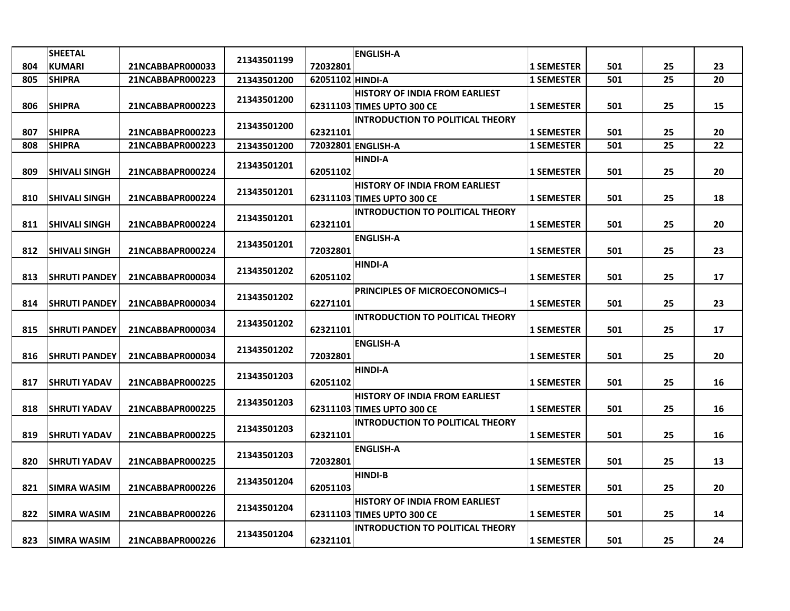|     | <b>SHEETAL</b>        |                  |             |                  | <b>ENGLISH-A</b>                        |                   |     |    |    |
|-----|-----------------------|------------------|-------------|------------------|-----------------------------------------|-------------------|-----|----|----|
| 804 | <b>KUMARI</b>         | 21NCABBAPR000033 | 21343501199 | 72032801         |                                         | 1 SEMESTER        | 501 | 25 | 23 |
| 805 | <b>SHIPRA</b>         | 21NCABBAPR000223 | 21343501200 | 62051102 HINDI-A |                                         | <b>1 SEMESTER</b> | 501 | 25 | 20 |
|     |                       |                  |             |                  | <b>HISTORY OF INDIA FROM EARLIEST</b>   |                   |     |    |    |
| 806 | <b>SHIPRA</b>         | 21NCABBAPR000223 | 21343501200 |                  | 62311103 TIMES UPTO 300 CE              | 1 SEMESTER        | 501 | 25 | 15 |
|     |                       |                  |             |                  | <b>INTRODUCTION TO POLITICAL THEORY</b> |                   |     |    |    |
| 807 | <b>SHIPRA</b>         | 21NCABBAPR000223 | 21343501200 | 62321101         |                                         | <b>1 SEMESTER</b> | 501 | 25 | 20 |
| 808 | <b>SHIPRA</b>         | 21NCABBAPR000223 | 21343501200 |                  | 72032801 ENGLISH-A                      | <b>1 SEMESTER</b> | 501 | 25 | 22 |
|     |                       |                  | 21343501201 |                  | <b>HINDI-A</b>                          |                   |     |    |    |
| 809 | <b>SHIVALI SINGH</b>  | 21NCABBAPR000224 |             | 62051102         |                                         | <b>1 SEMESTER</b> | 501 | 25 | 20 |
|     |                       |                  | 21343501201 |                  | <b>HISTORY OF INDIA FROM EARLIEST</b>   |                   |     |    |    |
| 810 | <b>SHIVALI SINGH</b>  | 21NCABBAPR000224 |             |                  | 62311103 TIMES UPTO 300 CE              | <b>1 SEMESTER</b> | 501 | 25 | 18 |
|     |                       |                  | 21343501201 |                  | <b>INTRODUCTION TO POLITICAL THEORY</b> |                   |     |    |    |
| 811 | <b>SHIVALI SINGH</b>  | 21NCABBAPR000224 |             | 62321101         |                                         | <b>1 SEMESTER</b> | 501 | 25 | 20 |
|     |                       |                  | 21343501201 |                  | <b>ENGLISH-A</b>                        |                   |     |    |    |
| 812 | <b>SHIVALI SINGH</b>  | 21NCABBAPR000224 |             | 72032801         |                                         | <b>1 SEMESTER</b> | 501 | 25 | 23 |
|     |                       |                  | 21343501202 |                  | <b>HINDI-A</b>                          |                   |     |    |    |
| 813 | <b>ISHRUTI PANDEY</b> | 21NCABBAPR000034 |             | 62051102         |                                         | <b>1 SEMESTER</b> | 501 | 25 | 17 |
|     |                       |                  | 21343501202 |                  | <b>PRINCIPLES OF MICROECONOMICS-I</b>   |                   |     |    |    |
| 814 | <b>SHRUTI PANDEY</b>  | 21NCABBAPR000034 |             | 62271101         |                                         | <b>1 SEMESTER</b> | 501 | 25 | 23 |
|     |                       |                  | 21343501202 |                  | <b>INTRODUCTION TO POLITICAL THEORY</b> |                   |     |    |    |
| 815 | <b>SHRUTI PANDEY</b>  | 21NCABBAPR000034 |             | 62321101         |                                         | 1 SEMESTER        | 501 | 25 | 17 |
|     |                       |                  | 21343501202 |                  | <b>ENGLISH-A</b>                        |                   |     |    |    |
| 816 | <b>SHRUTI PANDEY</b>  | 21NCABBAPR000034 |             | 72032801         |                                         | <b>1 SEMESTER</b> | 501 | 25 | 20 |
|     |                       |                  | 21343501203 |                  | <b>HINDI-A</b>                          |                   |     |    |    |
| 817 | <b>SHRUTI YADAV</b>   | 21NCABBAPR000225 |             | 62051102         |                                         | <b>1 SEMESTER</b> | 501 | 25 | 16 |
|     |                       |                  | 21343501203 |                  | <b>HISTORY OF INDIA FROM EARLIEST</b>   |                   |     |    |    |
| 818 | <b>SHRUTI YADAV</b>   | 21NCABBAPR000225 |             |                  | 62311103 TIMES UPTO 300 CE              | <b>1 SEMESTER</b> | 501 | 25 | 16 |
|     |                       |                  | 21343501203 |                  | <b>INTRODUCTION TO POLITICAL THEORY</b> |                   |     |    |    |
| 819 | <b>SHRUTI YADAV</b>   | 21NCABBAPR000225 |             | 62321101         |                                         | <b>1 SEMESTER</b> | 501 | 25 | 16 |
|     |                       |                  | 21343501203 |                  | <b>ENGLISH-A</b>                        |                   |     |    |    |
| 820 | <b>SHRUTI YADAV</b>   | 21NCABBAPR000225 |             | 72032801         |                                         | 1 SEMESTER        | 501 | 25 | 13 |
|     |                       |                  | 21343501204 |                  | <b>HINDI-B</b>                          |                   |     |    |    |
| 821 | <b>SIMRA WASIM</b>    | 21NCABBAPR000226 |             | 62051103         |                                         | <b>1 SEMESTER</b> | 501 | 25 | 20 |
|     |                       |                  | 21343501204 |                  | <b>HISTORY OF INDIA FROM EARLIEST</b>   |                   |     |    |    |
| 822 | <b>SIMRA WASIM</b>    | 21NCABBAPR000226 |             |                  | 62311103 TIMES UPTO 300 CE              | <b>1 SEMESTER</b> | 501 | 25 | 14 |
|     |                       |                  | 21343501204 |                  | <b>INTRODUCTION TO POLITICAL THEORY</b> |                   |     |    |    |
| 823 | <b>SIMRA WASIM</b>    | 21NCABBAPR000226 |             | 62321101         |                                         | <b>1 SEMESTER</b> | 501 | 25 | 24 |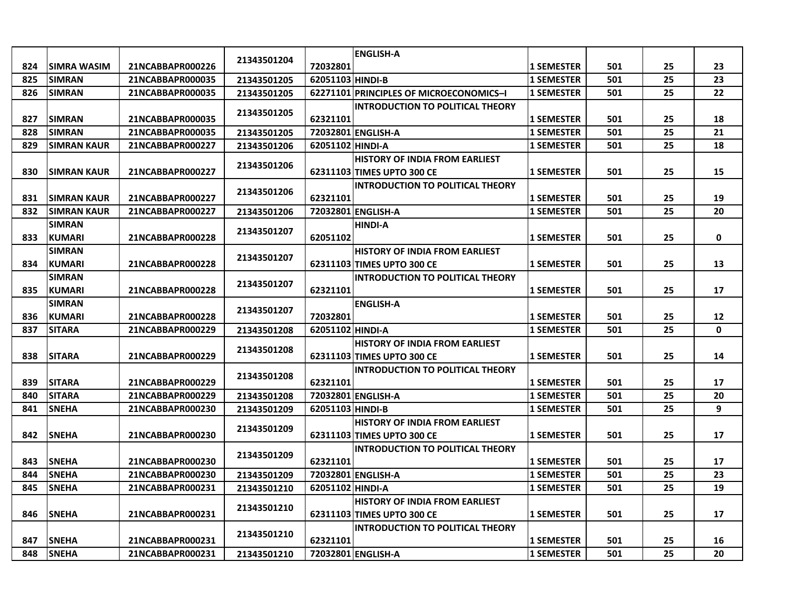|     |                     |                  |             |                  | <b>ENGLISH-A</b>                        |                   |     |    |              |
|-----|---------------------|------------------|-------------|------------------|-----------------------------------------|-------------------|-----|----|--------------|
| 824 | <b>ISIMRA WASIM</b> | 21NCABBAPR000226 | 21343501204 | 72032801         |                                         | <b>1 SEMESTER</b> | 501 | 25 | 23           |
| 825 | <b>SIMRAN</b>       | 21NCABBAPR000035 | 21343501205 | 62051103 HINDI-B |                                         | <b>1 SEMESTER</b> | 501 | 25 | 23           |
| 826 | <b>SIMRAN</b>       | 21NCABBAPR000035 | 21343501205 |                  | 62271101 PRINCIPLES OF MICROECONOMICS-I | <b>1 SEMESTER</b> | 501 | 25 | 22           |
|     |                     |                  |             |                  | INTRODUCTION TO POLITICAL THEORY        |                   |     |    |              |
| 827 | <b>SIMRAN</b>       | 21NCABBAPR000035 | 21343501205 | 62321101         |                                         | <b>1 SEMESTER</b> | 501 | 25 | 18           |
| 828 | <b>SIMRAN</b>       | 21NCABBAPR000035 | 21343501205 |                  | 72032801 ENGLISH-A                      | <b>1 SEMESTER</b> | 501 | 25 | 21           |
| 829 | <b>SIMRAN KAUR</b>  | 21NCABBAPR000227 | 21343501206 | 62051102 HINDI-A |                                         | <b>1 SEMESTER</b> | 501 | 25 | 18           |
|     |                     |                  |             |                  | <b>HISTORY OF INDIA FROM EARLIEST</b>   |                   |     |    |              |
| 830 | <b>SIMRAN KAUR</b>  | 21NCABBAPR000227 | 21343501206 |                  | 62311103 TIMES UPTO 300 CE              | <b>1 SEMESTER</b> | 501 | 25 | 15           |
|     |                     |                  | 21343501206 |                  | <b>INTRODUCTION TO POLITICAL THEORY</b> |                   |     |    |              |
| 831 | <b>ISIMRAN KAUR</b> | 21NCABBAPR000227 |             | 62321101         |                                         | <b>1 SEMESTER</b> | 501 | 25 | 19           |
| 832 | <b>SIMRAN KAUR</b>  | 21NCABBAPR000227 | 21343501206 |                  | 72032801 ENGLISH-A                      | <b>1 SEMESTER</b> | 501 | 25 | 20           |
|     | <b>SIMRAN</b>       |                  | 21343501207 |                  | <b>HINDI-A</b>                          |                   |     |    |              |
| 833 | <b>KUMARI</b>       | 21NCABBAPR000228 |             | 62051102         |                                         | <b>1 SEMESTER</b> | 501 | 25 | 0            |
|     | <b>SIMRAN</b>       |                  | 21343501207 |                  | <b>HISTORY OF INDIA FROM EARLIEST</b>   |                   |     |    |              |
| 834 | <b>KUMARI</b>       | 21NCABBAPR000228 |             |                  | 62311103 TIMES UPTO 300 CE              | <b>1 SEMESTER</b> | 501 | 25 | 13           |
|     | <b>SIMRAN</b>       |                  | 21343501207 |                  | <b>INTRODUCTION TO POLITICAL THEORY</b> |                   |     |    |              |
| 835 | <b>KUMARI</b>       | 21NCABBAPR000228 |             | 62321101         |                                         | <b>1 SEMESTER</b> | 501 | 25 | 17           |
|     | <b>SIMRAN</b>       |                  | 21343501207 |                  | <b>ENGLISH-A</b>                        |                   |     |    |              |
| 836 | <b>KUMARI</b>       | 21NCABBAPR000228 |             | 72032801         |                                         | <b>1 SEMESTER</b> | 501 | 25 | 12           |
| 837 | <b>SITARA</b>       | 21NCABBAPR000229 | 21343501208 | 62051102 HINDI-A |                                         | <b>1 SEMESTER</b> | 501 | 25 | $\mathbf{0}$ |
|     |                     |                  | 21343501208 |                  | <b>HISTORY OF INDIA FROM EARLIEST</b>   |                   |     |    |              |
| 838 | <b>SITARA</b>       | 21NCABBAPR000229 |             |                  | 62311103 TIMES UPTO 300 CE              | <b>1 SEMESTER</b> | 501 | 25 | 14           |
|     |                     |                  | 21343501208 |                  | <b>INTRODUCTION TO POLITICAL THEORY</b> |                   |     |    |              |
| 839 | <b>SITARA</b>       | 21NCABBAPR000229 |             | 62321101         |                                         | <b>1 SEMESTER</b> | 501 | 25 | 17           |
| 840 | <b>SITARA</b>       | 21NCABBAPR000229 | 21343501208 |                  | 72032801 ENGLISH-A                      | <b>1 SEMESTER</b> | 501 | 25 | 20           |
| 841 | <b>SNEHA</b>        | 21NCABBAPR000230 | 21343501209 | 62051103 HINDI-B |                                         | <b>1 SEMESTER</b> | 501 | 25 | 9            |
|     |                     |                  | 21343501209 |                  | <b>HISTORY OF INDIA FROM EARLIEST</b>   |                   |     |    |              |
| 842 | <b>SNEHA</b>        | 21NCABBAPR000230 |             |                  | 62311103 TIMES UPTO 300 CE              | <b>1 SEMESTER</b> | 501 | 25 | 17           |
|     |                     |                  | 21343501209 |                  | <b>INTRODUCTION TO POLITICAL THEORY</b> |                   |     |    |              |
| 843 | <b>SNEHA</b>        | 21NCABBAPR000230 |             | 62321101         |                                         | <b>1 SEMESTER</b> | 501 | 25 | 17           |
| 844 | <b>SNEHA</b>        | 21NCABBAPR000230 | 21343501209 |                  | 72032801 ENGLISH-A                      | <b>1 SEMESTER</b> | 501 | 25 | 23           |
| 845 | <b>SNEHA</b>        | 21NCABBAPR000231 | 21343501210 | 62051102 HINDI-A |                                         | <b>1 SEMESTER</b> | 501 | 25 | 19           |
|     |                     |                  | 21343501210 |                  | <b>HISTORY OF INDIA FROM EARLIEST</b>   |                   |     |    |              |
| 846 | <b>SNEHA</b>        | 21NCABBAPR000231 |             |                  | 62311103 TIMES UPTO 300 CE              | <b>1 SEMESTER</b> | 501 | 25 | 17           |
|     |                     |                  | 21343501210 |                  | <b>INTRODUCTION TO POLITICAL THEORY</b> |                   |     |    |              |
| 847 | <b>SNEHA</b>        | 21NCABBAPR000231 |             | 62321101         |                                         | <b>1 SEMESTER</b> | 501 | 25 | 16           |
| 848 | <b>SNEHA</b>        | 21NCABBAPR000231 | 21343501210 |                  | 72032801 ENGLISH-A                      | <b>1 SEMESTER</b> | 501 | 25 | 20           |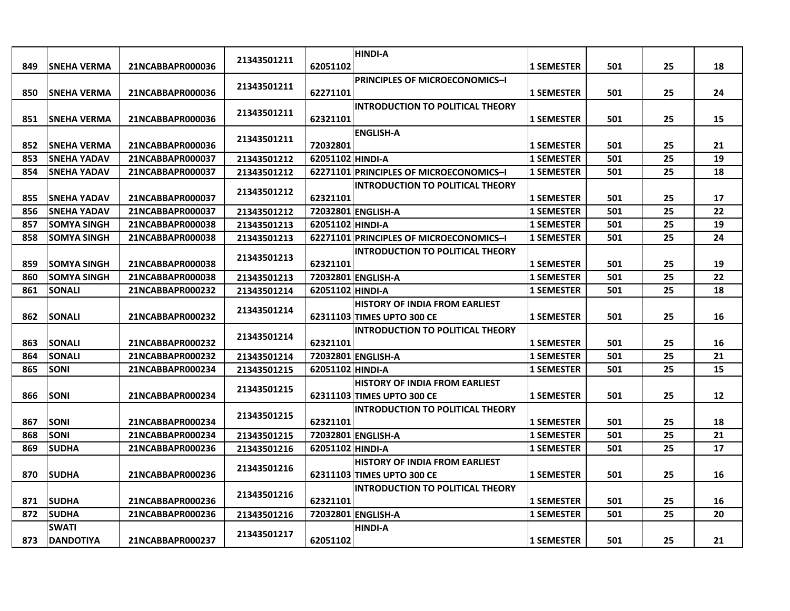|     |                     |                  |             |                  | <b>HINDI-A</b>                          |                   |     |    |    |
|-----|---------------------|------------------|-------------|------------------|-----------------------------------------|-------------------|-----|----|----|
| 849 | <b>SNEHA VERMA</b>  | 21NCABBAPR000036 | 21343501211 | 62051102         |                                         | <b>1 SEMESTER</b> | 501 | 25 | 18 |
|     |                     |                  |             |                  | <b>PRINCIPLES OF MICROECONOMICS-I</b>   |                   |     |    |    |
| 850 | <b>SNEHA VERMA</b>  | 21NCABBAPR000036 | 21343501211 | 62271101         |                                         | <b>1 SEMESTER</b> | 501 | 25 | 24 |
|     |                     |                  |             |                  | <b>INTRODUCTION TO POLITICAL THEORY</b> |                   |     |    |    |
| 851 | <b>SNEHA VERMA</b>  | 21NCABBAPR000036 | 21343501211 | 62321101         |                                         | 1 SEMESTER        | 501 | 25 | 15 |
|     |                     |                  | 21343501211 |                  | <b>ENGLISH-A</b>                        |                   |     |    |    |
| 852 | <b>ISNEHA VERMA</b> | 21NCABBAPR000036 |             | 72032801         |                                         | <b>1 SEMESTER</b> | 501 | 25 | 21 |
| 853 | <b>SNEHA YADAV</b>  | 21NCABBAPR000037 | 21343501212 | 62051102 HINDI-A |                                         | <b>1 SEMESTER</b> | 501 | 25 | 19 |
| 854 | <b>SNEHA YADAV</b>  | 21NCABBAPR000037 | 21343501212 |                  | 62271101 PRINCIPLES OF MICROECONOMICS-I | <b>1 SEMESTER</b> | 501 | 25 | 18 |
|     |                     |                  | 21343501212 |                  | INTRODUCTION TO POLITICAL THEORY        |                   |     |    |    |
| 855 | <b>SNEHA YADAV</b>  | 21NCABBAPR000037 |             | 62321101         |                                         | <b>1 SEMESTER</b> | 501 | 25 | 17 |
| 856 | <b>ISNEHA YADAV</b> | 21NCABBAPR000037 | 21343501212 |                  | 72032801 ENGLISH-A                      | <b>1 SEMESTER</b> | 501 | 25 | 22 |
| 857 | <b>SOMYA SINGH</b>  | 21NCABBAPR000038 | 21343501213 | 62051102 HINDI-A |                                         | <b>1 SEMESTER</b> | 501 | 25 | 19 |
| 858 | <b>SOMYA SINGH</b>  | 21NCABBAPR000038 | 21343501213 |                  | 62271101 PRINCIPLES OF MICROECONOMICS-I | <b>1 SEMESTER</b> | 501 | 25 | 24 |
|     |                     |                  | 21343501213 |                  | <b>INTRODUCTION TO POLITICAL THEORY</b> |                   |     |    |    |
| 859 | <b>SOMYA SINGH</b>  | 21NCABBAPR000038 |             | 62321101         |                                         | <b>1 SEMESTER</b> | 501 | 25 | 19 |
| 860 | <b>SOMYA SINGH</b>  | 21NCABBAPR000038 | 21343501213 |                  | 72032801 ENGLISH-A                      | <b>1 SEMESTER</b> | 501 | 25 | 22 |
| 861 | <b>SONALI</b>       | 21NCABBAPR000232 | 21343501214 | 62051102 HINDI-A |                                         | <b>1 SEMESTER</b> | 501 | 25 | 18 |
|     |                     |                  | 21343501214 |                  | <b>HISTORY OF INDIA FROM EARLIEST</b>   |                   |     |    |    |
| 862 | <b>SONALI</b>       | 21NCABBAPR000232 |             |                  | 62311103 TIMES UPTO 300 CE              | <b>1 SEMESTER</b> | 501 | 25 | 16 |
|     |                     |                  | 21343501214 |                  | <b>INTRODUCTION TO POLITICAL THEORY</b> |                   |     |    |    |
| 863 | <b>SONALI</b>       | 21NCABBAPR000232 |             | 62321101         |                                         | <b>1 SEMESTER</b> | 501 | 25 | 16 |
| 864 | <b>SONALI</b>       | 21NCABBAPR000232 | 21343501214 |                  | 72032801 ENGLISH-A                      | <b>1 SEMESTER</b> | 501 | 25 | 21 |
| 865 | <b>SONI</b>         | 21NCABBAPR000234 | 21343501215 | 62051102 HINDI-A |                                         | <b>1 SEMESTER</b> | 501 | 25 | 15 |
|     |                     |                  | 21343501215 |                  | <b>HISTORY OF INDIA FROM EARLIEST</b>   |                   |     |    |    |
| 866 | <b>SONI</b>         | 21NCABBAPR000234 |             |                  | 62311103 TIMES UPTO 300 CE              | <b>1 SEMESTER</b> | 501 | 25 | 12 |
|     |                     |                  | 21343501215 |                  | <b>INTRODUCTION TO POLITICAL THEORY</b> |                   |     |    |    |
| 867 | <b>SONI</b>         | 21NCABBAPR000234 |             | 62321101         |                                         | <b>1 SEMESTER</b> | 501 | 25 | 18 |
| 868 | <b>SONI</b>         | 21NCABBAPR000234 | 21343501215 |                  | 72032801 ENGLISH-A                      | <b>1 SEMESTER</b> | 501 | 25 | 21 |
| 869 | <b>SUDHA</b>        | 21NCABBAPR000236 | 21343501216 | 62051102 HINDI-A |                                         | <b>1 SEMESTER</b> | 501 | 25 | 17 |
|     |                     |                  | 21343501216 |                  | <b>HISTORY OF INDIA FROM EARLIEST</b>   |                   |     |    |    |
| 870 | <b>SUDHA</b>        | 21NCABBAPR000236 |             |                  | 62311103 TIMES UPTO 300 CE              | <b>1 SEMESTER</b> | 501 | 25 | 16 |
|     |                     |                  | 21343501216 |                  | <b>INTRODUCTION TO POLITICAL THEORY</b> |                   |     |    |    |
| 871 | <b>SUDHA</b>        | 21NCABBAPR000236 |             | 62321101         |                                         | <b>1 SEMESTER</b> | 501 | 25 | 16 |
| 872 | <b>SUDHA</b>        | 21NCABBAPR000236 | 21343501216 |                  | 72032801 ENGLISH-A                      | <b>1 SEMESTER</b> | 501 | 25 | 20 |
|     | <b>SWATI</b>        |                  | 21343501217 |                  | <b>HINDI-A</b>                          |                   |     |    |    |
| 873 | <b>DANDOTIYA</b>    | 21NCABBAPR000237 |             | 62051102         |                                         | <b>1 SEMESTER</b> | 501 | 25 | 21 |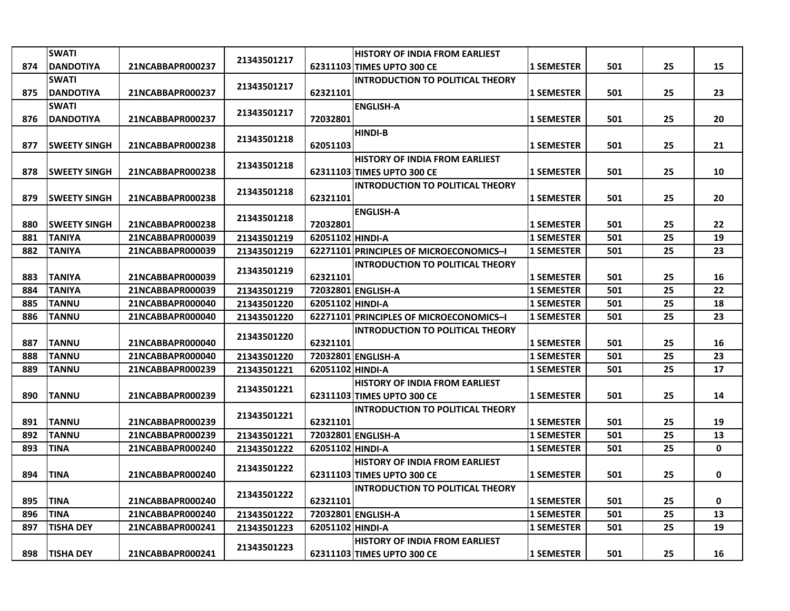|     | <b>SWATI</b>         |                  |             |                  | <b>HISTORY OF INDIA FROM EARLIEST</b>   |                   |     |    |             |
|-----|----------------------|------------------|-------------|------------------|-----------------------------------------|-------------------|-----|----|-------------|
| 874 | <b>DANDOTIYA</b>     | 21NCABBAPR000237 | 21343501217 |                  | 62311103 TIMES UPTO 300 CE              | <b>1 SEMESTER</b> | 501 | 25 | 15          |
|     | <b>SWATI</b>         |                  |             |                  | <b>INTRODUCTION TO POLITICAL THEORY</b> |                   |     |    |             |
| 875 | <b>DANDOTIYA</b>     | 21NCABBAPR000237 | 21343501217 | 62321101         |                                         | <b>1 SEMESTER</b> | 501 | 25 | 23          |
|     | <b>SWATI</b>         |                  |             |                  | <b>ENGLISH-A</b>                        |                   |     |    |             |
| 876 | <b>DANDOTIYA</b>     | 21NCABBAPR000237 | 21343501217 | 72032801         |                                         | <b>1 SEMESTER</b> | 501 | 25 | 20          |
|     |                      |                  |             |                  | <b>HINDI-B</b>                          |                   |     |    |             |
| 877 | <b>SWEETY SINGH</b>  | 21NCABBAPR000238 | 21343501218 | 62051103         |                                         | <b>1 SEMESTER</b> | 501 | 25 | 21          |
|     |                      |                  |             |                  | <b>HISTORY OF INDIA FROM EARLIEST</b>   |                   |     |    |             |
| 878 | <b>ISWEETY SINGH</b> | 21NCABBAPR000238 | 21343501218 |                  | 62311103 TIMES UPTO 300 CE              | <b>1 SEMESTER</b> | 501 | 25 | 10          |
|     |                      |                  |             |                  | <b>INTRODUCTION TO POLITICAL THEORY</b> |                   |     |    |             |
| 879 | <b>ISWEETY SINGH</b> | 21NCABBAPR000238 | 21343501218 | 62321101         |                                         | <b>1 SEMESTER</b> | 501 | 25 | 20          |
|     |                      |                  |             |                  | <b>ENGLISH-A</b>                        |                   |     |    |             |
| 880 | <b>SWEETY SINGH</b>  | 21NCABBAPR000238 | 21343501218 | 72032801         |                                         | <b>1 SEMESTER</b> | 501 | 25 | 22          |
| 881 | <b>TANIYA</b>        | 21NCABBAPR000039 | 21343501219 | 62051102 HINDI-A |                                         | <b>1 SEMESTER</b> | 501 | 25 | 19          |
| 882 | <b>TANIYA</b>        | 21NCABBAPR000039 | 21343501219 |                  | 62271101 PRINCIPLES OF MICROECONOMICS-I | <b>1 SEMESTER</b> | 501 | 25 | 23          |
|     |                      |                  |             |                  | <b>INTRODUCTION TO POLITICAL THEORY</b> |                   |     |    |             |
| 883 | <b>TANIYA</b>        | 21NCABBAPR000039 | 21343501219 | 62321101         |                                         | <b>1 SEMESTER</b> | 501 | 25 | 16          |
| 884 | <b>TANIYA</b>        | 21NCABBAPR000039 | 21343501219 |                  | 72032801 ENGLISH-A                      | <b>1 SEMESTER</b> | 501 | 25 | 22          |
| 885 | <b>TANNU</b>         | 21NCABBAPR000040 | 21343501220 | 62051102 HINDI-A |                                         | <b>1 SEMESTER</b> | 501 | 25 | 18          |
| 886 | <b>TANNU</b>         | 21NCABBAPR000040 | 21343501220 |                  | 62271101 PRINCIPLES OF MICROECONOMICS-I | <b>1 SEMESTER</b> | 501 | 25 | 23          |
|     |                      |                  |             |                  | <b>INTRODUCTION TO POLITICAL THEORY</b> |                   |     |    |             |
| 887 | <b>TANNU</b>         | 21NCABBAPR000040 | 21343501220 | 62321101         |                                         | <b>1 SEMESTER</b> | 501 | 25 | 16          |
| 888 | <b>TANNU</b>         | 21NCABBAPR000040 | 21343501220 |                  | 72032801 ENGLISH-A                      | <b>1 SEMESTER</b> | 501 | 25 | 23          |
| 889 | <b>TANNU</b>         | 21NCABBAPR000239 | 21343501221 | 62051102 HINDI-A |                                         | <b>1 SEMESTER</b> | 501 | 25 | 17          |
|     |                      |                  |             |                  | <b>HISTORY OF INDIA FROM EARLIEST</b>   |                   |     |    |             |
| 890 | <b>TANNU</b>         | 21NCABBAPR000239 | 21343501221 |                  | 62311103 TIMES UPTO 300 CE              | <b>1 SEMESTER</b> | 501 | 25 | 14          |
|     |                      |                  | 21343501221 |                  | <b>INTRODUCTION TO POLITICAL THEORY</b> |                   |     |    |             |
| 891 | <b>TANNU</b>         | 21NCABBAPR000239 |             | 62321101         |                                         | <b>1 SEMESTER</b> | 501 | 25 | 19          |
| 892 | <b>TANNU</b>         | 21NCABBAPR000239 | 21343501221 |                  | 72032801 ENGLISH-A                      | <b>1 SEMESTER</b> | 501 | 25 | 13          |
| 893 | <b>TINA</b>          | 21NCABBAPR000240 | 21343501222 | 62051102 HINDI-A |                                         | <b>1 SEMESTER</b> | 501 | 25 | $\mathbf 0$ |
|     |                      |                  |             |                  | <b>HISTORY OF INDIA FROM EARLIEST</b>   |                   |     |    |             |
| 894 | <b>TINA</b>          | 21NCABBAPR000240 | 21343501222 |                  | 62311103 TIMES UPTO 300 CE              | <b>1 SEMESTER</b> | 501 | 25 | 0           |
|     |                      |                  |             |                  | <b>INTRODUCTION TO POLITICAL THEORY</b> |                   |     |    |             |
| 895 | <b>TINA</b>          | 21NCABBAPR000240 | 21343501222 | 62321101         |                                         | <b>1 SEMESTER</b> | 501 | 25 | 0           |
| 896 | <b>TINA</b>          | 21NCABBAPR000240 | 21343501222 |                  | 72032801 ENGLISH-A                      | <b>1 SEMESTER</b> | 501 | 25 | 13          |
| 897 | <b>TISHA DEY</b>     | 21NCABBAPR000241 | 21343501223 | 62051102 HINDI-A |                                         | <b>1 SEMESTER</b> | 501 | 25 | 19          |
|     |                      |                  | 21343501223 |                  | <b>HISTORY OF INDIA FROM EARLIEST</b>   |                   |     |    |             |
| 898 | <b>TISHA DEY</b>     | 21NCABBAPR000241 |             |                  | 62311103 TIMES UPTO 300 CE              | <b>1 SEMESTER</b> | 501 | 25 | 16          |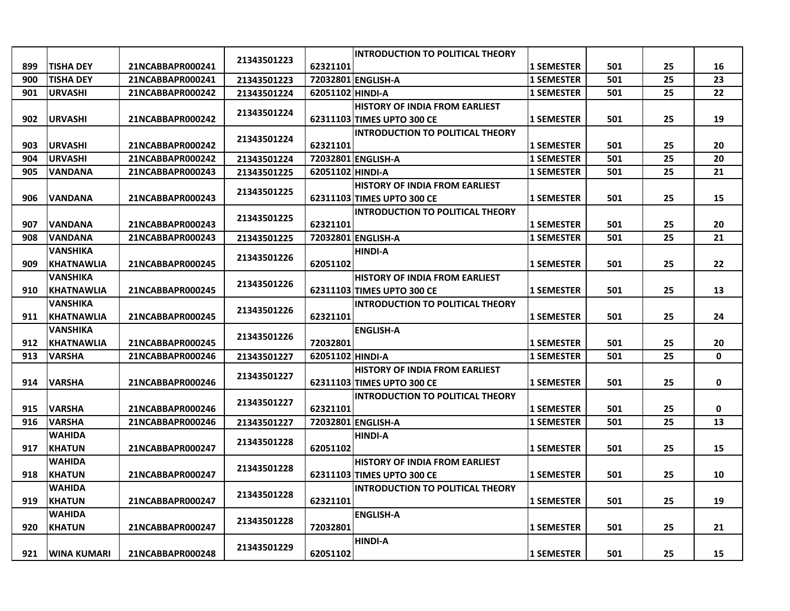|     |                    |                  |             |                  | <b>INTRODUCTION TO POLITICAL THEORY</b> |                   |     |    |              |
|-----|--------------------|------------------|-------------|------------------|-----------------------------------------|-------------------|-----|----|--------------|
| 899 | <b>TISHA DEY</b>   | 21NCABBAPR000241 | 21343501223 | 62321101         |                                         | 1 SEMESTER        | 501 | 25 | 16           |
| 900 | <b>TISHA DEY</b>   | 21NCABBAPR000241 | 21343501223 |                  | 72032801 ENGLISH-A                      | <b>1 SEMESTER</b> | 501 | 25 | 23           |
| 901 | <b>URVASHI</b>     | 21NCABBAPR000242 | 21343501224 | 62051102 HINDI-A |                                         | <b>1 SEMESTER</b> | 501 | 25 | 22           |
|     |                    |                  |             |                  | <b>HISTORY OF INDIA FROM EARLIEST</b>   |                   |     |    |              |
| 902 | <b>URVASHI</b>     | 21NCABBAPR000242 | 21343501224 |                  | 62311103 TIMES UPTO 300 CE              | <b>1 SEMESTER</b> | 501 | 25 | 19           |
|     |                    |                  |             |                  | <b>INTRODUCTION TO POLITICAL THEORY</b> |                   |     |    |              |
| 903 | <b>URVASHI</b>     | 21NCABBAPR000242 | 21343501224 | 62321101         |                                         | <b>1 SEMESTER</b> | 501 | 25 | 20           |
| 904 | <b>URVASHI</b>     | 21NCABBAPR000242 | 21343501224 |                  | 72032801 ENGLISH-A                      | <b>1 SEMESTER</b> | 501 | 25 | 20           |
| 905 | VANDANA            | 21NCABBAPR000243 | 21343501225 | 62051102 HINDI-A |                                         | <b>1 SEMESTER</b> | 501 | 25 | 21           |
|     |                    |                  | 21343501225 |                  | <b>HISTORY OF INDIA FROM EARLIEST</b>   |                   |     |    |              |
| 906 | <b>VANDANA</b>     | 21NCABBAPR000243 |             |                  | 62311103 TIMES UPTO 300 CE              | <b>1 SEMESTER</b> | 501 | 25 | 15           |
|     |                    |                  | 21343501225 |                  | <b>INTRODUCTION TO POLITICAL THEORY</b> |                   |     |    |              |
| 907 | <b>VANDANA</b>     | 21NCABBAPR000243 |             | 62321101         |                                         | <b>1 SEMESTER</b> | 501 | 25 | 20           |
| 908 | <b>VANDANA</b>     | 21NCABBAPR000243 | 21343501225 |                  | 72032801 ENGLISH-A                      | <b>1 SEMESTER</b> | 501 | 25 | 21           |
|     | VANSHIKA           |                  | 21343501226 |                  | <b>HINDI-A</b>                          |                   |     |    |              |
| 909 | <b>KHATNAWLIA</b>  | 21NCABBAPR000245 |             | 62051102         |                                         | <b>1 SEMESTER</b> | 501 | 25 | 22           |
|     | <b>VANSHIKA</b>    |                  | 21343501226 |                  | <b>HISTORY OF INDIA FROM EARLIEST</b>   |                   |     |    |              |
| 910 | <b>KHATNAWLIA</b>  | 21NCABBAPR000245 |             |                  | 62311103 TIMES UPTO 300 CE              | 1 SEMESTER        | 501 | 25 | 13           |
|     | VANSHIKA           |                  | 21343501226 |                  | <b>INTRODUCTION TO POLITICAL THEORY</b> |                   |     |    |              |
| 911 | <b>KHATNAWLIA</b>  | 21NCABBAPR000245 |             | 62321101         |                                         | <b>1 SEMESTER</b> | 501 | 25 | 24           |
|     | VANSHIKA           |                  | 21343501226 |                  | <b>ENGLISH-A</b>                        |                   |     |    |              |
| 912 | <b>KHATNAWLIA</b>  | 21NCABBAPR000245 |             | 72032801         |                                         | <b>1 SEMESTER</b> | 501 | 25 | 20           |
| 913 | <b>VARSHA</b>      | 21NCABBAPR000246 | 21343501227 | 62051102 HINDI-A |                                         | <b>1 SEMESTER</b> | 501 | 25 | $\mathbf{0}$ |
|     |                    |                  | 21343501227 |                  | <b>HISTORY OF INDIA FROM EARLIEST</b>   |                   |     |    |              |
| 914 | <b>VARSHA</b>      | 21NCABBAPR000246 |             |                  | 62311103 TIMES UPTO 300 CE              | <b>1 SEMESTER</b> | 501 | 25 | 0            |
|     |                    |                  | 21343501227 |                  | <b>INTRODUCTION TO POLITICAL THEORY</b> |                   |     |    |              |
| 915 | <b>VARSHA</b>      | 21NCABBAPR000246 |             | 62321101         |                                         | <b>1 SEMESTER</b> | 501 | 25 | 0            |
| 916 | <b>VARSHA</b>      | 21NCABBAPR000246 | 21343501227 |                  | 72032801 ENGLISH-A                      | <b>1 SEMESTER</b> | 501 | 25 | 13           |
|     | WAHIDA             |                  | 21343501228 |                  | <b>HINDI-A</b>                          |                   |     |    |              |
| 917 | <b>KHATUN</b>      | 21NCABBAPR000247 |             | 62051102         |                                         | 1 SEMESTER        | 501 | 25 | 15           |
|     | WAHIDA             |                  | 21343501228 |                  | <b>HISTORY OF INDIA FROM EARLIEST</b>   |                   |     |    |              |
| 918 | <b>KHATUN</b>      | 21NCABBAPR000247 |             |                  | 62311103 TIMES UPTO 300 CE              | <b>1 SEMESTER</b> | 501 | 25 | 10           |
|     | <b>WAHIDA</b>      |                  | 21343501228 |                  | <b>INTRODUCTION TO POLITICAL THEORY</b> |                   |     |    |              |
| 919 | <b>KHATUN</b>      | 21NCABBAPR000247 |             | 62321101         |                                         | 1 SEMESTER        | 501 | 25 | 19           |
|     | <b>WAHIDA</b>      |                  | 21343501228 |                  | <b>ENGLISH-A</b>                        |                   |     |    |              |
| 920 | <b>KHATUN</b>      | 21NCABBAPR000247 |             | 72032801         |                                         | <b>1 SEMESTER</b> | 501 | 25 | 21           |
|     |                    |                  | 21343501229 |                  | <b>HINDI-A</b>                          |                   |     |    |              |
| 921 | <b>WINA KUMARI</b> | 21NCABBAPR000248 |             | 62051102         |                                         | <b>1 SEMESTER</b> | 501 | 25 | 15           |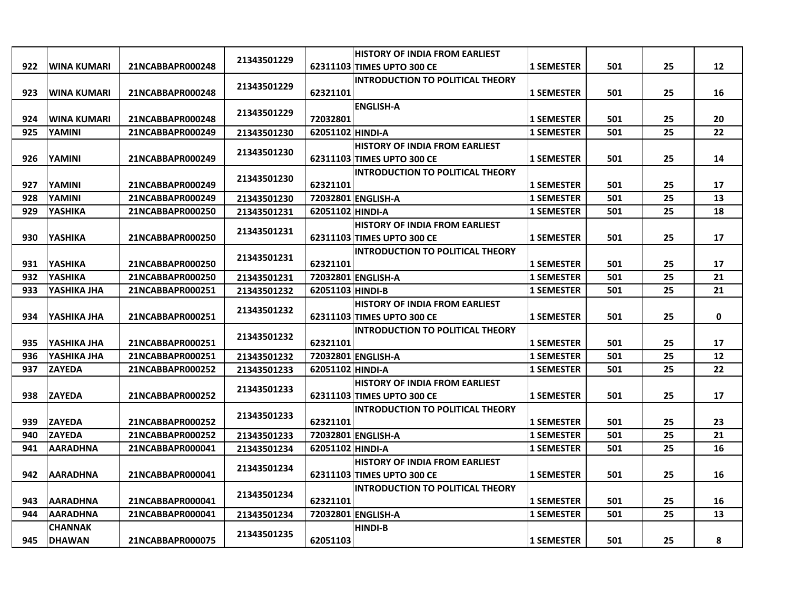|     |                    |                  |             |                                       | <b>HISTORY OF INDIA FROM EARLIEST</b>   |                   |     |    |    |
|-----|--------------------|------------------|-------------|---------------------------------------|-----------------------------------------|-------------------|-----|----|----|
| 922 | <b>WINA KUMARI</b> | 21NCABBAPR000248 | 21343501229 |                                       | 62311103 TIMES UPTO 300 CE              | <b>1 SEMESTER</b> | 501 | 25 | 12 |
|     |                    |                  |             |                                       | <b>INTRODUCTION TO POLITICAL THEORY</b> |                   |     |    |    |
| 923 | <b>WINA KUMARI</b> | 21NCABBAPR000248 | 21343501229 | 62321101                              |                                         | <b>1 SEMESTER</b> | 501 | 25 | 16 |
|     |                    |                  |             |                                       | <b>ENGLISH-A</b>                        |                   |     |    |    |
| 924 | <b>WINA KUMARI</b> | 21NCABBAPR000248 | 21343501229 | 72032801                              |                                         | <b>1 SEMESTER</b> | 501 | 25 | 20 |
| 925 | <b>YAMINI</b>      | 21NCABBAPR000249 | 21343501230 | 62051102 HINDI-A                      |                                         | <b>1 SEMESTER</b> | 501 | 25 | 22 |
|     |                    |                  |             |                                       | <b>HISTORY OF INDIA FROM EARLIEST</b>   |                   |     |    |    |
| 926 | YAMINI             | 21NCABBAPR000249 | 21343501230 |                                       | 62311103 TIMES UPTO 300 CE              | <b>1 SEMESTER</b> | 501 | 25 | 14 |
|     |                    |                  |             |                                       | <b>INTRODUCTION TO POLITICAL THEORY</b> |                   |     |    |    |
| 927 | YAMINI             | 21NCABBAPR000249 | 21343501230 | 62321101                              |                                         | <b>1 SEMESTER</b> | 501 | 25 | 17 |
| 928 | YAMINI             | 21NCABBAPR000249 | 21343501230 |                                       | 72032801 ENGLISH-A                      | <b>1 SEMESTER</b> | 501 | 25 | 13 |
| 929 | <b>YASHIKA</b>     | 21NCABBAPR000250 | 21343501231 | 62051102 HINDI-A                      |                                         | <b>1 SEMESTER</b> | 501 | 25 | 18 |
|     |                    |                  |             |                                       | <b>HISTORY OF INDIA FROM EARLIEST</b>   |                   |     |    |    |
| 930 | <b>YASHIKA</b>     | 21NCABBAPR000250 | 21343501231 |                                       | 62311103 TIMES UPTO 300 CE              | <b>1 SEMESTER</b> | 501 | 25 | 17 |
|     |                    |                  | 21343501231 |                                       | <b>INTRODUCTION TO POLITICAL THEORY</b> |                   |     |    |    |
| 931 | <b>YASHIKA</b>     | 21NCABBAPR000250 |             | 62321101                              |                                         | <b>1 SEMESTER</b> | 501 | 25 | 17 |
| 932 | <b>YASHIKA</b>     | 21NCABBAPR000250 | 21343501231 |                                       | 72032801 ENGLISH-A                      | <b>1 SEMESTER</b> | 501 | 25 | 21 |
| 933 | YASHIKA JHA        | 21NCABBAPR000251 | 21343501232 | 62051103 HINDI-B                      |                                         | <b>1 SEMESTER</b> | 501 | 25 | 21 |
|     |                    |                  |             | <b>HISTORY OF INDIA FROM EARLIEST</b> |                                         |                   |     |    |    |
| 934 | YASHIKA JHA        | 21NCABBAPR000251 | 21343501232 |                                       | 62311103 TIMES UPTO 300 CE              | <b>1 SEMESTER</b> | 501 | 25 | 0  |
|     |                    |                  | 21343501232 |                                       | <b>INTRODUCTION TO POLITICAL THEORY</b> |                   |     |    |    |
| 935 | YASHIKA JHA        | 21NCABBAPR000251 |             | 62321101                              |                                         | <b>1 SEMESTER</b> | 501 | 25 | 17 |
| 936 | YASHIKA JHA        | 21NCABBAPR000251 | 21343501232 |                                       | 72032801 ENGLISH-A                      | <b>1 SEMESTER</b> | 501 | 25 | 12 |
| 937 | <b>ZAYEDA</b>      | 21NCABBAPR000252 | 21343501233 | 62051102 HINDI-A                      |                                         | <b>1 SEMESTER</b> | 501 | 25 | 22 |
|     |                    |                  | 21343501233 |                                       | <b>HISTORY OF INDIA FROM EARLIEST</b>   |                   |     |    |    |
| 938 | <b>ZAYEDA</b>      | 21NCABBAPR000252 |             |                                       | 62311103 TIMES UPTO 300 CE              | <b>1 SEMESTER</b> | 501 | 25 | 17 |
|     |                    |                  | 21343501233 |                                       | <b>INTRODUCTION TO POLITICAL THEORY</b> |                   |     |    |    |
| 939 | <b>ZAYEDA</b>      | 21NCABBAPR000252 |             | 62321101                              |                                         | <b>1 SEMESTER</b> | 501 | 25 | 23 |
| 940 | <b>ZAYEDA</b>      | 21NCABBAPR000252 | 21343501233 |                                       | 72032801 ENGLISH-A                      | <b>1 SEMESTER</b> | 501 | 25 | 21 |
| 941 | <b>AARADHNA</b>    | 21NCABBAPR000041 | 21343501234 | 62051102 HINDI-A                      |                                         | <b>1 SEMESTER</b> | 501 | 25 | 16 |
|     |                    |                  | 21343501234 |                                       | <b>HISTORY OF INDIA FROM EARLIEST</b>   |                   |     |    |    |
| 942 | <b>AARADHNA</b>    | 21NCABBAPR000041 |             |                                       | 62311103 TIMES UPTO 300 CE              | <b>1 SEMESTER</b> | 501 | 25 | 16 |
|     |                    |                  | 21343501234 |                                       | <b>INTRODUCTION TO POLITICAL THEORY</b> |                   |     |    |    |
| 943 | <b>AARADHNA</b>    | 21NCABBAPR000041 |             | 62321101                              |                                         | <b>1 SEMESTER</b> | 501 | 25 | 16 |
| 944 | <b>AARADHNA</b>    | 21NCABBAPR000041 | 21343501234 |                                       | 72032801 ENGLISH-A                      | <b>1 SEMESTER</b> | 501 | 25 | 13 |
|     | <b>CHANNAK</b>     |                  | 21343501235 |                                       | <b>HINDI-B</b>                          |                   |     |    |    |
| 945 | <b>DHAWAN</b>      | 21NCABBAPR000075 |             | 62051103                              |                                         | <b>1 SEMESTER</b> | 501 | 25 | 8  |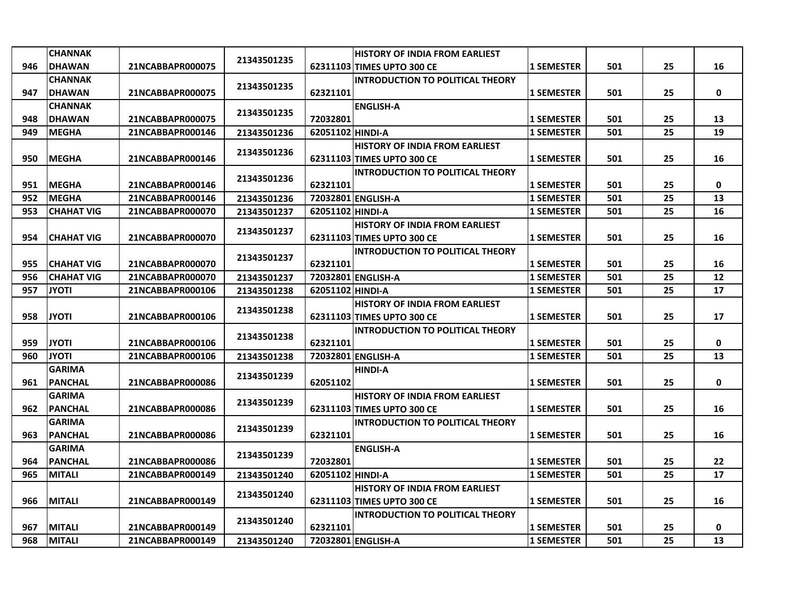|     | <b>CHANNAK</b>    |                  |             |                                       | <b>HISTORY OF INDIA FROM EARLIEST</b>   |                   |     |    |             |
|-----|-------------------|------------------|-------------|---------------------------------------|-----------------------------------------|-------------------|-----|----|-------------|
| 946 | <b>DHAWAN</b>     | 21NCABBAPR000075 | 21343501235 |                                       | 62311103 TIMES UPTO 300 CE              | <b>1 SEMESTER</b> | 501 | 25 | 16          |
|     | <b>CHANNAK</b>    |                  |             |                                       | <b>INTRODUCTION TO POLITICAL THEORY</b> |                   |     |    |             |
| 947 | <b>DHAWAN</b>     | 21NCABBAPR000075 | 21343501235 | 62321101                              |                                         | <b>1 SEMESTER</b> | 501 | 25 | 0           |
|     | <b>CHANNAK</b>    |                  |             |                                       | <b>ENGLISH-A</b>                        |                   |     |    |             |
| 948 | <b>DHAWAN</b>     | 21NCABBAPR000075 | 21343501235 | 72032801                              |                                         | <b>1 SEMESTER</b> | 501 | 25 | 13          |
| 949 | <b>MEGHA</b>      | 21NCABBAPR000146 | 21343501236 | 62051102 HINDI-A                      |                                         | <b>1 SEMESTER</b> | 501 | 25 | 19          |
|     |                   |                  |             |                                       | <b>HISTORY OF INDIA FROM EARLIEST</b>   |                   |     |    |             |
| 950 | <b>MEGHA</b>      | 21NCABBAPR000146 | 21343501236 |                                       | 62311103 TIMES UPTO 300 CE              | <b>1 SEMESTER</b> | 501 | 25 | 16          |
|     |                   |                  |             |                                       | <b>INTRODUCTION TO POLITICAL THEORY</b> |                   |     |    |             |
| 951 | <b>IMEGHA</b>     | 21NCABBAPR000146 | 21343501236 | 62321101                              |                                         | <b>1 SEMESTER</b> | 501 | 25 | 0           |
| 952 | <b>MEGHA</b>      | 21NCABBAPR000146 | 21343501236 |                                       | 72032801 ENGLISH-A                      | <b>1 SEMESTER</b> | 501 | 25 | 13          |
| 953 | <b>CHAHAT VIG</b> | 21NCABBAPR000070 | 21343501237 | 62051102 HINDI-A                      |                                         | <b>1 SEMESTER</b> | 501 | 25 | 16          |
|     |                   |                  |             |                                       | <b>HISTORY OF INDIA FROM EARLIEST</b>   |                   |     |    |             |
| 954 | <b>CHAHAT VIG</b> | 21NCABBAPR000070 | 21343501237 |                                       | 62311103 TIMES UPTO 300 CE              | <b>1 SEMESTER</b> | 501 | 25 | 16          |
|     |                   |                  |             |                                       | <b>INTRODUCTION TO POLITICAL THEORY</b> |                   |     |    |             |
| 955 | <b>CHAHAT VIG</b> | 21NCABBAPR000070 | 21343501237 | 62321101                              |                                         | <b>1 SEMESTER</b> | 501 | 25 | 16          |
| 956 | <b>CHAHAT VIG</b> | 21NCABBAPR000070 | 21343501237 |                                       | 72032801 ENGLISH-A                      | <b>1 SEMESTER</b> | 501 | 25 | 12          |
| 957 | <b>JYOTI</b>      | 21NCABBAPR000106 | 21343501238 | 62051102 HINDI-A                      |                                         | <b>1 SEMESTER</b> | 501 | 25 | 17          |
|     |                   |                  |             | <b>HISTORY OF INDIA FROM EARLIEST</b> |                                         |                   |     |    |             |
| 958 | <b>JYOTI</b>      | 21NCABBAPR000106 | 21343501238 |                                       | 62311103 TIMES UPTO 300 CE              | <b>1 SEMESTER</b> | 501 | 25 | 17          |
|     |                   |                  | 21343501238 |                                       | <b>INTRODUCTION TO POLITICAL THEORY</b> |                   |     |    |             |
| 959 | <b>JYOTI</b>      | 21NCABBAPR000106 |             | 62321101                              |                                         | <b>1 SEMESTER</b> | 501 | 25 | 0           |
| 960 | <b>JYOTI</b>      | 21NCABBAPR000106 | 21343501238 |                                       | 72032801 ENGLISH-A                      | <b>1 SEMESTER</b> | 501 | 25 | 13          |
|     | <b>GARIMA</b>     |                  | 21343501239 |                                       | <b>HINDI-A</b>                          |                   |     |    |             |
| 961 | <b>PANCHAL</b>    | 21NCABBAPR000086 |             | 62051102                              |                                         | <b>1 SEMESTER</b> | 501 | 25 | $\mathbf 0$ |
|     | <b>GARIMA</b>     |                  | 21343501239 |                                       | <b>HISTORY OF INDIA FROM EARLIEST</b>   |                   |     |    |             |
| 962 | <b>PANCHAL</b>    | 21NCABBAPR000086 |             |                                       | 62311103 TIMES UPTO 300 CE              | <b>1 SEMESTER</b> | 501 | 25 | 16          |
|     | <b>GARIMA</b>     |                  | 21343501239 |                                       | <b>INTRODUCTION TO POLITICAL THEORY</b> |                   |     |    |             |
| 963 | <b>PANCHAL</b>    | 21NCABBAPR000086 |             | 62321101                              |                                         | <b>1 SEMESTER</b> | 501 | 25 | 16          |
|     | <b>GARIMA</b>     |                  | 21343501239 |                                       | <b>ENGLISH-A</b>                        |                   |     |    |             |
| 964 | <b>PANCHAL</b>    | 21NCABBAPR000086 |             | 72032801                              |                                         | <b>1 SEMESTER</b> | 501 | 25 | 22          |
| 965 | <b>MITALI</b>     | 21NCABBAPR000149 | 21343501240 | 62051102 HINDI-A                      |                                         | <b>1 SEMESTER</b> | 501 | 25 | 17          |
|     |                   |                  | 21343501240 |                                       | <b>HISTORY OF INDIA FROM EARLIEST</b>   |                   |     |    |             |
| 966 | <b>MITALI</b>     | 21NCABBAPR000149 |             |                                       | 62311103 TIMES UPTO 300 CE              | <b>1 SEMESTER</b> | 501 | 25 | 16          |
|     |                   |                  | 21343501240 |                                       | <b>INTRODUCTION TO POLITICAL THEORY</b> |                   |     |    |             |
| 967 |                   |                  |             | 62321101                              |                                         | <b>1 SEMESTER</b> | 501 | 25 | 0           |
|     | <b>MITALI</b>     | 21NCABBAPR000149 |             |                                       |                                         |                   |     |    |             |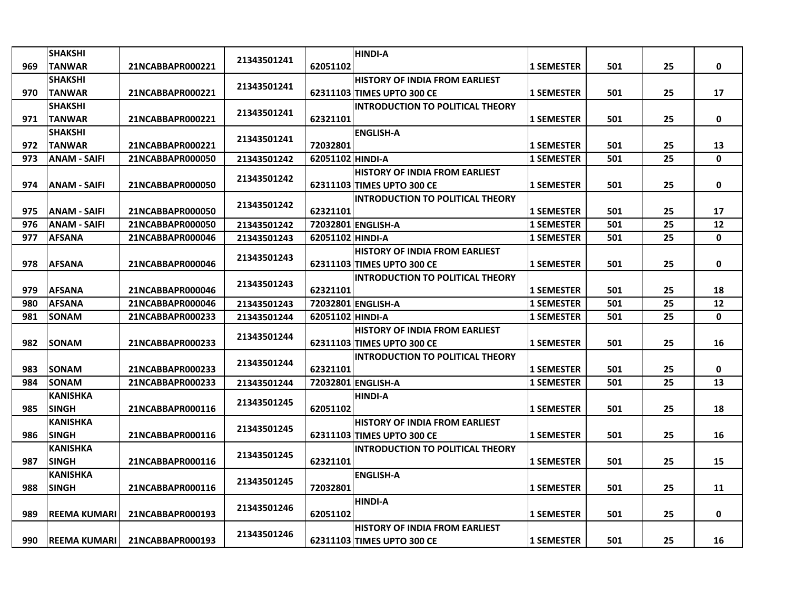|     | <b>SHAKSHI</b>      |                  |             |                                       | <b>HINDI-A</b>                          |                   |     |    |             |
|-----|---------------------|------------------|-------------|---------------------------------------|-----------------------------------------|-------------------|-----|----|-------------|
| 969 | <b>TANWAR</b>       | 21NCABBAPR000221 | 21343501241 | 62051102                              |                                         | <b>1 SEMESTER</b> | 501 | 25 | 0           |
|     | <b>SHAKSHI</b>      |                  |             |                                       | <b>HISTORY OF INDIA FROM EARLIEST</b>   |                   |     |    |             |
| 970 | <b>TANWAR</b>       | 21NCABBAPR000221 | 21343501241 |                                       | 62311103 TIMES UPTO 300 CE              | <b>1 SEMESTER</b> | 501 | 25 | 17          |
|     | <b>SHAKSHI</b>      |                  |             |                                       | <b>INTRODUCTION TO POLITICAL THEORY</b> |                   |     |    |             |
| 971 | <b>TANWAR</b>       | 21NCABBAPR000221 | 21343501241 | 62321101                              |                                         | <b>1 SEMESTER</b> | 501 | 25 | $\mathbf 0$ |
|     | <b>SHAKSHI</b>      |                  |             |                                       | <b>ENGLISH-A</b>                        |                   |     |    |             |
| 972 | <b>TANWAR</b>       | 21NCABBAPR000221 | 21343501241 | 72032801                              |                                         | <b>1 SEMESTER</b> | 501 | 25 | 13          |
| 973 | <b>ANAM - SAIFI</b> | 21NCABBAPR000050 | 21343501242 | 62051102 HINDI-A                      |                                         | <b>1 SEMESTER</b> | 501 | 25 | 0           |
|     |                     |                  |             |                                       | <b>HISTORY OF INDIA FROM EARLIEST</b>   |                   |     |    |             |
| 974 | <b>ANAM - SAIFI</b> | 21NCABBAPR000050 | 21343501242 |                                       | 62311103 TIMES UPTO 300 CE              | <b>1 SEMESTER</b> | 501 | 25 | 0           |
|     |                     |                  |             |                                       | <b>INTRODUCTION TO POLITICAL THEORY</b> |                   |     |    |             |
| 975 | <b>ANAM - SAIFI</b> | 21NCABBAPR000050 | 21343501242 | 62321101                              |                                         | <b>1 SEMESTER</b> | 501 | 25 | 17          |
| 976 | <b>ANAM - SAIFI</b> | 21NCABBAPR000050 | 21343501242 |                                       | 72032801 ENGLISH-A                      | <b>1 SEMESTER</b> | 501 | 25 | 12          |
| 977 | <b>AFSANA</b>       | 21NCABBAPR000046 | 21343501243 | 62051102 HINDI-A                      |                                         | <b>1 SEMESTER</b> | 501 | 25 | 0           |
|     |                     | 21343501243      |             | <b>HISTORY OF INDIA FROM EARLIEST</b> |                                         |                   |     |    |             |
| 978 | <b>AFSANA</b>       | 21NCABBAPR000046 |             |                                       | 62311103 TIMES UPTO 300 CE              | <b>1 SEMESTER</b> | 501 | 25 | 0           |
|     |                     |                  |             |                                       | <b>INTRODUCTION TO POLITICAL THEORY</b> |                   |     |    |             |
| 979 | <b>AFSANA</b>       | 21NCABBAPR000046 | 21343501243 | 62321101                              |                                         | <b>1 SEMESTER</b> | 501 | 25 | 18          |
| 980 | <b>AFSANA</b>       | 21NCABBAPR000046 | 21343501243 |                                       | 72032801 ENGLISH-A                      | <b>1 SEMESTER</b> | 501 | 25 | 12          |
| 981 | <b>SONAM</b>        | 21NCABBAPR000233 | 21343501244 | 62051102 HINDI-A                      |                                         | <b>1 SEMESTER</b> | 501 | 25 | $\mathbf 0$ |
|     |                     |                  |             |                                       | <b>HISTORY OF INDIA FROM EARLIEST</b>   |                   |     |    |             |
| 982 | <b>SONAM</b>        | 21NCABBAPR000233 | 21343501244 |                                       | 62311103 TIMES UPTO 300 CE              | <b>1 SEMESTER</b> | 501 | 25 | 16          |
|     |                     |                  | 21343501244 |                                       | <b>INTRODUCTION TO POLITICAL THEORY</b> |                   |     |    |             |
| 983 | <b>SONAM</b>        | 21NCABBAPR000233 |             | 62321101                              |                                         | <b>1 SEMESTER</b> | 501 | 25 | 0           |
| 984 | <b>SONAM</b>        | 21NCABBAPR000233 | 21343501244 |                                       | 72032801 ENGLISH-A                      | <b>1 SEMESTER</b> | 501 | 25 | 13          |
|     | <b>KANISHKA</b>     |                  | 21343501245 |                                       | <b>HINDI-A</b>                          |                   |     |    |             |
| 985 | <b>SINGH</b>        | 21NCABBAPR000116 |             | 62051102                              |                                         | <b>1 SEMESTER</b> | 501 | 25 | 18          |
|     | <b>KANISHKA</b>     |                  | 21343501245 |                                       | <b>HISTORY OF INDIA FROM EARLIEST</b>   |                   |     |    |             |
| 986 | <b>SINGH</b>        | 21NCABBAPR000116 |             |                                       | 62311103 TIMES UPTO 300 CE              | <b>1 SEMESTER</b> | 501 | 25 | 16          |
|     | <b>KANISHKA</b>     |                  | 21343501245 |                                       | <b>INTRODUCTION TO POLITICAL THEORY</b> |                   |     |    |             |
| 987 | <b>SINGH</b>        | 21NCABBAPR000116 |             | 62321101                              |                                         | <b>1 SEMESTER</b> | 501 | 25 | 15          |
|     | <b>KANISHKA</b>     |                  | 21343501245 |                                       | <b>ENGLISH-A</b>                        |                   |     |    |             |
| 988 | <b>SINGH</b>        | 21NCABBAPR000116 |             | 72032801                              |                                         | <b>1 SEMESTER</b> | 501 | 25 | 11          |
|     |                     |                  | 21343501246 |                                       | <b>HINDI-A</b>                          |                   |     |    |             |
| 989 | <b>REEMA KUMARI</b> | 21NCABBAPR000193 |             | 62051102                              |                                         | <b>1 SEMESTER</b> | 501 | 25 | $\mathbf 0$ |
|     |                     |                  | 21343501246 |                                       | <b>HISTORY OF INDIA FROM EARLIEST</b>   |                   |     |    |             |
| 990 | <b>REEMA KUMARI</b> | 21NCABBAPR000193 |             |                                       | 62311103 TIMES UPTO 300 CE              | <b>1 SEMESTER</b> | 501 | 25 | 16          |